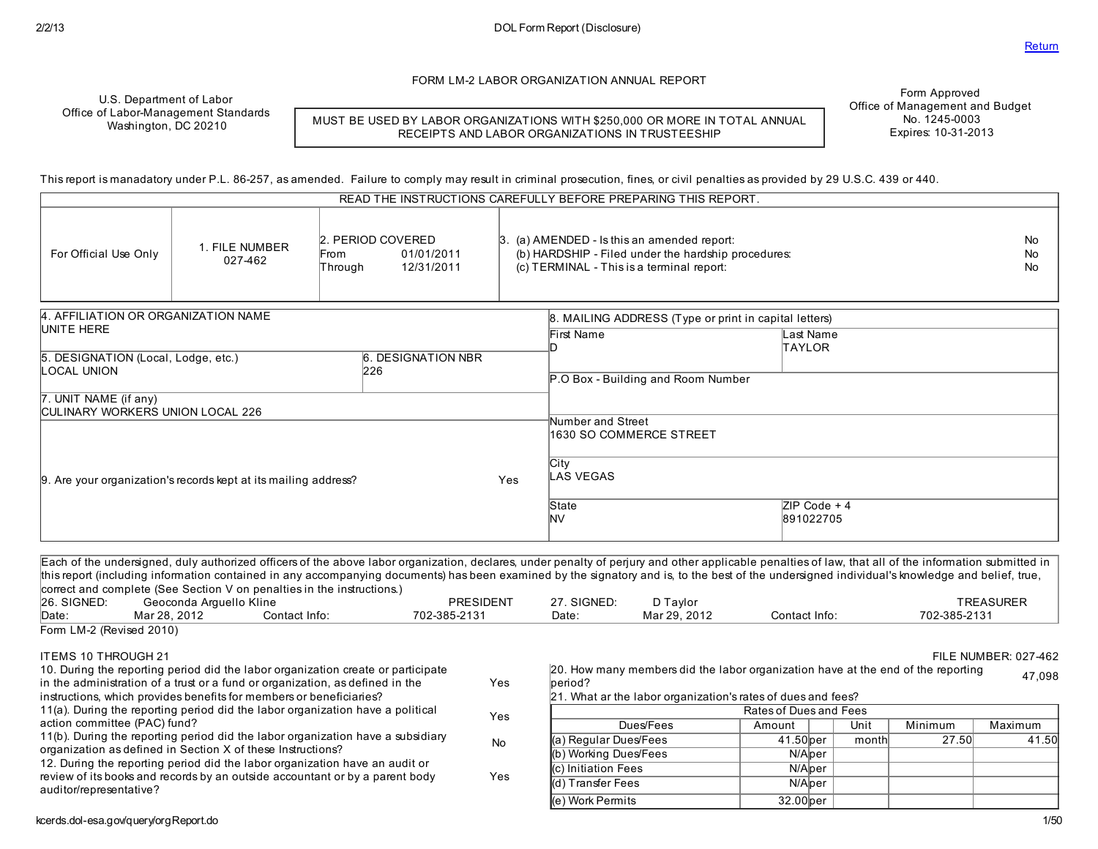FORM LM-2 LABOR ORGANIZATION ANNUAL REPORT

U.S. Department of Labor Office of Labor-Management Standards Washington, DC 20210

MUST BE USED BY LABOR ORGANIZATIONS WITH \$250,000 OR MORE IN TOTAL ANNUAL RECEIPTS AND LABOR ORGANIZATIONS IN TRUSTEESHIP

Form Approved Office of Management and Budget No. 1245-0003 Expires: 10-31-2013

This report is manadatory under P.L. 86-257, asamended. Failure to comply may result in criminal prosecution, fines, or civil penaltiesasprovided by 29 U.S.C. 439 or 440.

|                                                                   |                                                                 | READ THE INSTRUCTIONS CAREFULLY BEFORE PREPARING THIS REPORT.    |     |                                                                                                                                                        |                                                       |                 |
|-------------------------------------------------------------------|-----------------------------------------------------------------|------------------------------------------------------------------|-----|--------------------------------------------------------------------------------------------------------------------------------------------------------|-------------------------------------------------------|-----------------|
| For Official Use Only                                             | 1. FILE NUMBER<br>027-462                                       | 2. PERIOD COVERED<br>01/01/2011<br>From<br>12/31/2011<br>Through |     | $\beta$ . (a) AMENDED - Is this an amended report:<br>(b) HARDSHIP - Filed under the hardship procedures:<br>(c) TERMINAL - This is a terminal report: |                                                       | No.<br>No<br>No |
| 4. AFFILIATION OR ORGANIZATION NAME                               |                                                                 |                                                                  |     |                                                                                                                                                        | 8. MAILING ADDRESS (Type or print in capital letters) |                 |
| UNITE HERE                                                        |                                                                 |                                                                  |     | First Name                                                                                                                                             | Last Name<br>TAYLOR                                   |                 |
| 5. DESIGNATION (Local, Lodge, etc.)<br>LOCAL UNION                |                                                                 | <b>6. DESIGNATION NBR</b><br>226                                 |     |                                                                                                                                                        |                                                       |                 |
|                                                                   |                                                                 |                                                                  |     | P.O Box - Building and Room Number                                                                                                                     |                                                       |                 |
| 7. UNIT NAME (if any)<br><b>ICULINARY WORKERS UNION LOCAL 226</b> |                                                                 |                                                                  |     |                                                                                                                                                        |                                                       |                 |
|                                                                   |                                                                 |                                                                  |     | Number and Street<br>1630 SO COMMERCE STREET                                                                                                           |                                                       |                 |
|                                                                   | 9. Are your organization's records kept at its mailing address? |                                                                  | Yes | City<br><b>LAS VEGAS</b>                                                                                                                               |                                                       |                 |
|                                                                   |                                                                 |                                                                  |     | State<br>NV.                                                                                                                                           | $ZIP Code + 4$<br>891022705                           |                 |

Each of the undersigned, duly authorized officersof the above labor organization, declares, under penalty of perjury and other applicable penaltiesof law, that all of the information submitted in this report (including information contained in any accompanying documents) hasbeen examined by the signatory and is, to the best of the undersigned individual's knowledge and belief, true, correct and complete (See Section V on penalties in the instructions.)<br>26. SIGNED: Geoconda Arquello Kline 26. SIGNED: Geoconda Arguello Kline (26. SIGNED: PRESIDENT 27. SIGNED: D Taylor TREASURER 1999) 2012<br>| Date: Mar 28, 2012 Contact Info: President Contact Info: President Contact Info: President Contact Info: Pre Date: Mar 28, 2012 Contact Info: 702-385-2131 Date: Mar 29, 2012 Contact Info: 702-385-2131 Form LM-2 (Revised 2010) ITEMS 10 THROUGH 21 FILE NUMBER: 027-462 10. During the reporting period did the labor organization create or participate in the administration of a trust or a fund or organization, as defined in the instructions, which provides benefits for members or beneficiaries? Yes 11(a). During the reporting period did the labor organization have a political action committee (PAC) fund? Yes 11(b). During the reporting period did the labor organization have a subsidiary organization asdefined in Section X of these Instructions? No 12. During the reporting period did the labor organization have an audit or review of its books and records by an outside accountant or by a parent body auditor/representative? Yes 20. How many membersdid the labor organization have at the end of the reporting beriod? 47,098 21. What ar the labor organization's ratesof duesand fees? Ratesof Duesand Fees Dues/Fees | Amount | Unit | Minimum | Maximum (a) Regular Dues/Fees  $\vert$  41.50 per | month 27.50 41.50 (b) Working Dues/Fees N/Aper (c) Initiation Fees N/Aper (d) Transfer Fees N/Aper

(e) Work Permits 32.00per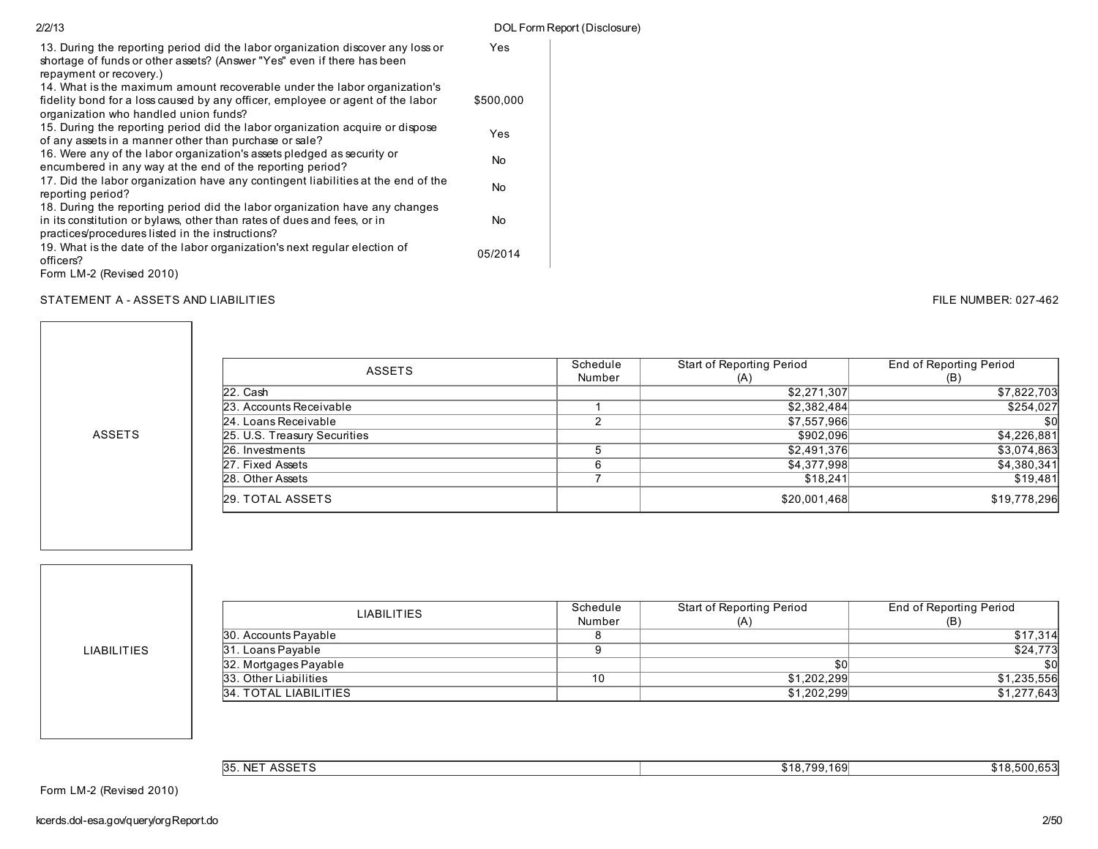| 2/2/13                                                                                                                                                                                                     |           | DOL Form Report (Disclosure) |
|------------------------------------------------------------------------------------------------------------------------------------------------------------------------------------------------------------|-----------|------------------------------|
| 13. During the reporting period did the labor organization discover any loss or<br>shortage of funds or other assets? (Answer "Yes" even if there has been<br>repayment or recovery.)                      | Yes       |                              |
| 14. What is the maximum amount recoverable under the labor organization's<br>fidelity bond for a loss caused by any officer, employee or agent of the labor<br>organization who handled union funds?       | \$500,000 |                              |
| 15. During the reporting period did the labor organization acquire or dispose<br>of any assets in a manner other than purchase or sale?                                                                    | Yes       |                              |
| 16. Were any of the labor organization's assets pledged as security or<br>encumbered in any way at the end of the reporting period?                                                                        | No        |                              |
| 17. Did the labor organization have any contingent liabilities at the end of the<br>reporting period?                                                                                                      | No        |                              |
| 18. During the reporting period did the labor organization have any changes<br>in its constitution or bylaws, other than rates of dues and fees, or in<br>practices/procedures listed in the instructions? | No        |                              |
| 19. What is the date of the labor organization's next regular election of<br>officers?                                                                                                                     | 05/2014   |                              |
| Form LM-2 (Revised 2010)                                                                                                                                                                                   |           |                              |

# STATEMENT A - ASSETS AND LIABILITIES **FILE NUMBER: 027-462**

| <b>ASSETS</b>                | Schedule | Start of Reporting Period | End of Reporting Period |  |
|------------------------------|----------|---------------------------|-------------------------|--|
|                              | Number   | (A)                       | (B)                     |  |
| $22.$ Cash                   |          | \$2,271,307               | \$7,822,703             |  |
| 23. Accounts Receivable      |          | \$2,382,484               | \$254,027               |  |
| 24. Loans Receivable         |          | \$7,557,966               | \$0                     |  |
| 25. U.S. Treasury Securities |          | \$902,096                 | \$4,226,881             |  |
| 26. Investments              |          | \$2,491,376               | \$3,074,863             |  |
| 27. Fixed Assets             | հ        | \$4,377,998               | \$4,380,341             |  |
| 28. Other Assets             |          | \$18.241                  | \$19.481                |  |
| 29. TOTAL ASSETS             |          | \$20,001,468              | \$19,778,296            |  |

LIABILITIES

ASSETS

| <b>LIABILITIES</b>    | Schedule | Start of Reporting Period | End of Reporting Period |  |  |
|-----------------------|----------|---------------------------|-------------------------|--|--|
|                       | Number   | (A)                       | (B)                     |  |  |
| 30. Accounts Payable  |          |                           | \$17,314                |  |  |
| 31. Loans Payable     |          |                           | \$24,773                |  |  |
| 32. Mortgages Payable |          | \$0                       | \$0                     |  |  |
| 33. Other Liabilities | 10       | \$1,202,299               | \$1,235,556             |  |  |
| 34. TOTAL LIABILITIES |          | \$1,202,299               | \$1,277,643             |  |  |

35. NET ASSETS \$18,500,653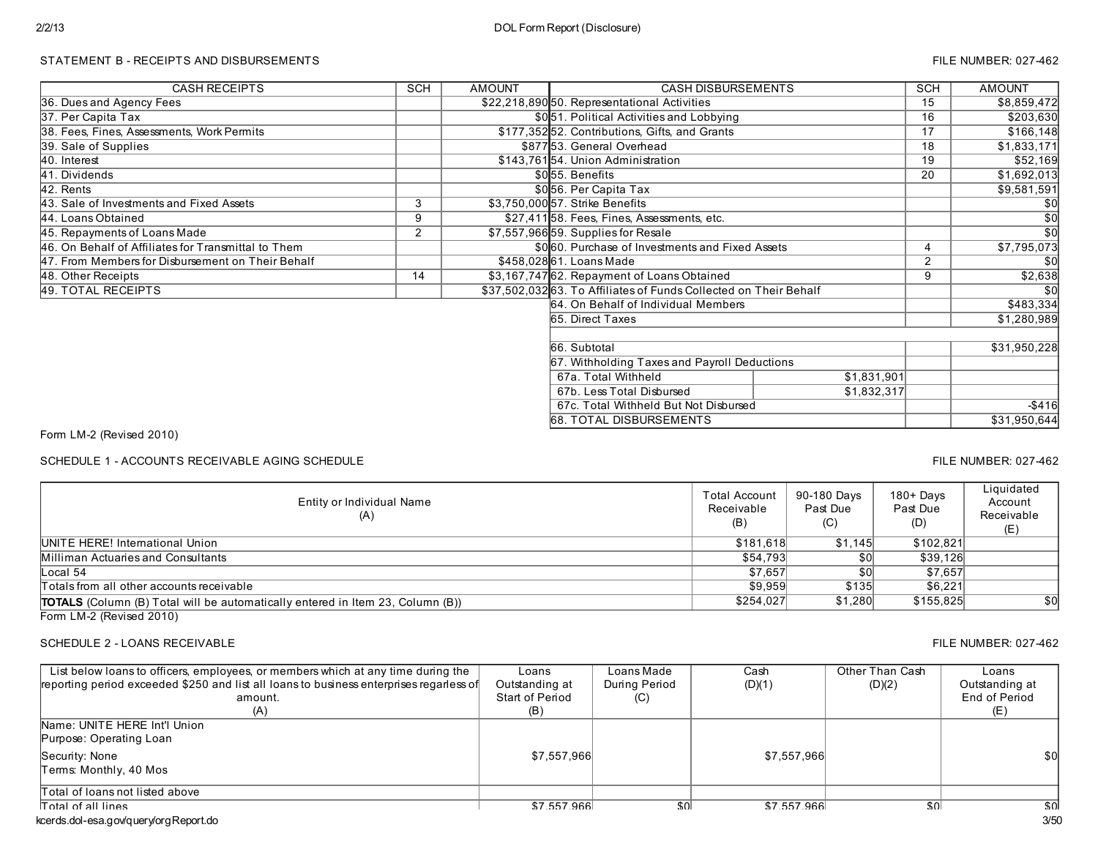### STATEMENT B - RECEIPTS AND DISBURSEMENTS FILE NUMBER: 027-462

| <b>CASH RECEIPTS</b>                                | <b>SCH</b>     | <b>AMOUNT</b> | <b>CASH DISBURSEMENTS</b>                                        |             | <b>SCH</b> | <b>AMOUNT</b>   |  |
|-----------------------------------------------------|----------------|---------------|------------------------------------------------------------------|-------------|------------|-----------------|--|
| 36. Dues and Agency Fees                            |                |               | \$22,218,890 50. Representational Activities                     |             | 15         | \$8,859,472     |  |
| 37. Per Capita Tax                                  |                |               | \$0.51. Political Activities and Lobbying                        |             | 16         | \$203,630       |  |
| 38. Fees, Fines, Assessments, Work Permits          |                |               | \$177,352 52. Contributions, Gifts, and Grants                   |             | 17         | \$166,148       |  |
| 39. Sale of Supplies                                |                |               | \$87753. General Overhead                                        |             | 18         | \$1,833,171     |  |
| 40. Interest                                        |                |               | \$143,76154. Union Administration                                |             | 19         | \$52,169        |  |
| 41. Dividends                                       |                |               | \$055. Benefits                                                  |             | 20         | \$1,692,013     |  |
| 42. Rents                                           |                |               | \$056. Per Capita Tax                                            |             |            | \$9,581,591     |  |
| 43. Sale of Investments and Fixed Assets            | 3              |               | \$3,750,000 57. Strike Benefits                                  |             |            | \$0             |  |
| 44. Loans Obtained                                  | 9              |               | \$27,41158. Fees, Fines, Assessments, etc.                       |             |            | $\overline{50}$ |  |
| 45. Repayments of Loans Made                        | $\overline{2}$ |               | \$7,557,966 59. Supplies for Resale                              |             |            | $\overline{50}$ |  |
| 46. On Behalf of Affiliates for Transmittal to Them |                |               | \$000. Purchase of Investments and Fixed Assets                  |             | 4          | \$7,795,073     |  |
| 47. From Members for Disbursement on Their Behalf   |                |               | \$458,02861. Loans Made                                          |             | 2          | \$0             |  |
| 48. Other Receipts                                  | 14             |               | \$3,167,747 62. Repayment of Loans Obtained                      |             | 9          | \$2,638         |  |
| 49. TOTAL RECEIPTS                                  |                |               | \$37,502,03263. To Affiliates of Funds Collected on Their Behalf |             |            | \$0             |  |
|                                                     |                |               | 64. On Behalf of Individual Members                              |             |            | \$483,334       |  |
|                                                     |                |               | 65. Direct Taxes                                                 |             |            | \$1,280,989     |  |
|                                                     |                |               |                                                                  |             |            |                 |  |
|                                                     |                |               | 66. Subtotal                                                     |             |            | \$31,950,228    |  |
|                                                     |                |               | 67. Withholding Taxes and Payroll Deductions                     |             |            |                 |  |
|                                                     |                |               | 67a. Total Withheld                                              | \$1,831,901 |            |                 |  |
|                                                     |                |               | 67b. Less Total Disbursed                                        | \$1,832,317 |            |                 |  |
|                                                     |                |               | 67c. Total Withheld But Not Disbursed                            |             |            |                 |  |
|                                                     |                |               | <b>68. TOTAL DISBURSEMENTS</b>                                   |             |            | \$31,950,644    |  |

Form LM-2 (Revised 2010)

SCHEDULE 1 - ACCOUNTS RECEIVABLE AGING SCHEDULE FILE NUMBER: 027-462

Entity or Individual Name (A) Total Account Receivable (B) 90-180 Days Past Due  $(C)$ 180+ Days Past Due (D) **Liquidated** Account Receivable (E) Totals from all other accounts receivable  $$9,959$  \$135  $$6,221$ TOTALS (Column (B) Total will be automatically entered in Item 23, Column (B)) \$254,027 \$254,027 \$1,280 \$155,825 \$0.027 UNITE HERE! International Union \$181,618 \$1,145 \$102,821 Milliman Actuaries and Consultants Local 54 \$7,657 \$0 \$7,657

Form LM-2 (Revised 2010)

## SCHEDULE 2 - LOANS RECEIVABLE THE SUMBER: 027-462

| List below loans to officers, employees, or members which at any time during the<br>reporting period exceeded \$250 and list all loans to business enterprises regarless of | Loans<br>Outstanding at | Loans Made<br>During Period | Cash<br>(D)(1) | Other Than Cash<br>(D)(2) | Loans<br>Outstanding at |
|-----------------------------------------------------------------------------------------------------------------------------------------------------------------------------|-------------------------|-----------------------------|----------------|---------------------------|-------------------------|
| amount.                                                                                                                                                                     | Start of Period         | (C)                         |                |                           | End of Period           |
| (A)                                                                                                                                                                         | (B)                     |                             |                |                           | (E)                     |
| Name: UNITE HERE Int'l Union<br>Purpose: Operating Loan                                                                                                                     |                         |                             |                |                           |                         |
| Security: None                                                                                                                                                              | \$7,557,966             |                             | \$7,557,966    |                           | \$0                     |
| Terms: Monthly, 40 Mos                                                                                                                                                      |                         |                             |                |                           |                         |
| Total of loans not listed above                                                                                                                                             |                         |                             |                |                           |                         |
| Total of all lines                                                                                                                                                          | \$7557966               | S <sub>0</sub>              | \$7557966      | .sol                      | .sol                    |
| kcerds.dol-esa.gov/query/orgReport.do                                                                                                                                       |                         |                             |                |                           | 3/50                    |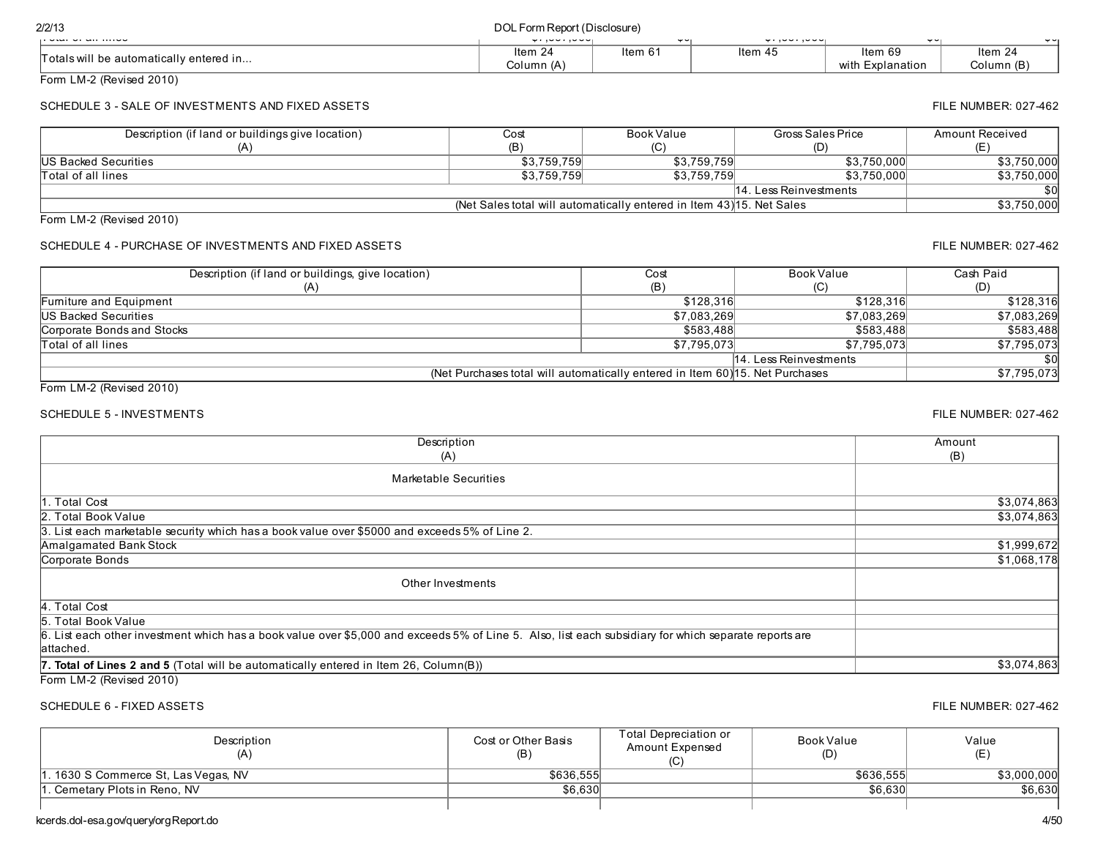| <b>UNDER UP WITHING OUT</b>                                                                                                                                         | wijuu juuu <sub>l</sub>                                                       |                          |             | w., ov., ov.,            |                  | $\mathbf{v}$<br>¥۳ |                        |
|---------------------------------------------------------------------------------------------------------------------------------------------------------------------|-------------------------------------------------------------------------------|--------------------------|-------------|--------------------------|------------------|--------------------|------------------------|
| Totals will be automatically entered in                                                                                                                             | Item 24                                                                       | Item 61                  |             | Item 45                  | Item 69          |                    | Item 24                |
| Form LM-2 (Revised 2010)                                                                                                                                            | Column (A)                                                                    |                          |             |                          | with Explanation |                    | Column (B)             |
|                                                                                                                                                                     |                                                                               |                          |             |                          |                  |                    |                        |
| SCHEDULE 3 - SALE OF INVESTMENTS AND FIXED ASSETS                                                                                                                   |                                                                               |                          |             |                          |                  |                    | FILE NUMBER: 027-462   |
| Description (if land or buildings give location)                                                                                                                    | Cost                                                                          | <b>Book Value</b>        |             | <b>Gross Sales Price</b> |                  |                    | <b>Amount Received</b> |
| (A)                                                                                                                                                                 | (B)                                                                           | (C)                      |             | (D)                      |                  |                    | (E)                    |
| <b>US Backed Securities</b>                                                                                                                                         | \$3,759,759                                                                   |                          | \$3,759,759 |                          | \$3,750,000      |                    | \$3,750,000            |
| Total of all lines                                                                                                                                                  | \$3,759,759                                                                   |                          | \$3,759,759 |                          | \$3,750,000      |                    | \$3,750,000            |
|                                                                                                                                                                     |                                                                               |                          |             | 14. Less Reinvestments   |                  |                    | \$0<br>\$3,750,000     |
| Form LM-2 (Revised 2010)                                                                                                                                            | (Net Sales total will automatically entered in Item 43) 15. Net Sales         |                          |             |                          |                  |                    |                        |
|                                                                                                                                                                     |                                                                               |                          |             |                          |                  |                    |                        |
| SCHEDULE 4 - PURCHASE OF INVESTMENTS AND FIXED ASSETS                                                                                                               |                                                                               |                          |             |                          |                  |                    | FILE NUMBER: 027-462   |
| Description (if land or buildings, give location)                                                                                                                   |                                                                               | $\overline{\text{Cost}}$ |             | <b>Book Value</b>        |                  |                    | Cash Paid              |
| (A)                                                                                                                                                                 |                                                                               | (B)                      |             | (C)                      |                  |                    | (D)                    |
| Furniture and Equipment                                                                                                                                             |                                                                               |                          | \$128,316   |                          | \$128,316        |                    | \$128,316              |
| <b>US Backed Securities</b>                                                                                                                                         |                                                                               |                          | \$7,083,269 |                          | \$7,083,269      |                    | \$7,083,269            |
| <b>Corporate Bonds and Stocks</b>                                                                                                                                   |                                                                               |                          | \$583,488   |                          | \$583,488        |                    | \$583,488              |
| Total of all lines                                                                                                                                                  |                                                                               |                          | \$7,795,073 |                          | \$7,795,073      |                    | \$7,795,073            |
|                                                                                                                                                                     |                                                                               |                          |             | 14. Less Reinvestments   |                  |                    | <b>\$0</b>             |
| Form LM-2 (Revised 2010)                                                                                                                                            | (Net Purchases total will automatically entered in Item 60) 15. Net Purchases |                          |             |                          |                  |                    | \$7,795,073            |
| <b>SCHEDULE 5 - INVESTMENTS</b>                                                                                                                                     |                                                                               |                          |             |                          |                  |                    | FILE NUMBER: 027-462   |
| Description                                                                                                                                                         |                                                                               |                          |             |                          |                  | Amount             |                        |
| (A)                                                                                                                                                                 |                                                                               |                          |             |                          |                  | (B)                |                        |
| <b>Marketable Securities</b>                                                                                                                                        |                                                                               |                          |             |                          |                  |                    |                        |
| 1. Total Cost                                                                                                                                                       |                                                                               |                          |             |                          |                  |                    | \$3,074,863            |
| <b>Total Book Value</b>                                                                                                                                             |                                                                               |                          |             |                          |                  |                    | \$3,074,863            |
| 3. List each marketable security which has a book value over \$5000 and exceeds 5% of Line 2.                                                                       |                                                                               |                          |             |                          |                  |                    |                        |
| <b>Amalgamated Bank Stock</b>                                                                                                                                       |                                                                               |                          |             |                          |                  |                    | \$1,999,672            |
| Corporate Bonds                                                                                                                                                     |                                                                               |                          |             |                          |                  |                    | \$1,068,178            |
| Other Investments                                                                                                                                                   |                                                                               |                          |             |                          |                  |                    |                        |
|                                                                                                                                                                     |                                                                               |                          |             |                          |                  |                    |                        |
| 4. Total Cost                                                                                                                                                       |                                                                               |                          |             |                          |                  |                    |                        |
| $\overline{5}$ .<br><b>Total Book Value</b>                                                                                                                         |                                                                               |                          |             |                          |                  |                    |                        |
| 6. List each other investment which has a book value over \$5,000 and exceeds 5% of Line 5. Also, list each subsidiary for which separate reports are<br>lattached. |                                                                               |                          |             |                          |                  |                    |                        |
|                                                                                                                                                                     |                                                                               |                          |             |                          |                  |                    |                        |
| 7. Total of Lines 2 and 5 (Total will be automatically entered in Item 26, Column(B))<br>Form LM-2 (Revised 2010)                                                   |                                                                               |                          |             |                          |                  |                    | \$3,074,863            |
|                                                                                                                                                                     |                                                                               |                          |             |                          |                  |                    |                        |

2/2/13 DOL Form Report (Disclosure) Total of all lines \$7,557,966 \$0 \$7,557,966 \$0 \$0

# SCHEDULE 6 - FIXED ASSETS **FILE NUMBER: 027-462**

| Description<br>(A)                  | Cost or Other Basis<br>(B) | Total Depreciation or<br>Amount Expensed<br>(C | Book Value<br>(D) | Value       |
|-------------------------------------|----------------------------|------------------------------------------------|-------------------|-------------|
| . 1630 S Commerce St, Las Vegas, NV | \$636,555                  |                                                | \$636.555         | \$3,000,000 |
| I. Cemetary Plots in Reno. NV       | \$6,630                    |                                                | \$6.630           | \$6,630     |
|                                     |                            |                                                |                   |             |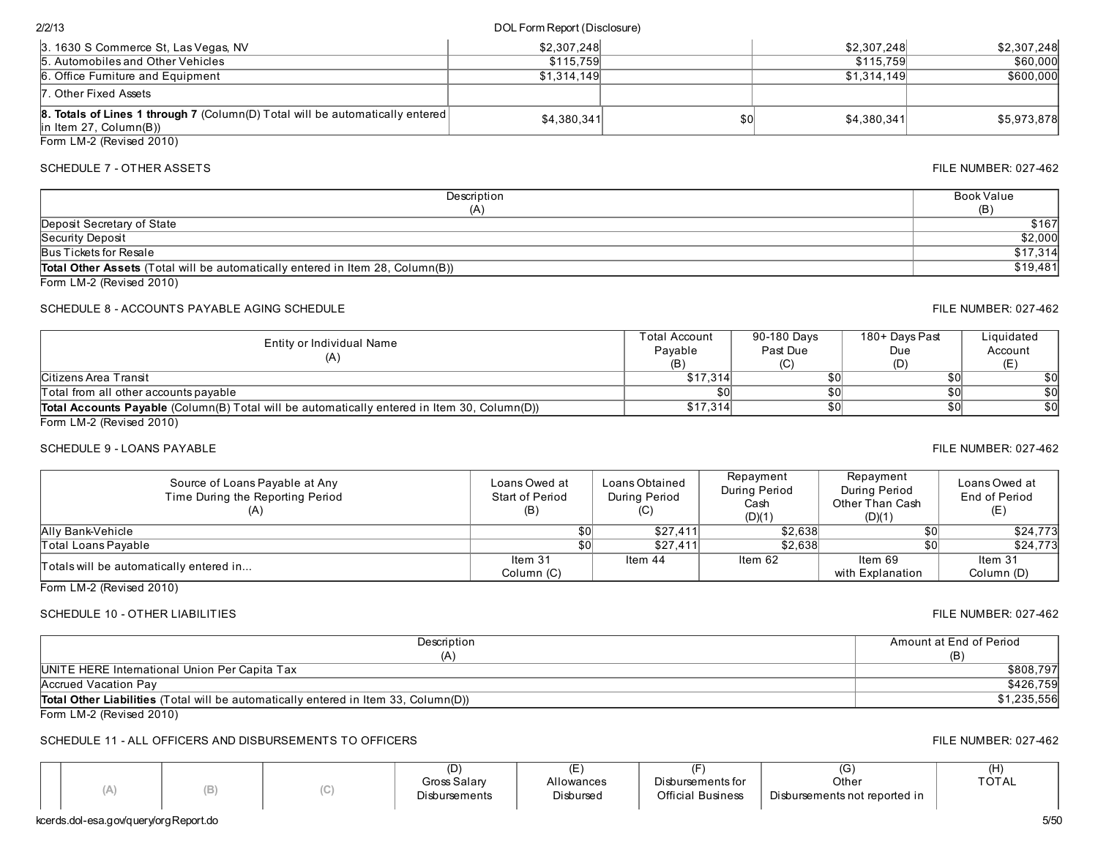Form LM-2 (Revised 2010)

# SCHEDULE 7 - OTHER ASSETS FILE NUMBER: 027-462

| Description                                                                           | Book Value |
|---------------------------------------------------------------------------------------|------------|
| (A)                                                                                   | (B)        |
| Deposit Secretary of State                                                            | \$167      |
| Security Deposit                                                                      | \$2,000    |
| Bus Tickets for Resale                                                                | \$17,314   |
| <b>Total Other Assets</b> (Total will be automatically entered in Item 28, Column(B)) | \$19,481   |
| Form $1 M-2$ (Revised $2010$ )                                                        |            |

# SCHEDULE 8 - ACCOUNTS PAYABLE AGING SCHEDULE FILE NUMBER: 027-462

| Entity or Individual Name<br>(A)                                                                    | Total Account<br>Pavable<br>(B) | 90-180 Days<br>Past Due | 180+ Days Past<br>Due<br>(D) | Liquidated<br>Account |
|-----------------------------------------------------------------------------------------------------|---------------------------------|-------------------------|------------------------------|-----------------------|
| <b>Citizens Area Transit</b>                                                                        | \$17.314                        | \$0                     |                              | \$0                   |
| Total from all other accounts payable                                                               |                                 | \$0 <sub>0</sub>        |                              | \$0                   |
| <b>Total Accounts Payable</b> (Column(B) Total will be automatically entered in Item 30, Column(D)) | \$17.314                        | \$0                     |                              | \$0                   |
| FormLM2/Dovical2010                                                                                 |                                 |                         |                              |                       |

Form LM-2 (Revised 2010)

# SCHEDULE 9 - LOANS PAYABLE 627-462

| Source of Loans Payable at Any<br>Time During the Reporting Period | Loans Owed at<br><b>Start of Period</b><br>(B) | Loans Obtained<br>During Period<br>(C) | Repayment<br>During Period<br>Cash<br>(D)(1) | Repayment<br>During Period<br>Other Than Cash<br>(D)(1) | Loans Owed at<br>End of Period<br>(E) |
|--------------------------------------------------------------------|------------------------------------------------|----------------------------------------|----------------------------------------------|---------------------------------------------------------|---------------------------------------|
| Ally Bank-Vehicle                                                  | \$0                                            | \$27,411                               | \$2,638                                      | <b>\$0</b>                                              | \$24,773                              |
| Total Loans Pavable                                                | \$0                                            | \$27.411                               | \$2.638                                      | \$0                                                     | \$24.773                              |
| Totals will be automatically entered in                            | Item 31                                        | Item 44                                | Item 62                                      | Item 69                                                 | Item 31                               |
|                                                                    | Column (C)                                     |                                        |                                              | with Explanation                                        | Column (D)                            |

Form LM-2 (Revised 2010)

# SCHEDULE 10 - OTHER LIABILITIES FILE NUMBER: 027-462

| Description                                                                                | Amount at End of Period |
|--------------------------------------------------------------------------------------------|-------------------------|
|                                                                                            |                         |
| UNITE HERE International Union Per Capita Tax                                              | \$808.797               |
| Accrued Vacation Pav                                                                       | \$426,759               |
| <b>Total Other Liabilities</b> (Total will be automatically entered in Item 33. Column(D)) | \$1,235,556             |
| Form $1 M.2$ (Revised $2010$ )                                                             |                         |

 $(E)$ Allowances Disbursed

 $(F)$ Disbursements for Official Business

 $(D)$ Gross Salary Disbursements

Form LM-2 (Revised 2010)

# SCHEDULE 11 - ALL OFFICERS AND DISBURSEMENTS TO OFFICERS

 $(A)$  (B)  $(C)$ 

| <b>FILE NUMBER: 027-462</b> |
|-----------------------------|
|-----------------------------|

TOTAL

# $(H)$

 $\overline{(G)}$ **Other** Disbursements not reported in

# 2/2/13 DOL Form Report (Disclosure)

| 3. 1630 S Commerce St. Las Vegas, NV                                                                              | \$2,307,248 |     | \$2.307.248 | \$2,307,248 |
|-------------------------------------------------------------------------------------------------------------------|-------------|-----|-------------|-------------|
| 5. Automobiles and Other Vehicles                                                                                 | \$115.759   |     | \$115,759   | \$60,000    |
| 6. Office Fumiture and Equipment                                                                                  | \$1.314.149 |     | \$1.314.149 | \$600,000   |
| 7. Other Fixed Assets                                                                                             |             |     |             |             |
| <b>8. Totals of Lines 1 through 7</b> (Column(D) Total will be automatically entered<br>$\ln$ ltem 27, Column(B)) | \$4.380.341 | \$0 | \$4.380.341 | \$5,973,878 |
| Form $M_2$ (Revised 2010)                                                                                         |             |     |             |             |

Form LM-2 (Revised 2010)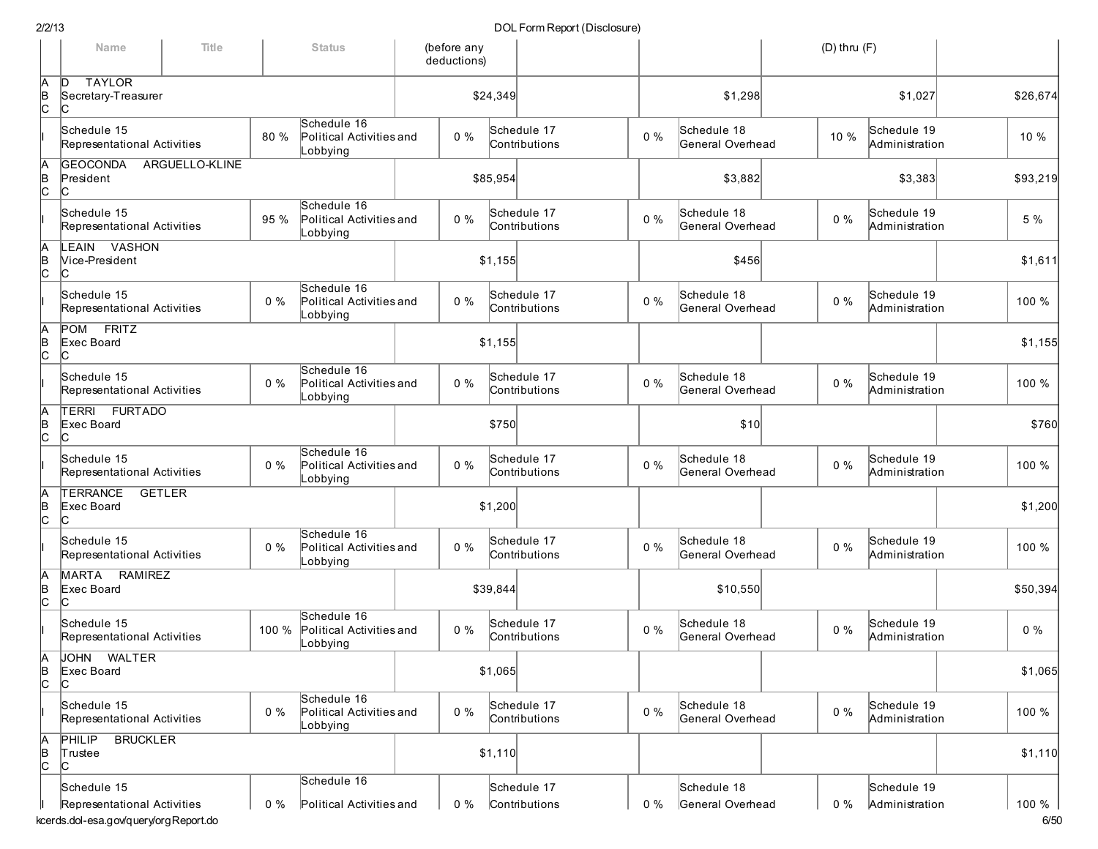|               | Name                                                  | Title<br><b>Status</b> |       |                                                     | (before any<br>deductions) |          |                              |       |                                 | $(D)$ thru $(F)$ |                               |          |
|---------------|-------------------------------------------------------|------------------------|-------|-----------------------------------------------------|----------------------------|----------|------------------------------|-------|---------------------------------|------------------|-------------------------------|----------|
| Ā<br>B<br>C   | <b>TAYLOR</b><br>ID.<br>Secretary-Treasurer<br>C      |                        |       |                                                     |                            | \$24,349 |                              |       | \$1,298                         |                  | \$1,027                       | \$26,674 |
|               | Schedule 15<br>Representational Activities            |                        | 80 %  | Schedule 16<br>Political Activities and<br>Lobbying | $0\%$                      |          | Schedule 17<br>Contributions | $0\%$ | Schedule 18<br>General Overhead | 10 %             | Schedule 19<br>Administration | 10 %     |
| A<br>B<br>C   | <b>GEOCONDA</b><br>President<br>IС                    | ARGUELLO-KLINE         |       |                                                     |                            | \$85,954 |                              |       | \$3,882                         |                  | \$3,383                       | \$93,219 |
|               | Schedule 15<br>Representational Activities            |                        | 95 %  | Schedule 16<br>Political Activities and<br>Lobbying | $0\%$                      |          | Schedule 17<br>Contributions | $0\%$ | Schedule 18<br>General Overhead | $0\%$            | Schedule 19<br>Administration | 5 %      |
| Ā<br>∣<br>c   | LEAIN VASHON<br>Vice-President<br>IС                  |                        |       |                                                     |                            | \$1,155  |                              |       | \$456                           |                  |                               | \$1,611  |
|               | Schedule 15<br>Representational Activities            |                        | $0\%$ | Schedule 16<br>Political Activities and<br>Lobbying | $0\%$                      |          | Schedule 17<br>Contributions | $0\%$ | Schedule 18<br>General Overhead | $0\%$            | Schedule 19<br>Administration | 100 %    |
| A<br> B<br> C | <b>FRITZ</b><br>POM<br>Exec Board<br>C                |                        |       |                                                     |                            | \$1,155  |                              |       |                                 |                  |                               | \$1,155  |
|               | Schedule 15<br>Representational Activities            |                        | $0\%$ | Schedule 16<br>Political Activities and<br>Lobbying | $0\%$                      |          | Schedule 17<br>Contributions | $0\%$ | Schedule 18<br>General Overhead | $0\%$            | Schedule 19<br>Administration | 100 %    |
| A<br>B<br>C   | <b>FURTADO</b><br>TERRI<br>Exec Board<br>C            |                        |       |                                                     |                            | \$750    |                              |       | \$10                            |                  |                               | \$760    |
|               | Schedule 15<br>Representational Activities            |                        | $0\%$ | Schedule 16<br>Political Activities and<br>Lobbying | $0\%$                      |          | Schedule 17<br>Contributions | $0\%$ | Schedule 18<br>General Overhead | $0\%$            | Schedule 19<br>Administration | 100 %    |
| $\frac{A}{C}$ | <b>TERRANCE</b><br><b>GETLER</b><br>Exec Board<br>lC. |                        |       |                                                     |                            | \$1,200  |                              |       |                                 |                  |                               | \$1,200  |
|               | Schedule 15<br>Representational Activities            |                        | $0\%$ | Schedule 16<br>Political Activities and<br>Lobbying | $0\%$                      |          | Schedule 17<br>Contributions | $0\%$ | Schedule 18<br>General Overhead | $0\%$            | Schedule 19<br>Administration | 100 %    |
| $\frac{A}{C}$ | RAMIREZ<br>MARTA<br>Exec Board<br>Iс                  |                        |       |                                                     |                            | \$39,844 |                              |       | \$10,550                        |                  |                               | \$50,394 |
|               | Schedule 15<br>Representational Activities            |                        | 100 % | Schedule 16<br>Political Activities and<br>Lobbying | $0\%$                      |          | Schedule 17<br>Contributions | $0\%$ | Schedule 18<br>General Overhead | 0%               | Schedule 19<br>Administration | $0\%$    |
| Ā<br> в<br> С | JOHN WALTER<br>Exec Board<br>IС                       |                        |       |                                                     |                            | \$1,065  |                              |       |                                 |                  |                               | \$1,065  |
|               | Schedule 15<br>Representational Activities            |                        | $0\%$ | Schedule 16<br>Political Activities and<br>Lobbying | $0\%$                      |          | Schedule 17<br>Contributions | $0\%$ | Schedule 18<br>General Overhead | $0\%$            | Schedule 19<br>Administration | 100 %    |
| A<br>B<br>C   | <b>BRUCKLER</b><br>PHILIP<br>Trustee<br>c             |                        |       |                                                     |                            | \$1,110  |                              |       |                                 |                  |                               | \$1,110  |
|               | Schedule 15<br>Representational Activities            |                        | $0\%$ | Schedule 16<br>Political Activities and             | 0 %                        |          | Schedule 17<br>Contributions | $0\%$ | Schedule 18<br>General Overhead | $0\%$            | Schedule 19<br>Administration | 100 %    |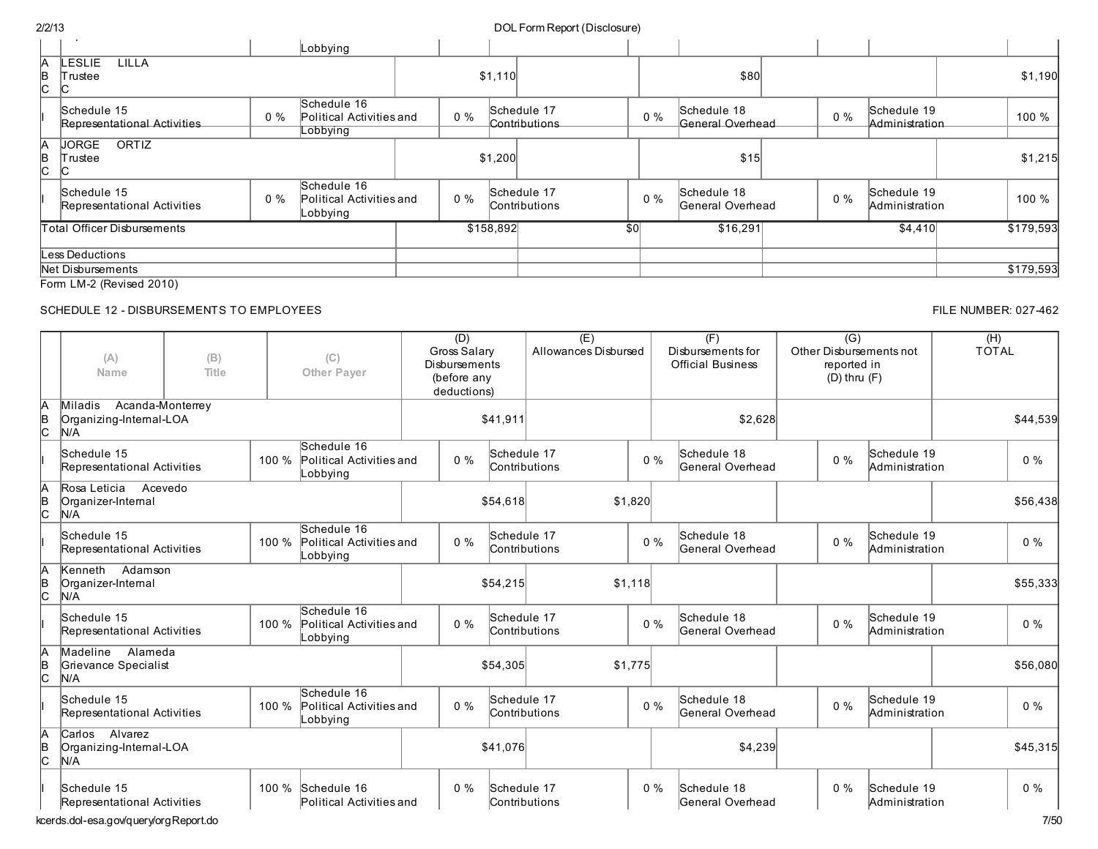| ---           |                                            |                                  |                                                     |                          |         |           | 50 Set 1 01 11 1 1 1 0 poi t ( D 1 0 0 1 0 0 0 1 1 0 1 |     |       |                                 |  |       |                               |           |
|---------------|--------------------------------------------|----------------------------------|-----------------------------------------------------|--------------------------|---------|-----------|--------------------------------------------------------|-----|-------|---------------------------------|--|-------|-------------------------------|-----------|
|               |                                            |                                  | Lobbying                                            |                          |         |           |                                                        |     |       |                                 |  |       |                               |           |
| A<br>B<br>IC. | LESLIE<br>LILLA<br>Trustee                 |                                  |                                                     |                          |         | \$1,110   |                                                        |     |       | \$80                            |  |       |                               | \$1,190   |
|               | Schedule 15<br>Representational Activities | Schedule 16<br>$0\%$<br>Lobbying |                                                     | Political Activities and | $0\%$   |           | Schedule 17<br>Contributions                           |     | 0%    | Schedule 18<br>General Overhead |  | $0\%$ | Schedule 19<br>Administration | 100 %     |
| A<br>B<br>lC. | <b>JORGE</b><br>ORTIZ<br>Trustee           |                                  |                                                     |                          | \$1,200 |           |                                                        |     |       | \$15                            |  |       |                               | \$1,215   |
|               | Schedule 15<br>Representational Activities | $0\%$                            | Schedule 16<br>Political Activities and<br>Lobbying |                          | $0\%$   |           | Schedule 17<br>Contributions                           |     | $0\%$ | Schedule 18<br>General Overhead |  | $0\%$ | Schedule 19<br>Administration | 100 %     |
|               | <b>Total Officer Disbursements</b>         |                                  |                                                     |                          |         | \$158,892 |                                                        | \$0 |       | \$16,291                        |  |       | \$4,410                       | \$179,593 |
|               | ess Deductions.                            |                                  |                                                     |                          |         |           |                                                        |     |       |                                 |  |       |                               |           |
|               | Net Disbursements                          |                                  |                                                     |                          |         |           |                                                        |     |       |                                 |  |       |                               | \$179,593 |
|               | Form LM-2 (Revised 2010)                   |                                  |                                                     |                          |         |           |                                                        |     |       |                                 |  |       |                               |           |

### SCHEDULE 12 - DISBURSEMENTS TO EMPLOYEES FILE NUMBER: 027-462

#### (A) Name (B) Title (C) Other Payer  $(D)$ Gross Salary Disbursements (before any deductions) (E) Allowances Disbursed  $(F)$ Disbursements for Official Business  $\overline{(G)}$ Other Disbursementsnot reported in (D) thru (F)  $(H)$ TOTAL A B  $\mathsf{c}$ Miladis Acanda-Monterrey Organizing-Internal-LOA N/A \$41,911 \$2,628 \$44,539 I Schedule 15 Representational Activities 100 % Schedule 16 Political Activitiesand Lobbying 0 % Schedule 17 Contributions 0 % Schedule 18 General Overhead 0 % Schedule 19 Administration 0 % A B C Rosa Leticia Acevedo Organizer-Internal N/A \$54,618 \$1,820 \$1,820 \$56,438 \$1,820 \$56,438 I Schedule 15 Representational Activities 100 % Schedule 16 Political Activitiesand Lobbying 0 % Schedule 17 Contributions 0 % Schedule 18 General Overhead 0 % Schedule 19 Administration 0 % A B  $\mathsf{c}$ Kenneth Adamson Organizer-Internal N/A \$54,215 \$1,118 \$55,333 I Schedule 15 Representational Activities 100 % Schedule 16 Political Activitiesand Lobbying 0 % Schedule 17 Contributions 0 % Schedule 18 General Overhead 0 % Schedule 19 Administration 0 % A B C Madeline Alameda Grievance Specialist N/A \$54,305 \$1,775 \$56,080 I Schedule 15 Representational Activities 100 % Schedule 16 Political Activitiesand Lobbying 0 % Schedule 17 Contributions 0 % Schedule 18 General Overhead 0 % Schedule 19 Administration 0 % A B  $\mathsf{c}% _{0}$ Carlos Alvarez Organizing-Internal-LOA N/A \$41,076 \$45,315 \$4,239 \$45,315 \$45,315 \$45,315 Schedule 15 Representational Activities 100 % Schedule 16 Political Activitiesand 0 % Schedule 17 Contributions 0 % Schedule 18 General Overhead 0 % Schedule 19 Administration 0 %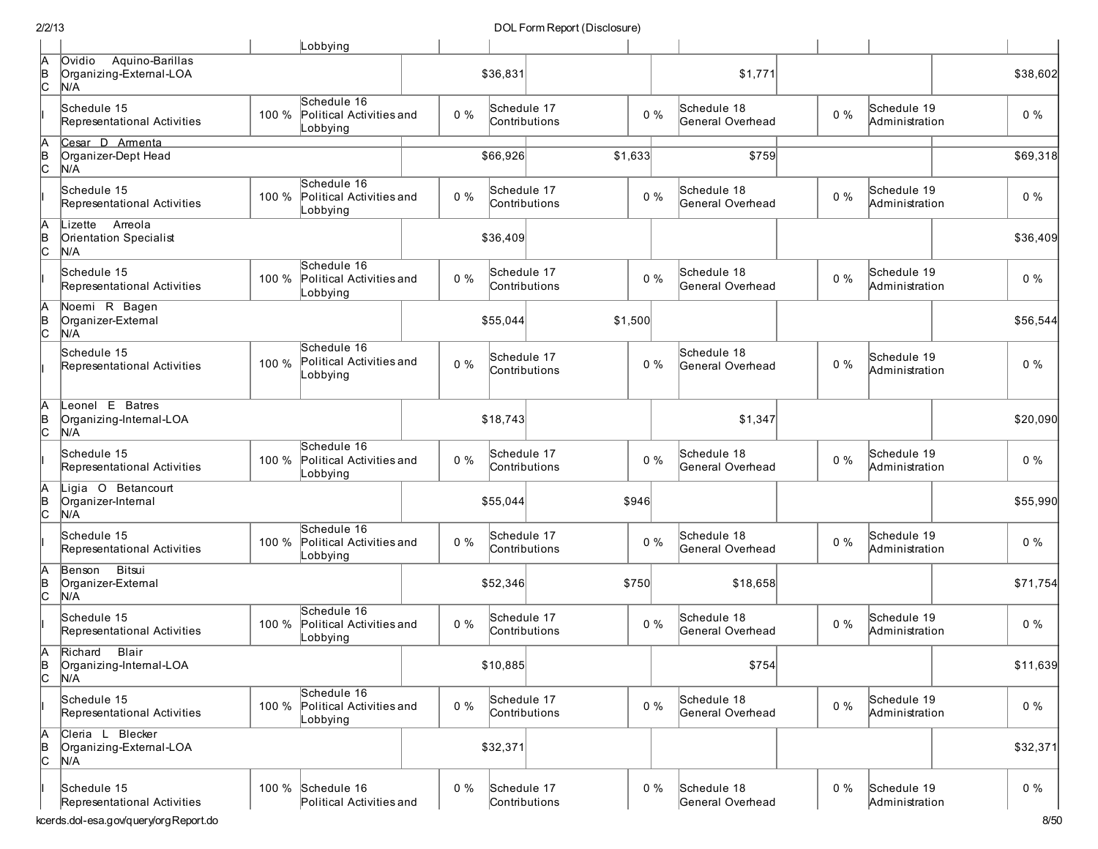|                    |                                                                            |       | Lobbying                                            |       |                              |         |       |                                 |       |                               |                           |
|--------------------|----------------------------------------------------------------------------|-------|-----------------------------------------------------|-------|------------------------------|---------|-------|---------------------------------|-------|-------------------------------|---------------------------|
| Ā<br> в<br> С      | Aquino-Barillas<br>Ovidio<br>Organizing-External-LOA<br>N/A                |       |                                                     |       | \$36,831                     |         |       | \$1,771                         |       |                               | \$38,602                  |
|                    | Schedule 15<br>Representational Activities                                 | 100 % | Schedule 16<br>Political Activities and<br>_obbying | $0\%$ | Schedule 17<br>Contributions |         | $0\%$ | Schedule 18<br>General Overhead | $0\%$ | Schedule 19<br>Administration | $0\%$                     |
| $\overline{A}_{B}$ | Cesar D Armenta                                                            |       |                                                     |       |                              |         |       |                                 |       |                               |                           |
| c                  | Organizer-Dept Head<br>N/A                                                 |       |                                                     |       | \$66,926                     | \$1,633 |       | \$759                           |       |                               | \$69,318                  |
|                    | Schedule 15<br>Representational Activities                                 | 100 % | Schedule 16<br>Political Activities and<br>_obbying | $0\%$ | Schedule 17<br>Contributions |         | $0\%$ | Schedule 18<br>General Overhead | $0\%$ | Schedule 19<br>Administration | $0\%$                     |
| A<br>B<br>C        | Arreola<br>Lizette<br>Orientation Specialist<br>N/A                        |       |                                                     |       | \$36,409                     |         |       |                                 |       |                               | \$36,409                  |
|                    | Schedule 15<br>Representational Activities                                 | 100 % | Schedule 16<br>Political Activities and<br>Lobbying | $0\%$ | Schedule 17<br>Contributions |         | $0\%$ | Schedule 18<br>General Overhead | $0\%$ | Schedule 19<br>Administration | $0\%$                     |
| A<br>B<br>C        | Noemi R Bagen<br>Organizer-External<br>N/A                                 |       |                                                     |       | \$55,044                     | \$1,500 |       |                                 |       |                               | \$56,544                  |
|                    | Schedule 15<br>Representational Activities                                 | 100 % | Schedule 16<br>Political Activities and<br>Lobbying | $0\%$ | Schedule 17<br>Contributions |         | $0\%$ | Schedule 18<br>General Overhead | $0\%$ | Schedule 19<br>Administration | 0%                        |
| A<br>B<br>C        | Leonel E Batres<br>Organizing-Internal-LOA<br>N/A                          |       |                                                     |       | \$18,743                     |         |       | \$1,347                         |       |                               | \$20,090                  |
|                    | Schedule 15<br>Representational Activities                                 | 100 % | Schedule 16<br>Political Activities and<br>Lobbying | $0\%$ | Schedule 17<br>Contributions |         | $0\%$ | Schedule 18<br>General Overhead | $0\%$ | Schedule 19<br>Administration | $0\%$                     |
| A<br>B<br>C        | Ligia O Betancourt<br>Organizer-Internal<br>N/A                            |       |                                                     |       | \$55,044                     | \$946   |       |                                 |       |                               | \$55,990                  |
|                    | Schedule 15<br>Representational Activities                                 | 100 % | Schedule 16<br>Political Activities and<br>Lobbying | $0\%$ | Schedule 17<br>Contributions |         | $0\%$ | Schedule 18<br>General Overhead | $0\%$ | Schedule 19<br>Administration | $0\%$                     |
| A<br>B<br>C        | Bitsui<br>Benson<br>Organizer-External<br>N/A                              |       |                                                     |       | \$52,346                     | \$750   |       | \$18,658                        |       |                               | \$71,754                  |
|                    | Schedule 15<br>Representational Activities                                 | 100 % | Schedule 16<br>Political Activities and<br>Lobbying | $0\%$ | Schedule 17<br>Contributions |         | $0\%$ | Schedule 18<br>General Overhead | $0\%$ | Schedule 19<br>Administration | $0\%$                     |
| A<br> B<br> C      | Blair<br>Richard<br>Organizing-Internal-LOA<br>N/A                         |       |                                                     |       | \$10,885                     |         |       | \$754                           |       |                               | \$11,639                  |
|                    | Schedule 15<br>Representational Activities                                 | 100 % | Schedule 16<br>Political Activities and<br>Lobbying | $0\%$ | Schedule 17<br>Contributions |         | $0\%$ | Schedule 18<br>General Overhead | $0\%$ | Schedule 19<br>Administration | $0\%$                     |
| A<br>B<br>C        | Cleria L Blecker<br>Organizing-External-LOA<br>N/A                         |       |                                                     |       | \$32,371                     |         |       |                                 |       |                               | \$32,371                  |
|                    | Schedule 15<br>Representational Activities<br>ong a qulquonulora Donort do | 100 % | Schedule 16<br>Political Activities and             | $0\%$ | Schedule 17<br>Contributions |         | $0\%$ | Schedule 18<br>General Overhead | $0\%$ | Schedule 19<br>Administration | $0\%$<br>0/L <sub>0</sub> |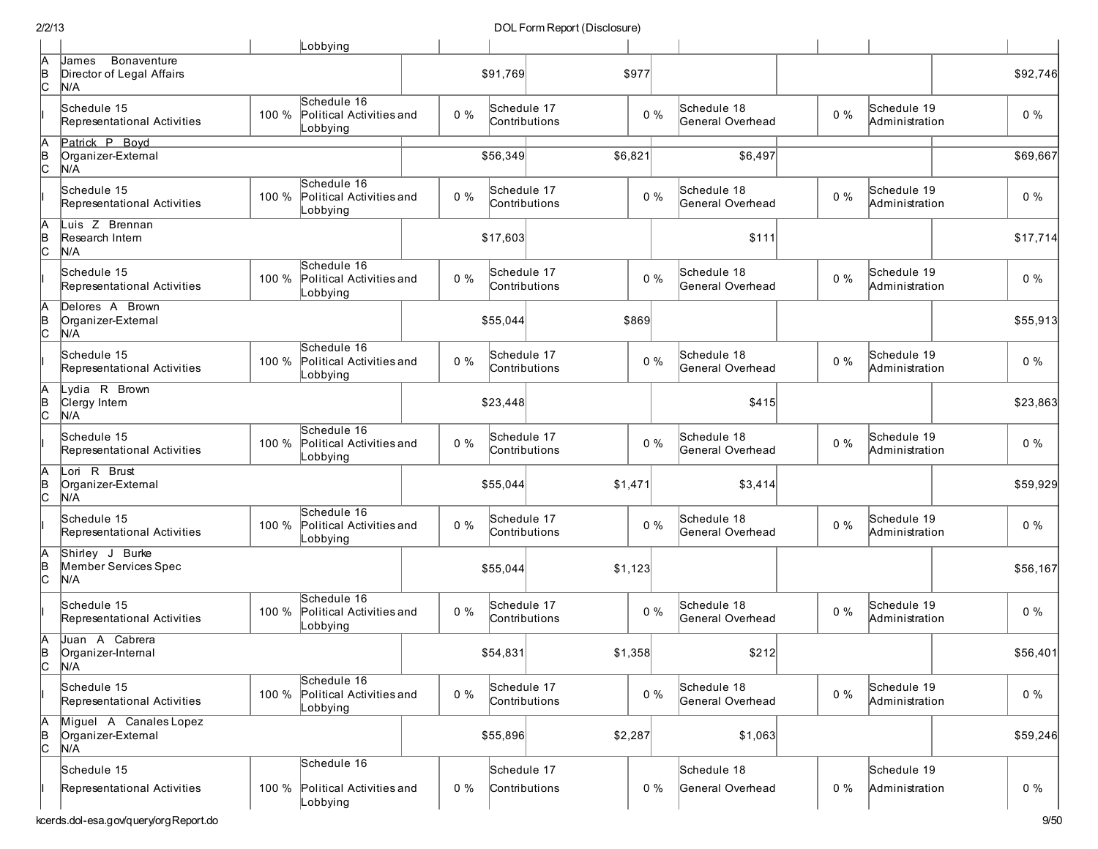|               |                                                          |       | Lobbying                                                  |       |                              |         |                                 |       |                               |          |
|---------------|----------------------------------------------------------|-------|-----------------------------------------------------------|-------|------------------------------|---------|---------------------------------|-------|-------------------------------|----------|
| А<br> в<br>С  | Bonaventure<br>James<br>Director of Legal Affairs<br>N/A |       |                                                           |       | \$91,769                     | \$977   |                                 |       |                               | \$92,746 |
|               | Schedule 15<br>Representational Activities               | 100 % | Schedule 16<br>Political Activities and<br>Lobbying       | $0\%$ | Schedule 17<br>Contributions | $0\%$   | Schedule 18<br>General Overhead | $0\%$ | Schedule 19<br>Administration | $0\%$    |
| A<br>B<br>c.  | Patrick P Boyd<br>Organizer-External<br>N/A              |       |                                                           |       | \$56,349                     | \$6,821 | \$6,497                         |       |                               | \$69,667 |
|               | Schedule 15<br>Representational Activities               | 100 % | Schedule 16<br>Political Activities and<br>Lobbying       | $0\%$ | Schedule 17<br>Contributions | $0\%$   | Schedule 18<br>General Overhead | $0\%$ | Schedule 19<br>Administration | $0\%$    |
| A<br>B<br>c.  | Luis Z Brennan<br>Research Intern<br>N/A                 |       |                                                           |       | \$17,603                     |         | \$111                           |       |                               | \$17,714 |
|               | Schedule 15<br>Representational Activities               | 100 % | Schedule 16<br>Political Activities and<br>Lobbying       | $0\%$ | Schedule 17<br>Contributions | $0\%$   | Schedule 18<br>General Overhead | $0\%$ | Schedule 19<br>Administration | $0\%$    |
| A<br>þ<br>lc. | Delores A Brown<br>Organizer-External<br>N/A             |       |                                                           |       | \$55,044                     | \$869   |                                 |       |                               | \$55,913 |
|               | Schedule 15<br>Representational Activities               | 100 % | Schedule 16<br>Political Activities and<br>Lobbying       | $0\%$ | Schedule 17<br>Contributions | $0\%$   | Schedule 18<br>General Overhead | $0\%$ | Schedule 19<br>Administration | $0\%$    |
| A<br>B<br>C   | Lydia R Brown<br>Clergy Intern<br>N/A                    |       |                                                           |       | \$23,448                     |         | \$415                           |       |                               | \$23,863 |
|               | Schedule 15<br>Representational Activities               | 100 % | Schedule 16<br>Political Activities and<br>Lobbying       | $0\%$ | Schedule 17<br>Contributions | $0\%$   | Schedule 18<br>General Overhead | $0\%$ | Schedule 19<br>Administration | $0\%$    |
| A<br> в<br> С | Lori R Brust<br>Organizer-External<br>N/A                |       |                                                           |       | \$55,044                     | \$1,471 | \$3,414                         |       |                               | \$59,929 |
|               | Schedule 15<br>Representational Activities               |       | Schedule 16<br>100 % Political Activities and<br>Lobbying | $0\%$ | Schedule 17<br>Contributions | $0\%$   | Schedule 18<br>General Overhead | $0\%$ | Schedule 19<br>Administration | $0\%$    |
| þ<br>lc.      | Shirley J Burke<br>Member Services Spec<br>N/A           |       |                                                           |       | \$55,044                     | \$1,123 |                                 |       |                               | \$56,167 |
|               | Schedule 15<br>Representational Activities               | 100 % | Schedule 16<br>Political Activities and<br>Lobbying       | $0\%$ | Schedule 17<br>Contributions | $0\%$   | Schedule 18<br>General Overhead | $0\%$ | Schedule 19<br>Administration | $0\%$    |
| A<br>B<br>lc. | Juan A Cabrera<br>Organizer-Internal<br>N/A              |       |                                                           |       | \$54,831                     | \$1.358 | \$212                           |       |                               | \$56,401 |
|               | Schedule 15<br>Representational Activities               | 100 % | Schedule 16<br>Political Activities and<br>Lobbying       | $0\%$ | Schedule 17<br>Contributions | $0\%$   | Schedule 18<br>General Overhead | $0\%$ | Schedule 19<br>Administration | $0\%$    |
| A<br>B<br>C   | Miguel A Canales Lopez<br>Organizer-External<br>N/A      |       |                                                           |       | \$55,896                     | \$2,287 | \$1,063                         |       |                               | \$59,246 |
|               | Schedule 15                                              |       | Schedule 16                                               |       | Schedule 17                  |         | Schedule 18                     |       | Schedule 19                   |          |
|               | Representational Activities                              | 100 % | Political Activities and<br>Lobbying                      | $0\%$ | Contributions                | $0\%$   | General Overhead                | $0\%$ | Administration                | $0\%$    |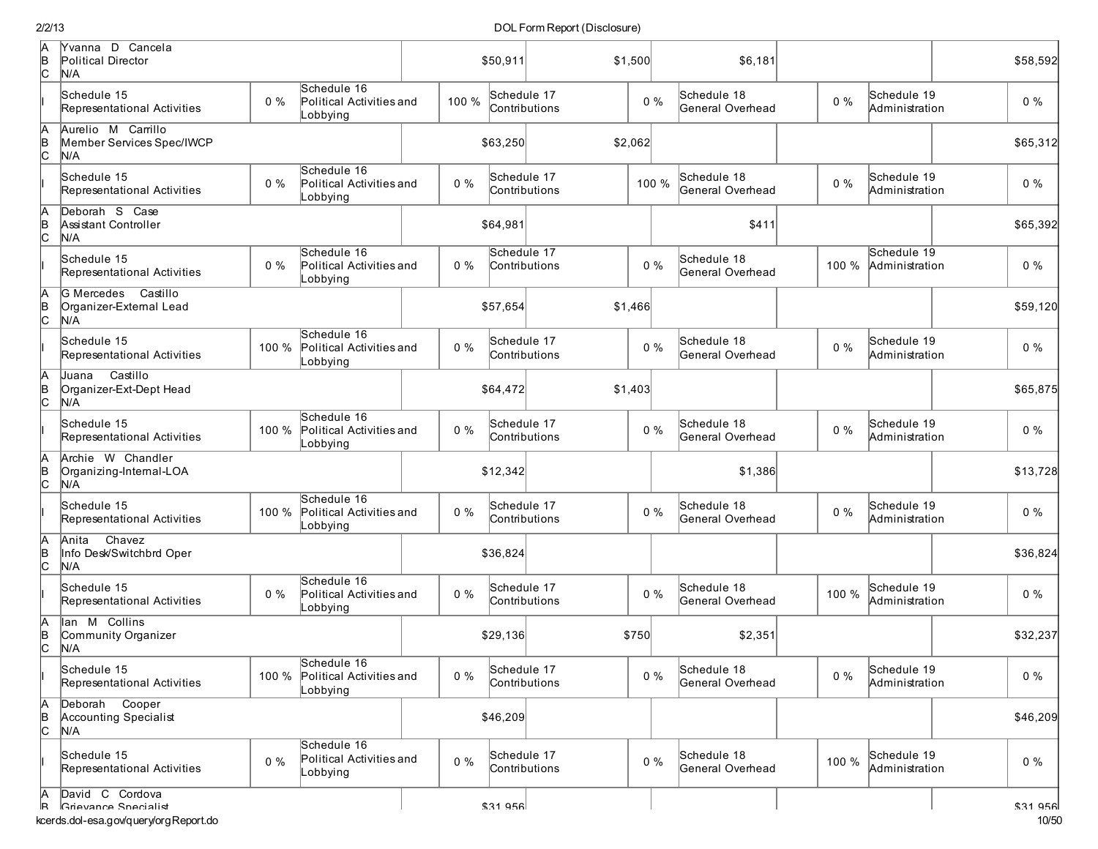DOL Form Report (Disclosure)

| A<br>B<br>C   | Yvanna D Cancela<br>Political Director<br>N/A          |       |                                                           |       | \$50,911 | \$1,500                      |       | \$6,181                         |       |                               | \$58,592 |
|---------------|--------------------------------------------------------|-------|-----------------------------------------------------------|-------|----------|------------------------------|-------|---------------------------------|-------|-------------------------------|----------|
|               | Schedule 15<br>Representational Activities             | $0\%$ | Schedule 16<br>Political Activities and<br>Lobbying       | 100 % |          | Schedule 17<br>Contributions | $0\%$ | Schedule 18<br>General Overhead | $0\%$ | Schedule 19<br>Administration | $0\%$    |
| A<br>B<br>C   | Aurelio M Carrillo<br>Member Services Spec/IWCP<br>N/A |       |                                                           |       | \$63,250 | \$2,062                      |       |                                 |       |                               | \$65,312 |
|               | Schedule 15<br>Representational Activities             | 0%    | Schedule 16<br>Political Activities and<br>_obbying       | $0\%$ |          | Schedule 17<br>Contributions | 100 % | Schedule 18<br>General Overhead | $0\%$ | Schedule 19<br>Administration | $0\%$    |
| $\frac{A}{C}$ | Deborah S Case<br>Assistant Controller<br>N/A          |       |                                                           |       | \$64,981 |                              |       | \$411                           |       |                               | \$65,392 |
|               | Schedule 15<br>Representational Activities             | $0\%$ | Schedule 16<br>Political Activities and<br>Lobbying       | $0\%$ |          | Schedule 17<br>Contributions | $0\%$ | Schedule 18<br>General Overhead | 100 % | Schedule 19<br>Administration | $0\%$    |
| A<br>B<br>C   | G Mercedes Castillo<br>Organizer-External Lead<br>N/A  |       |                                                           |       | \$57,654 | \$1,466                      |       |                                 |       |                               | \$59,120 |
|               | Schedule 15<br>Representational Activities             | 100 % | Schedule 16<br>Political Activities and<br>Lobbying       | $0\%$ |          | Schedule 17<br>Contributions | $0\%$ | Schedule 18<br>General Overhead | $0\%$ | Schedule 19<br>Administration | $0\%$    |
| A<br>B<br>C   | Castillo<br>Juana<br>Organizer-Ext-Dept Head<br>N/A    |       |                                                           |       | \$64,472 | \$1,403                      |       |                                 |       |                               | \$65,875 |
|               | Schedule 15<br>Representational Activities             | 100 % | Schedule 16<br>Political Activities and<br>Lobbying       | $0\%$ |          | Schedule 17<br>Contributions | $0\%$ | Schedule 18<br>General Overhead | $0\%$ | Schedule 19<br>Administration | $0\%$    |
| A<br>B<br>C   | Archie W Chandler<br>Organizing-Internal-LOA<br>N/A    |       |                                                           |       | \$12,342 |                              |       | \$1,386                         |       |                               | \$13,728 |
|               | Schedule 15<br>Representational Activities             | 100 % | Schedule 16<br>Political Activities and<br>Lobbying       | $0\%$ |          | Schedule 17<br>Contributions | $0\%$ | Schedule 18<br>General Overhead | $0\%$ | Schedule 19<br>Administration | $0\%$    |
| A<br>B<br>C   | Chavez<br>Anita<br>Info Desk/Switchbrd Oper<br>N/A     |       |                                                           |       | \$36,824 |                              |       |                                 |       |                               | \$36,824 |
|               | Schedule 15<br>Representational Activities             | $0\%$ | Schedule 16<br>Political Activities and<br>Lobbying       | $0\%$ |          | Schedule 17<br>Contributions | $0\%$ | Schedule 18<br>General Overhead | 100 % | Schedule 19<br>Administration | $0\%$    |
| A<br>B<br>C   | lan M Collins<br>Community Organizer<br>N/A            |       |                                                           |       | \$29,136 |                              | \$750 | \$2,351                         |       |                               | \$32,237 |
|               | Schedule 15<br>Representational Activities             |       | Schedule 16<br>100 % Political Activities and<br>Lobbying | $0\%$ |          | Schedule 17<br>Contributions | $0\%$ | Schedule 18<br>General Overhead | $0\%$ | Schedule 19<br>Administration | $0\%$    |
| $\frac{A}{C}$ | Cooper<br>Deborah<br>Accounting Specialist<br>N/A      |       |                                                           |       | \$46,209 |                              |       |                                 |       |                               | \$46,209 |
|               | Schedule 15<br>Representational Activities             | $0\%$ | Schedule 16<br>Political Activities and<br>Lobbying       | $0\%$ |          | Schedule 17<br>Contributions | $0\%$ | Schedule 18<br>General Overhead | 100 % | Schedule 19<br>Administration | $0\%$    |
| А<br>R        | David C Cordova<br>Grievance Snecialie                 |       |                                                           |       | \$3195   |                              |       |                                 |       |                               | \$3195   |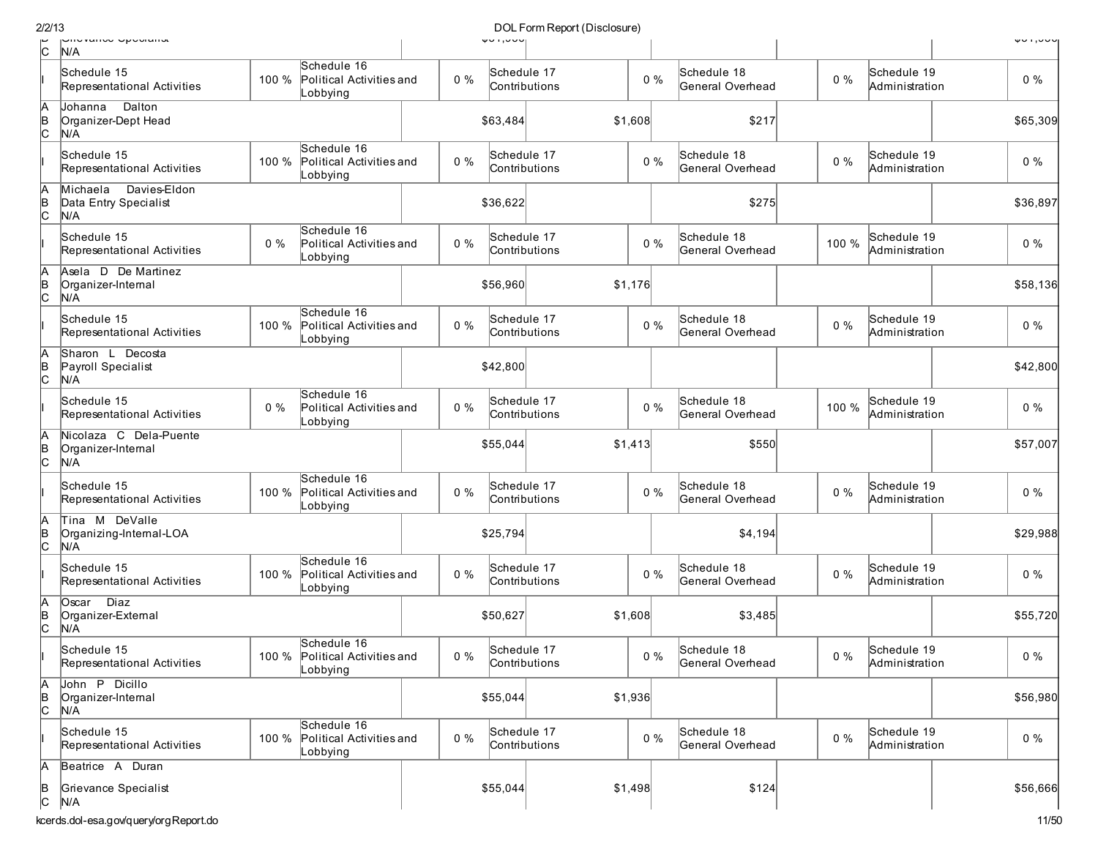| c              | <b>UNGVANUE UPEURNA</b><br>N/A                           |       |                                                           |       | 401,000  |                              |         |                                 |       |                               | 401,000  |
|----------------|----------------------------------------------------------|-------|-----------------------------------------------------------|-------|----------|------------------------------|---------|---------------------------------|-------|-------------------------------|----------|
|                | Schedule 15<br>Representational Activities               | 100 % | Schedule 16<br>Political Activities and<br>Lobbying       | $0\%$ |          | Schedule 17<br>Contributions | $0\%$   | Schedule 18<br>General Overhead | $0\%$ | Schedule 19<br>Administration | $0\%$    |
| A<br> в<br> С  | Dalton<br>Johanna<br>Organizer-Dept Head<br>N/A          |       |                                                           |       | \$63,484 |                              | \$1,608 | \$217                           |       |                               | \$65,309 |
|                | Schedule 15<br>Representational Activities               | 100 % | Schedule 16<br>Political Activities and<br>Lobbying       | $0\%$ |          | Schedule 17<br>Contributions | $0\%$   | Schedule 18<br>General Overhead | $0\%$ | Schedule 19<br>Administration | $0\%$    |
| Α<br>B<br>C    | Davies-Eldon<br>Michaela<br>Data Entry Specialist<br>N/A |       |                                                           |       | \$36,622 |                              |         | \$275                           |       |                               | \$36,897 |
|                | Schedule 15<br>Representational Activities               | $0\%$ | Schedule 16<br>Political Activities and<br>Lobbying       | $0\%$ |          | Schedule 17<br>Contributions | $0\%$   | Schedule 18<br>General Overhead | 100 % | Schedule 19<br>Administration | $0\%$    |
| A<br> в<br> C  | Asela D De Martinez<br>Organizer-Internal<br>N/A         |       |                                                           |       | \$56,960 |                              | \$1,176 |                                 |       |                               | \$58,136 |
|                | Schedule 15<br>Representational Activities               | 100 % | Schedule 16<br>Political Activities and<br>_obbying       | $0\%$ |          | Schedule 17<br>Contributions | $0\%$   | Schedule 18<br>General Overhead | 0%    | Schedule 19<br>Administration | $0\%$    |
| А<br> B<br> C  | Sharon L Decosta<br>Payroll Specialist<br>N/A            |       |                                                           |       | \$42,800 |                              |         |                                 |       |                               | \$42,800 |
|                | Schedule 15<br>Representational Activities               | $0\%$ | Schedule 16<br>Political Activities and<br>Lobbying       | $0\%$ |          | Schedule 17<br>Contributions | $0\%$   | Schedule 18<br>General Overhead | 100 % | Schedule 19<br>Administration | $0\%$    |
| A<br> в<br> C  | Nicolaza C Dela-Puente<br>Organizer-Internal<br>N/A      |       |                                                           |       | \$55,044 |                              | \$1,413 | \$550                           |       |                               | \$57,007 |
|                | Schedule 15<br>Representational Activities               | 100 % | Schedule 16<br>Political Activities and<br>Lobbying       | $0\%$ |          | Schedule 17<br>Contributions | $0\%$   | Schedule 18<br>General Overhead | $0\%$ | Schedule 19<br>Administration | $0\%$    |
| A<br> B<br> C  | Tina M DeValle<br>Organizing-Internal-LOA<br>N/A         |       |                                                           |       | \$25,794 |                              |         | \$4,194                         |       |                               | \$29,988 |
|                | Schedule 15<br>Representational Activities               | 100 % | Schedule 16<br>Political Activities and<br>Lobbying       | $0\%$ |          | Schedule 17<br>Contributions | $0\%$   | Schedule 18<br>General Overhead | $0\%$ | Schedule 19<br>Administration | $0\%$    |
| A<br> в<br> C  | <b>Diaz</b><br>Ostar<br>Organizer-External<br>N/A        |       |                                                           |       | \$50,627 |                              | \$1,608 | \$3,485                         |       |                               | \$55,720 |
|                | Schedule 15<br>Representational Activities               |       | Schedule 16<br>100 % Political Activities and<br>Lobbying | $0\%$ |          | Schedule 17<br>Contributions | $0\%$   | Schedule 18<br>General Overhead | $0\%$ | Schedule 19<br>Administration | $0\%$    |
| A<br>B<br>C    | John P Dicillo<br>Organizer-Internal<br>N/A              |       |                                                           |       | \$55,044 |                              | \$1,936 |                                 |       |                               | \$56,980 |
|                | Schedule 15<br>Representational Activities               | 100 % | Schedule 16<br>Political Activities and<br>Lobbying       | $0\%$ |          | Schedule 17<br>Contributions | $0\%$   | Schedule 18<br>General Overhead | $0\%$ | Schedule 19<br>Administration | $0\%$    |
| А              | Beatrice A Duran                                         |       |                                                           |       |          |                              |         |                                 |       |                               |          |
| $\overline{C}$ | Grievance Specialist<br>N/A                              |       |                                                           |       | \$55,044 |                              | \$1,498 | \$124                           |       |                               | \$56,666 |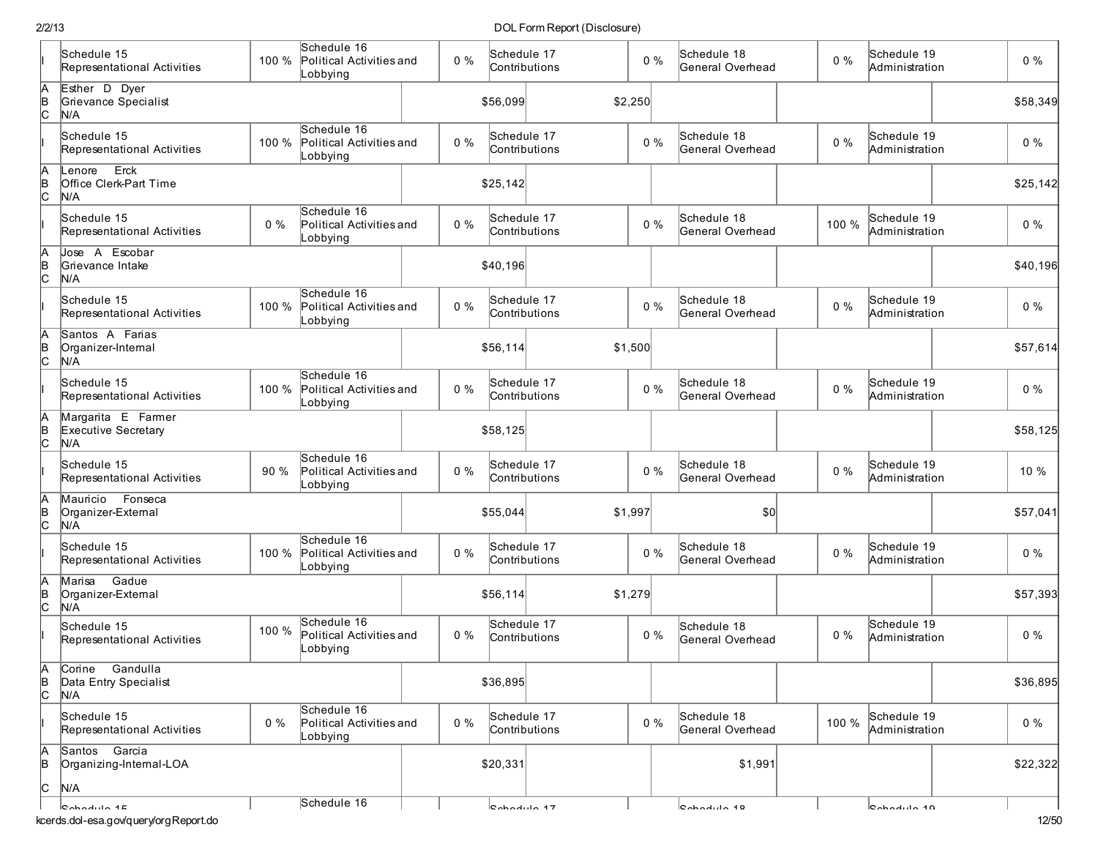|                      | Schedule 15<br>Representational Activities         | 100 % | Schedule 16<br>Political Activities and<br>Lobbying | $0\%$ | Schedule 17<br>Contributions    |         | $0\%$ | Schedule 18<br>General Overhead | $0\%$ | Schedule 19<br>Administration | 0%       |
|----------------------|----------------------------------------------------|-------|-----------------------------------------------------|-------|---------------------------------|---------|-------|---------------------------------|-------|-------------------------------|----------|
| $A$ <sub>B</sub> $C$ | Esther D Dyer<br>Grievance Specialist<br>N/A       |       |                                                     |       | \$56,099                        | \$2,250 |       |                                 |       |                               | \$58,349 |
|                      | Schedule 15<br>Representational Activities         | 100 % | Schedule 16<br>Political Activities and<br>Lobbying | $0\%$ | Schedule 17<br>Contributions    |         | $0\%$ | Schedule 18<br>General Overhead | $0\%$ | Schedule 19<br>Administration | $0\%$    |
| A<br>B<br>C          | Erck<br>Lenore<br>Office Clerk-Part Time<br>N/A    |       |                                                     |       | \$25,142                        |         |       |                                 |       |                               | \$25,142 |
|                      | Schedule 15<br>Representational Activities         | $0\%$ | Schedule 16<br>Political Activities and<br>Lobbying | $0\%$ | Schedule 17<br>Contributions    |         | $0\%$ | Schedule 18<br>General Overhead | 100 % | Schedule 19<br>Administration | $0\%$    |
| A<br>B<br>C          | Jose A Escobar<br>Grievance Intake<br>N/A          |       |                                                     |       | \$40,196                        |         |       |                                 |       |                               | \$40,196 |
|                      | Schedule 15<br>Representational Activities         | 100 % | Schedule 16<br>Political Activities and<br>Lobbying | $0\%$ | Schedule 17<br>Contributions    |         | $0\%$ | Schedule 18<br>General Overhead | $0\%$ | Schedule 19<br>Administration | 0%       |
| A<br>B<br>C          | Santos A Farias<br>Organizer-Internal<br>N/A       |       |                                                     |       | \$56,114                        | \$1,500 |       |                                 |       |                               | \$57,614 |
|                      | Schedule 15<br>Representational Activities         | 100 % | Schedule 16<br>Political Activities and<br>Lobbying | $0\%$ | Schedule 17<br>Contributions    |         | $0\%$ | Schedule 18<br>General Overhead | $0\%$ | Schedule 19<br>Administration | $0\%$    |
| A<br>B<br>C          | Margarita E Farmer<br>Executive Secretary<br>N/A   |       |                                                     |       | \$58,125                        |         |       |                                 |       |                               | \$58,125 |
|                      | Schedule 15<br>Representational Activities         | 90 %  | Schedule 16<br>Political Activities and<br>Lobbying | $0\%$ | Schedule 17<br>Contributions    |         | $0\%$ | Schedule 18<br>General Overhead | $0\%$ | Schedule 19<br>Administration | 10 %     |
| Ā<br>$\overline{c}$  | Mauricio Fonseca<br>Organizer-External<br>N/A      |       |                                                     |       | \$55,044                        | \$1,997 |       | \$0                             |       |                               | \$57,041 |
|                      | Schedule 15<br>Representational Activities         | 100 % | Schedule 16<br>Political Activities and<br>Lobbying | $0\%$ | Schedule 17<br>Contributions    |         | $0\%$ | Schedule 18<br>General Overhead | $0\%$ | Schedule 19<br>Administration | $0\%$    |
| A<br>B<br>C          | Gadue<br>Marisa<br>Organizer-External<br>N/A       |       |                                                     |       | \$56,114                        | \$1,279 |       |                                 |       |                               | \$57,393 |
|                      | Schedule 15<br>Representational Activities         | 100 % | Schedule 16<br>Political Activities and<br>Lobbying | $0\%$ | Schedule 17<br>Contributions    |         | $0\%$ | Schedule 18<br>General Overhead | $0\%$ | Schedule 19<br>Administration | 0%       |
| А<br>$\frac{B}{C}$   | Gandulla<br>Corine<br>Data Entry Specialist<br>N/A |       |                                                     |       | \$36,895                        |         |       |                                 |       |                               | \$36,895 |
|                      | Schedule 15<br>Representational Activities         | $0\%$ | Schedule 16<br>Political Activities and<br>Lobbying | $0\%$ | Schedule 17<br>Contributions    |         | $0\%$ | Schedule 18<br>General Overhead | 100 % | Schedule 19<br>Administration | $0\%$    |
| A<br>B               | Santos Garcia<br>Organizing-Internal-LOA           |       |                                                     |       | \$20,331                        |         |       | \$1,991                         |       |                               | \$22,322 |
| Įс                   | N/A                                                |       | Schedule 16                                         |       |                                 |         |       |                                 |       |                               |          |
|                      | R<br>kcerds.dol-esa.gov/query/orgReport.do         |       |                                                     |       | $\mathsf{R}_{\mathsf{chodula}}$ |         |       | $l$                             |       | $0.4$                         | 12/50    |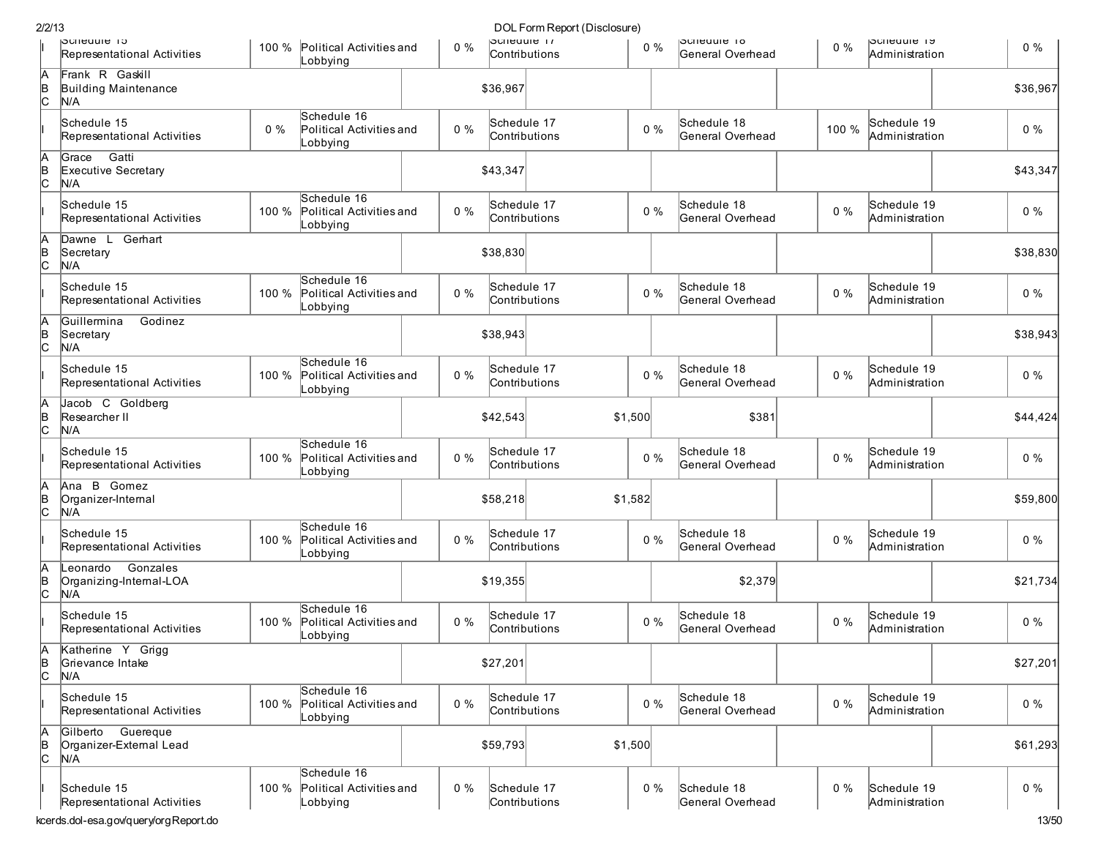| 2/2/13        |                                                        |       |                                                     |       |          | DOL Form Report (Disclosure) |         |       |                                        |       |                               |          |
|---------------|--------------------------------------------------------|-------|-----------------------------------------------------|-------|----------|------------------------------|---------|-------|----------------------------------------|-------|-------------------------------|----------|
|               | <b>PCHEQUIE 15</b><br>Representational Activities      |       | 100 % Political Activities and<br>Lobbying          |       | $0\%$    | pcnequie 17<br>Contributions |         | $0\%$ | <b>Schedule 18</b><br>General Overhead | $0\%$ | pcneuule 19<br>Administration | $0\%$    |
| A<br>B<br>C   | Frank R Gaskill<br>Building Maintenance<br>N/A         |       |                                                     |       | \$36,967 |                              |         |       |                                        |       |                               | \$36,967 |
|               | Schedule 15<br>Representational Activities             | $0\%$ | Schedule 16<br>Political Activities and<br>Lobbying | $0\%$ |          | Schedule 17<br>Contributions |         | $0\%$ | Schedule 18<br>General Overhead        | 100 % | Schedule 19<br>Administration | $0\%$    |
| A<br>B<br>C   | Gatti<br>Grace<br>Executive Secretary<br>N/A           |       |                                                     |       | \$43,347 |                              |         |       |                                        |       |                               | \$43,347 |
|               | Schedule 15<br>Representational Activities             | 100 % | Schedule 16<br>Political Activities and<br>Lobbying | $0\%$ |          | Schedule 17<br>Contributions |         | $0\%$ | Schedule 18<br>General Overhead        | $0\%$ | Schedule 19<br>Administration | $0\%$    |
| $\frac{A}{C}$ | Dawne L Gerhart<br>Secretary<br>N/A                    |       |                                                     |       | \$38,830 |                              |         |       |                                        |       |                               | \$38,830 |
|               | Schedule 15<br>Representational Activities             | 100 % | Schedule 16<br>Political Activities and<br>Lobbying | $0\%$ |          | Schedule 17<br>Contributions |         | $0\%$ | Schedule 18<br>General Overhead        | $0\%$ | Schedule 19<br>Administration | $0\%$    |
| A<br>B<br>C   | lGuillermina<br>Godinez<br>Secretary<br>N/A            |       |                                                     |       | \$38,943 |                              |         |       |                                        |       |                               | \$38,943 |
|               | Schedule 15<br>Representational Activities             | 100 % | Schedule 16<br>Political Activities and<br>Lobbying | $0\%$ |          | Schedule 17<br>Contributions |         | $0\%$ | Schedule 18<br>General Overhead        | $0\%$ | Schedule 19<br>Administration | $0\%$    |
| A<br>B<br>C   | Jacob C Goldberg<br>Researcher II<br>N/A               |       |                                                     |       | \$42,543 |                              | \$1,500 |       | \$381                                  |       |                               | \$44,424 |
|               | Schedule 15<br>Representational Activities             | 100 % | Schedule 16<br>Political Activities and<br>Lobbying |       | $0\%$    | Schedule 17<br>Contributions |         | $0\%$ | Schedule 18<br>General Overhead        | $0\%$ | Schedule 19<br>Administration | $0\%$    |
| A<br>B<br>C   | Ana B Gomez<br>Organizer-Internal<br>N/A               |       |                                                     |       | \$58,218 |                              | \$1,582 |       |                                        |       |                               | \$59,800 |
|               | Schedule 15<br>Representational Activities             | 100 % | Schedule 16<br>Political Activities and<br>Lobbying | $0\%$ |          | Schedule 17<br>Contributions |         | $0\%$ | Schedule 18<br>General Overhead        | $0\%$ | Schedule 19<br>Administration | $0\%$    |
| A<br>B<br>C   | Leonardo<br>Gonzales<br>Organizing-Internal-LOA<br>N/A |       |                                                     |       | \$19,355 |                              |         |       | \$2,379                                |       |                               | \$21,734 |
|               | Schedule 15<br>Representational Activities             | 100 % | Schedule 16<br>Political Activities and<br>Lobbying | $0\%$ |          | Schedule 17<br>Contributions |         | $0\%$ | Schedule 18<br>General Overhead        | 0%    | Schedule 19<br>Administration | $0\%$    |
| A<br>B<br>C   | Katherine Y Grigg<br>Grievance Intake<br>N/A           |       |                                                     |       | \$27,201 |                              |         |       |                                        |       |                               | \$27,201 |
|               | Schedule 15<br>Representational Activities             | 100 % | Schedule 16<br>Political Activities and<br>Lobbying |       | $0\%$    | Schedule 17<br>Contributions |         | $0\%$ | Schedule 18<br>General Overhead        | $0\%$ | Schedule 19<br>Administration | $0\%$    |
| A<br>B<br>C   | Gilberto Guereque<br>Organizer-External Lead<br>N/A    |       |                                                     |       | \$59,793 |                              | \$1,500 |       |                                        |       |                               | \$61,293 |
|               | Schedule 15<br>Representational Activities             | 100 % | Schedule 16<br>Political Activities and<br>Lobbying |       | $0\%$    | Schedule 17<br>Contributions |         | $0\%$ | Schedule 18<br>General Overhead        | $0\%$ | Schedule 19<br>Administration | $0\%$    |
|               | kcerds.dol-esa.gov/query/orgReport.do                  |       |                                                     |       |          |                              |         |       |                                        |       |                               | 13/50    |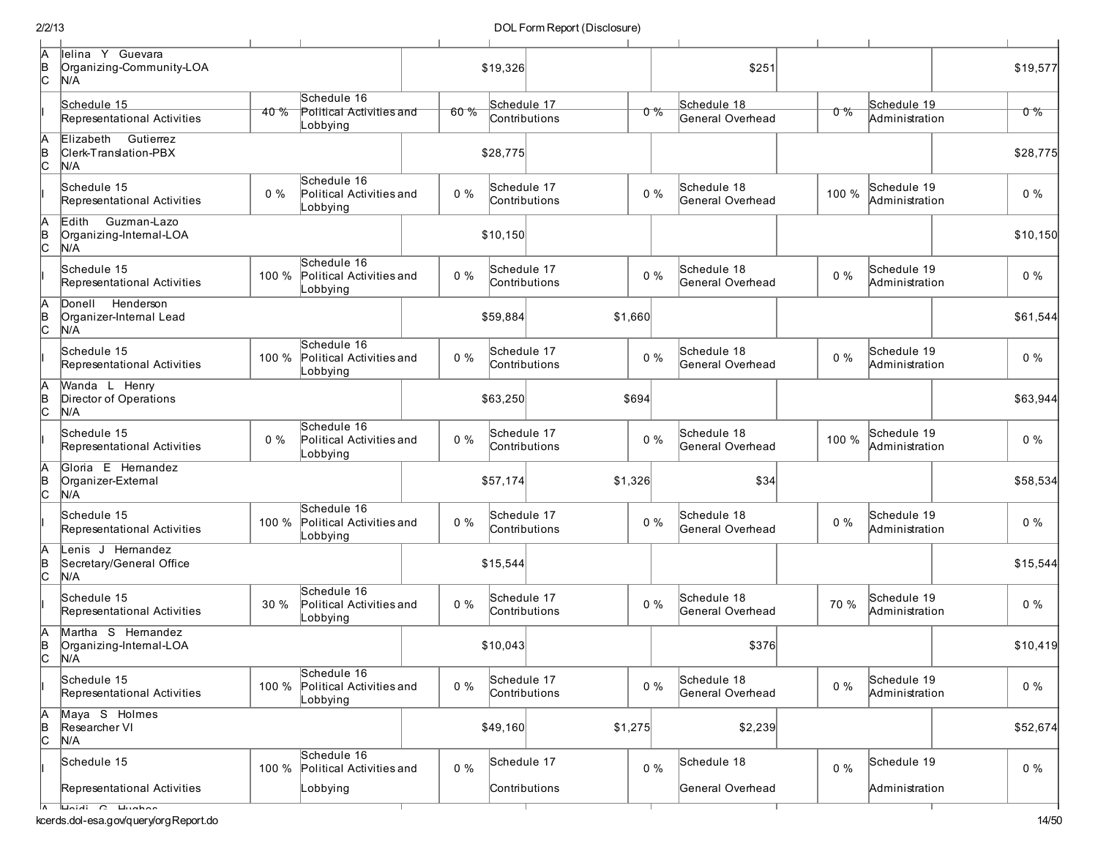|--|

| А<br> B<br> C        | lelina Y Guevara<br>Organizing-Community-LOA<br>N/A    |         |                                                     |       | \$19,326                     |               |         | \$251                           |       |                               | \$19,577 |
|----------------------|--------------------------------------------------------|---------|-----------------------------------------------------|-------|------------------------------|---------------|---------|---------------------------------|-------|-------------------------------|----------|
|                      | Schedule 15<br>Representational Activities             | $40 \%$ | Schedule 16<br>Political Activities and<br>Lobbying | 60%   | Schedule 17<br>Contributions |               | $0\%$   | Schedule 18<br>General Overhead | o %   | Schedule 19<br>Administration | $0\%$    |
| IA<br>$\overline{B}$ | Elizabeth Gutierrez<br>Clerk-Translation-PBX<br>N/A    |         |                                                     |       | \$28,775                     |               |         |                                 |       |                               | \$28,775 |
|                      | Schedule 15<br>Representational Activities             | $0\%$   | Schedule 16<br>Political Activities and<br>Lobbying | $0\%$ | Schedule 17<br>Contributions |               | $0\%$   | Schedule 18<br>General Overhead | 100 % | Schedule 19<br>Administration | $0\%$    |
| A<br>$\overline{B}$  | Edith<br>Guzman-Lazo<br>Organizing-Internal-LOA<br>N/A |         |                                                     |       | \$10,150                     |               |         |                                 |       |                               | \$10,150 |
|                      | Schedule 15<br>Representational Activities             | 100 %   | Schedule 16<br>Political Activities and<br>Lobbying | $0\%$ | Schedule 17<br>Contributions |               | $0\%$   | Schedule 18<br>General Overhead | $0\%$ | Schedule 19<br>Administration | $0\%$    |
| A<br>B<br>C          | Donell Henderson<br>Organizer-Internal Lead<br>N/A     |         |                                                     |       | \$59,884                     |               | \$1,660 |                                 |       |                               | \$61,544 |
|                      | Schedule 15<br>Representational Activities             | 100 %   | Schedule 16<br>Political Activities and<br>_obbying | $0\%$ | Schedule 17<br>Contributions |               | $0\%$   | Schedule 18<br>General Overhead | $0\%$ | Schedule 19<br>Administration | $0\%$    |
| A<br>B<br>C          | Wanda L Henry<br>Director of Operations<br>N/A         |         |                                                     |       | \$63,250                     |               | \$694   |                                 |       |                               | \$63,944 |
|                      | Schedule 15<br>Representational Activities             | $0\%$   | Schedule 16<br>Political Activities and<br>Lobbying | $0\%$ | Schedule 17<br>Contributions |               | $0\%$   | Schedule 18<br>General Overhead | 100 % | Schedule 19<br>Administration | $0\%$    |
| ΙA<br>B<br>C         | Gloria E Hernandez<br>Organizer-External<br>N/A        |         |                                                     |       | \$57,174                     |               | \$1,326 | \$34                            |       |                               | \$58,534 |
|                      | Schedule 15<br>Representational Activities             | 100 %   | Schedule 16<br>Political Activities and<br>Lobbying | $0\%$ | Schedule 17<br>Contributions |               | $0\%$   | Schedule 18<br>General Overhead | $0\%$ | Schedule 19<br>Administration | $0\%$    |
| A<br>$\overline{c}$  | Lenis J Hemandez<br>Secretary/General Office<br>N/A    |         |                                                     |       | \$15,544                     |               |         |                                 |       |                               | \$15,544 |
|                      | Schedule 15<br>Representational Activities             | 30 %    | Schedule 16<br>Political Activities and<br>Lobbying | $0\%$ | Schedule 17<br>Contributions |               | $0\%$   | Schedule 18<br>General Overhead | 70 %  | Schedule 19<br>Administration | $0\%$    |
| $\frac{1}{2}$        | Martha S Hernandez<br>Organizing-Internal-LOA<br>N/A   |         |                                                     |       | \$10,043                     |               |         | \$376                           |       |                               | \$10,419 |
|                      | Schedule 15<br>Representational Activities             | 100 %   | Schedule 16<br>Political Activities and<br>_obbying | $0\%$ | Schedule 17                  | Contributions | $0\%$   | Schedule 18<br>General Overhead | $0\%$ | Schedule 19<br>Administration | $0\%$    |
| $\overline{C}$       | Maya S Holmes<br>Researcher VI<br>N/A                  |         |                                                     |       | \$49,160                     |               | \$1,275 | \$2,239                         |       |                               | \$52,674 |
|                      | Schedule 15                                            | 100 %   | Schedule 16<br>Political Activities and             | $0\%$ | Schedule 17                  |               | $0\%$   | Schedule 18                     | $0\%$ | Schedule 19                   | $0\%$    |
|                      | Representational Activities                            |         | _obbying                                            |       | Contributions                |               |         | General Overhead                |       | Administration                |          |

A Heidi G Hughes

т

т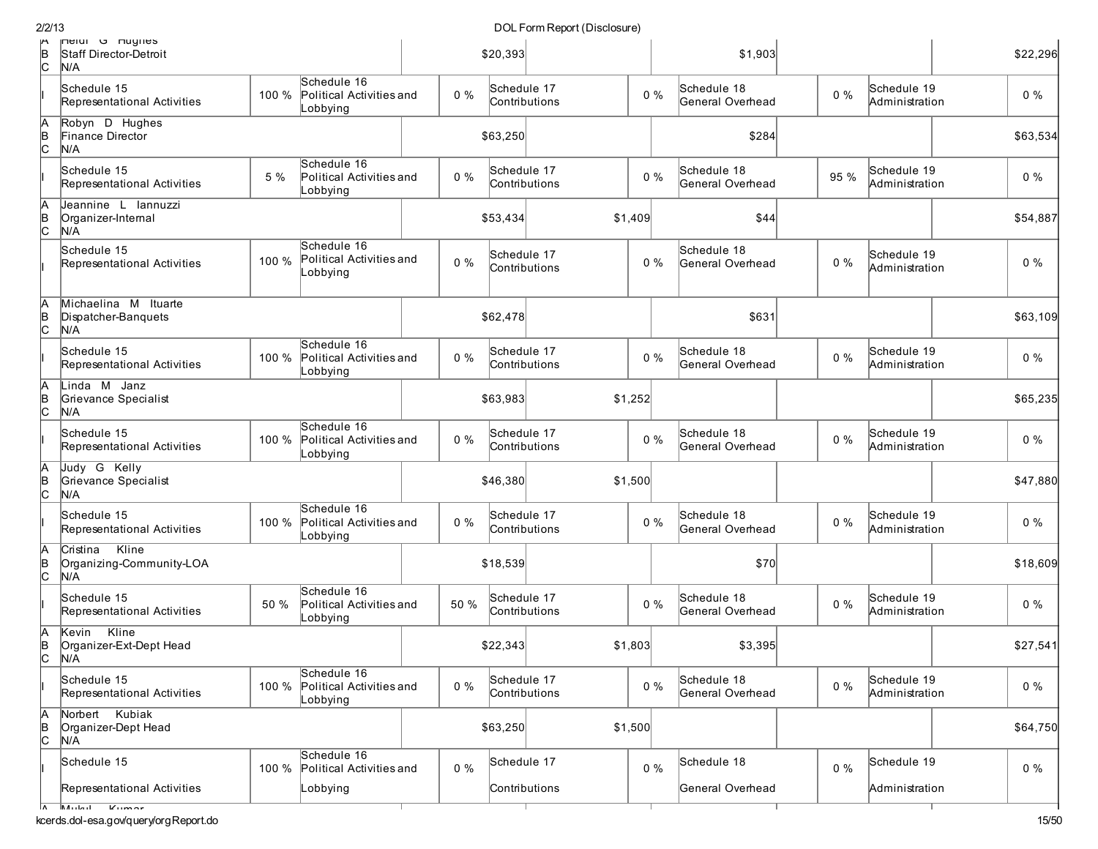| reign G Hugnes<br>Schedule 16 |                                                                                                                                                                                                                                                                                                                                                                                                                                                                                                                                                                                                                                                                                                                                                                                                                                                                  |                         |                            |                                                                                                                                                                                                                                                                            |      |                                                                                                                        |                                                                                                                                                                                                                                                                                              |                                                     | \$1,903                                                                       |                                                                                             |  | \$22,296                                                                     |                                                                                                                                                                                                                                                                                                       |
|-------------------------------|------------------------------------------------------------------------------------------------------------------------------------------------------------------------------------------------------------------------------------------------------------------------------------------------------------------------------------------------------------------------------------------------------------------------------------------------------------------------------------------------------------------------------------------------------------------------------------------------------------------------------------------------------------------------------------------------------------------------------------------------------------------------------------------------------------------------------------------------------------------|-------------------------|----------------------------|----------------------------------------------------------------------------------------------------------------------------------------------------------------------------------------------------------------------------------------------------------------------------|------|------------------------------------------------------------------------------------------------------------------------|----------------------------------------------------------------------------------------------------------------------------------------------------------------------------------------------------------------------------------------------------------------------------------------------|-----------------------------------------------------|-------------------------------------------------------------------------------|---------------------------------------------------------------------------------------------|--|------------------------------------------------------------------------------|-------------------------------------------------------------------------------------------------------------------------------------------------------------------------------------------------------------------------------------------------------------------------------------------------------|
|                               | 100 %                                                                                                                                                                                                                                                                                                                                                                                                                                                                                                                                                                                                                                                                                                                                                                                                                                                            | Lobbying                |                            | $0\%$                                                                                                                                                                                                                                                                      |      |                                                                                                                        |                                                                                                                                                                                                                                                                                              |                                                     | Schedule 18<br>General Overhead                                               |                                                                                             |  |                                                                              | $0\%$                                                                                                                                                                                                                                                                                                 |
|                               |                                                                                                                                                                                                                                                                                                                                                                                                                                                                                                                                                                                                                                                                                                                                                                                                                                                                  |                         |                            |                                                                                                                                                                                                                                                                            |      |                                                                                                                        |                                                                                                                                                                                                                                                                                              |                                                     | \$284                                                                         |                                                                                             |  |                                                                              | \$63,534                                                                                                                                                                                                                                                                                              |
|                               | 5 %                                                                                                                                                                                                                                                                                                                                                                                                                                                                                                                                                                                                                                                                                                                                                                                                                                                              | Schedule 16<br>Lobbying |                            | $0\%$                                                                                                                                                                                                                                                                      |      |                                                                                                                        |                                                                                                                                                                                                                                                                                              |                                                     | General Overhead                                                              |                                                                                             |  |                                                                              | $0\%$                                                                                                                                                                                                                                                                                                 |
|                               |                                                                                                                                                                                                                                                                                                                                                                                                                                                                                                                                                                                                                                                                                                                                                                                                                                                                  |                         |                            |                                                                                                                                                                                                                                                                            |      |                                                                                                                        |                                                                                                                                                                                                                                                                                              |                                                     | \$44                                                                          |                                                                                             |  |                                                                              | \$54,887                                                                                                                                                                                                                                                                                              |
|                               | 100 %                                                                                                                                                                                                                                                                                                                                                                                                                                                                                                                                                                                                                                                                                                                                                                                                                                                            | Schedule 16<br>Lobbying |                            | $0\%$                                                                                                                                                                                                                                                                      |      |                                                                                                                        |                                                                                                                                                                                                                                                                                              |                                                     | General Overhead                                                              |                                                                                             |  |                                                                              | $0\%$                                                                                                                                                                                                                                                                                                 |
|                               |                                                                                                                                                                                                                                                                                                                                                                                                                                                                                                                                                                                                                                                                                                                                                                                                                                                                  |                         |                            |                                                                                                                                                                                                                                                                            |      |                                                                                                                        |                                                                                                                                                                                                                                                                                              |                                                     | \$631                                                                         |                                                                                             |  |                                                                              | \$63,109                                                                                                                                                                                                                                                                                              |
|                               | 100 %                                                                                                                                                                                                                                                                                                                                                                                                                                                                                                                                                                                                                                                                                                                                                                                                                                                            | Lobbying                |                            | $0\%$                                                                                                                                                                                                                                                                      |      |                                                                                                                        |                                                                                                                                                                                                                                                                                              |                                                     | General Overhead                                                              |                                                                                             |  |                                                                              | $0\%$                                                                                                                                                                                                                                                                                                 |
|                               |                                                                                                                                                                                                                                                                                                                                                                                                                                                                                                                                                                                                                                                                                                                                                                                                                                                                  |                         |                            |                                                                                                                                                                                                                                                                            |      |                                                                                                                        |                                                                                                                                                                                                                                                                                              |                                                     |                                                                               |                                                                                             |  |                                                                              | \$65,235                                                                                                                                                                                                                                                                                              |
|                               | 100 %                                                                                                                                                                                                                                                                                                                                                                                                                                                                                                                                                                                                                                                                                                                                                                                                                                                            | _obbying                |                            | $0\%$                                                                                                                                                                                                                                                                      |      |                                                                                                                        |                                                                                                                                                                                                                                                                                              |                                                     | Schedule 18<br>General Overhead                                               |                                                                                             |  |                                                                              | $0\%$                                                                                                                                                                                                                                                                                                 |
|                               |                                                                                                                                                                                                                                                                                                                                                                                                                                                                                                                                                                                                                                                                                                                                                                                                                                                                  |                         |                            |                                                                                                                                                                                                                                                                            |      |                                                                                                                        |                                                                                                                                                                                                                                                                                              |                                                     |                                                                               |                                                                                             |  |                                                                              | \$47,880                                                                                                                                                                                                                                                                                              |
|                               | 100 %                                                                                                                                                                                                                                                                                                                                                                                                                                                                                                                                                                                                                                                                                                                                                                                                                                                            | Schedule 16<br>Lobbying |                            | $0\%$                                                                                                                                                                                                                                                                      |      |                                                                                                                        |                                                                                                                                                                                                                                                                                              |                                                     | General Overhead                                                              |                                                                                             |  |                                                                              | $0\%$                                                                                                                                                                                                                                                                                                 |
|                               |                                                                                                                                                                                                                                                                                                                                                                                                                                                                                                                                                                                                                                                                                                                                                                                                                                                                  |                         |                            |                                                                                                                                                                                                                                                                            |      |                                                                                                                        |                                                                                                                                                                                                                                                                                              |                                                     | \$70                                                                          |                                                                                             |  |                                                                              | \$18,609                                                                                                                                                                                                                                                                                              |
|                               | 50 %                                                                                                                                                                                                                                                                                                                                                                                                                                                                                                                                                                                                                                                                                                                                                                                                                                                             | Schedule 16<br>Lobbying |                            |                                                                                                                                                                                                                                                                            |      |                                                                                                                        |                                                                                                                                                                                                                                                                                              |                                                     | Schedule 18<br>General Overhead                                               |                                                                                             |  |                                                                              | $0\%$                                                                                                                                                                                                                                                                                                 |
| Kline                         |                                                                                                                                                                                                                                                                                                                                                                                                                                                                                                                                                                                                                                                                                                                                                                                                                                                                  |                         |                            |                                                                                                                                                                                                                                                                            |      |                                                                                                                        |                                                                                                                                                                                                                                                                                              |                                                     | \$3,395                                                                       |                                                                                             |  |                                                                              | \$27,541                                                                                                                                                                                                                                                                                              |
|                               |                                                                                                                                                                                                                                                                                                                                                                                                                                                                                                                                                                                                                                                                                                                                                                                                                                                                  | Schedule 16<br>_obbying |                            | $0\%$                                                                                                                                                                                                                                                                      |      |                                                                                                                        |                                                                                                                                                                                                                                                                                              |                                                     |                                                                               |                                                                                             |  |                                                                              | $0\%$                                                                                                                                                                                                                                                                                                 |
|                               |                                                                                                                                                                                                                                                                                                                                                                                                                                                                                                                                                                                                                                                                                                                                                                                                                                                                  |                         |                            |                                                                                                                                                                                                                                                                            |      |                                                                                                                        |                                                                                                                                                                                                                                                                                              |                                                     |                                                                               |                                                                                             |  |                                                                              | \$64,750                                                                                                                                                                                                                                                                                              |
|                               |                                                                                                                                                                                                                                                                                                                                                                                                                                                                                                                                                                                                                                                                                                                                                                                                                                                                  | Schedule 16             |                            | $0\%$                                                                                                                                                                                                                                                                      |      |                                                                                                                        |                                                                                                                                                                                                                                                                                              |                                                     | Schedule 18                                                                   |                                                                                             |  |                                                                              | $0\%$                                                                                                                                                                                                                                                                                                 |
|                               |                                                                                                                                                                                                                                                                                                                                                                                                                                                                                                                                                                                                                                                                                                                                                                                                                                                                  | Lobbying                |                            |                                                                                                                                                                                                                                                                            |      |                                                                                                                        |                                                                                                                                                                                                                                                                                              |                                                     | General Overhead                                                              |                                                                                             |  |                                                                              |                                                                                                                                                                                                                                                                                                       |
|                               | Staff Director-Detroit<br>N/A<br>Schedule 15<br>Representational Activities<br>Robyn D Hughes<br>Finance Director<br>N/A<br>Schedule 15<br>Representational Activities<br>Jeannine L lannuzzi<br>Organizer-Internal<br>N/A<br>Schedule 15<br>Representational Activities<br>Michaelina M Ituarte<br>Dispatcher-Banquets<br>N/A<br>Schedule 15<br>Representational Activities<br>Linda M Janz<br>Grievance Specialist<br>N/A<br>Schedule 15<br>Representational Activities<br>Judy G Kelly<br>Grievance Specialist<br>N/A<br>Schedule 15<br>Representational Activities<br>Cristina Kline<br>Organizing-Community-LOA<br>N/A<br>Schedule 15<br>Representational Activities<br>Kevin<br>Organizer-Ext-Dept Head<br>N/A<br>Schedule 15<br>Representational Activities<br>Norbert Kubiak<br>Organizer-Dept Head<br>N/A<br>Schedule 15<br>Representational Activities | 100 %<br>100 %          | Schedule 16<br>Schedule 16 | Political Activities and<br>Political Activities and<br>Political Activities and<br>Political Activities and<br>Political Activities and<br>Political Activities and<br>Political Activities and<br>Political Activities and<br>Political Activities and<br>$V_{\text{t}}$ | 50 % | \$20,393<br>\$63,250<br>\$53,434<br>\$62,478<br>\$63,983<br>\$46,380<br>\$18,539<br>\$22,343<br>\$63,250<br>$A \cup A$ | Schedule 17<br>Contributions<br>Schedule 17<br>Contributions<br>Schedule 17<br>Contributions<br>Schedule 17<br>Contributions<br>Schedule 17<br>Contributions<br>Schedule 17<br>Contributions<br>Schedule 17<br>Contributions<br>Schedule 17<br>Contributions<br>Schedule 17<br>Contributions | \$1,409<br>\$1,252<br>\$1,500<br>\$1,803<br>\$1,500 | $0\%$<br>$0\%$<br>$0\%$<br>$0\%$<br>$0\%$<br>$0\%$<br>$0\%$<br>$0\%$<br>$0\%$ | Schedule 18<br>Schedule 18<br>Schedule 18<br>Schedule 18<br>Schedule 18<br>General Overhead |  | $0\%$<br>95 %<br>$0\%$<br>$0\%$<br>$0\%$<br>$0\%$<br>$0\%$<br>$0\%$<br>$0\%$ | Schedule 19<br>Administration<br>Schedule 19<br>Administration<br>Schedule 19<br>Administration<br>Schedule 19<br>Administration<br>Schedule 19<br>Administration<br>Schedule 19<br>Administration<br>Schedule 19<br>Administration<br>Schedule 19<br>Administration<br>Schedule 19<br>Administration |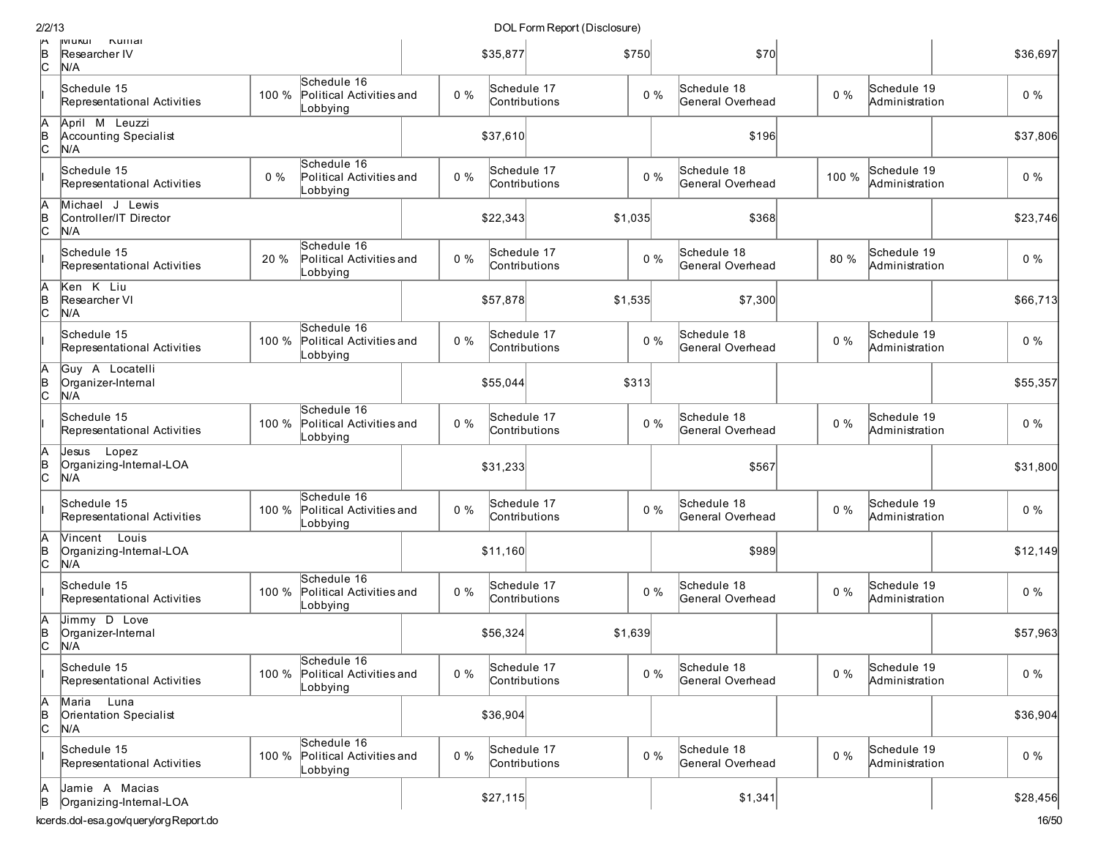| 2/2/13             |                                                                                    |       |                                                     |       |                              | DOL Form Report (Disclosure) |         |       |                                 |       |                               |                   |
|--------------------|------------------------------------------------------------------------------------|-------|-----------------------------------------------------|-------|------------------------------|------------------------------|---------|-------|---------------------------------|-------|-------------------------------|-------------------|
| ۳<br>в<br>С        | <b>IIVI UKUI</b><br>numar<br>Researcher IV<br>N/A                                  |       |                                                     |       | \$35,877                     |                              | \$750   |       | \$70                            |       |                               | \$36,697          |
|                    | Schedule 15<br>Representational Activities                                         | 100 % | Schedule 16<br>Political Activities and<br>Lobbying | $0\%$ | Schedule 17<br>Contributions |                              |         | $0\%$ | Schedule 18<br>General Overhead | $0\%$ | Schedule 19<br>Administration | $0\%$             |
| A<br>B<br>C        | April M Leuzzi<br>Accounting Specialist<br>N/A                                     |       |                                                     |       | \$37,610                     |                              |         |       | \$196                           |       |                               | \$37,806          |
|                    | Schedule 15<br>Representational Activities                                         | $0\%$ | Schedule 16<br>Political Activities and<br>Lobbying | 0%    | Schedule 17<br>Contributions |                              |         | $0\%$ | Schedule 18<br>General Overhead | 100 % | Schedule 19<br>Administration | $0\%$             |
| A<br>B<br>C        | Michael J Lewis<br>Controller/IT Director<br>N/A                                   |       |                                                     |       | \$22,343                     |                              | \$1,035 |       | \$368                           |       |                               | \$23,746          |
|                    | Schedule 15<br>Representational Activities                                         | 20 %  | Schedule 16<br>Political Activities and<br>Lobbying | $0\%$ | Schedule 17<br>Contributions |                              |         | $0\%$ | Schedule 18<br>General Overhead | 80 %  | Schedule 19<br>Administration | $0\%$             |
| A<br>B<br>C        | Ken K Liu<br>Researcher VI<br>N/A                                                  |       |                                                     |       | \$57,878                     |                              | \$1,535 |       | \$7,300                         |       |                               | \$66,713          |
|                    | Schedule 15<br>Representational Activities                                         | 100 % | Schedule 16<br>Political Activities and<br>Lobbying | $0\%$ | Schedule 17<br>Contributions |                              |         | $0\%$ | Schedule 18<br>General Overhead | $0\%$ | Schedule 19<br>Administration | $0\%$             |
| Ā<br>B<br>C        | Guy A Locatelli<br>Organizer-Internal<br>N/A                                       |       |                                                     |       | \$55,044                     |                              | \$313   |       |                                 |       |                               | \$55,357          |
|                    | Schedule 15<br>Representational Activities                                         | 100 % | Schedule 16<br>Political Activities and<br>Lobbying | $0\%$ | Schedule 17<br>Contributions |                              |         | $0\%$ | Schedule 18<br>General Overhead | $0\%$ | Schedule 19<br>Administration | $0\%$             |
| A<br>B<br>C        | Jesus Lopez<br>Organizing-Internal-LOA<br>N/A                                      |       |                                                     |       | \$31,233                     |                              |         |       | \$567                           |       |                               | \$31,800          |
|                    | Schedule 15<br>Representational Activities                                         | 100 % | Schedule 16<br>Political Activities and<br>Lobbying | $0\%$ | Schedule 17<br>Contributions |                              |         | $0\%$ | Schedule 18<br>General Overhead | $0\%$ | Schedule 19<br>Administration | $0\%$             |
| A<br> в<br> С      | Vincent Louis<br>Organizing-Internal-LOA<br>N/A                                    |       |                                                     |       | \$11,160                     |                              |         |       | \$989                           |       |                               | \$12,149          |
|                    | Schedule 15<br>Representational Activities                                         | 100 % | Schedule 16<br>Political Activities and<br>Lobbying | 0%    | Schedule 17<br>Contributions |                              |         | $0\%$ | Schedule 18<br>General Overhead | $0\%$ | Schedule 19<br>Administration | $0\%$             |
| A<br>$\frac{1}{2}$ | Jimmy D Love<br>Organizer-Internal<br>N/A                                          |       |                                                     |       | \$56,324                     |                              | \$1,639 |       |                                 |       |                               | \$57,963          |
|                    | Schedule 15<br>Representational Activities                                         | 100 % | Schedule 16<br>Political Activities and<br>Lobbying | $0\%$ | Schedule 17<br>Contributions |                              |         | $0\%$ | Schedule 18<br>General Overhead | $0\%$ | Schedule 19<br>Administration | $0\%$             |
| A<br>B<br>C        | Maria Luna<br>Orientation Specialist<br>N/A                                        |       |                                                     |       | \$36,904                     |                              |         |       |                                 |       |                               | \$36,904          |
|                    | Schedule 15<br>Representational Activities                                         | 100 % | Schedule 16<br>Political Activities and<br>Lobbying | 0%    | Schedule 17<br>Contributions |                              |         | $0\%$ | Schedule 18<br>General Overhead | $0\%$ | Schedule 19<br>Administration | $0\%$             |
| А<br>B             | Jamie A Macias<br>Organizing-Internal-LOA<br>conde del con a oulourniora Donort de |       |                                                     |       | \$27,115                     |                              |         |       | \$1,341                         |       |                               | \$28,456<br>4Q/EN |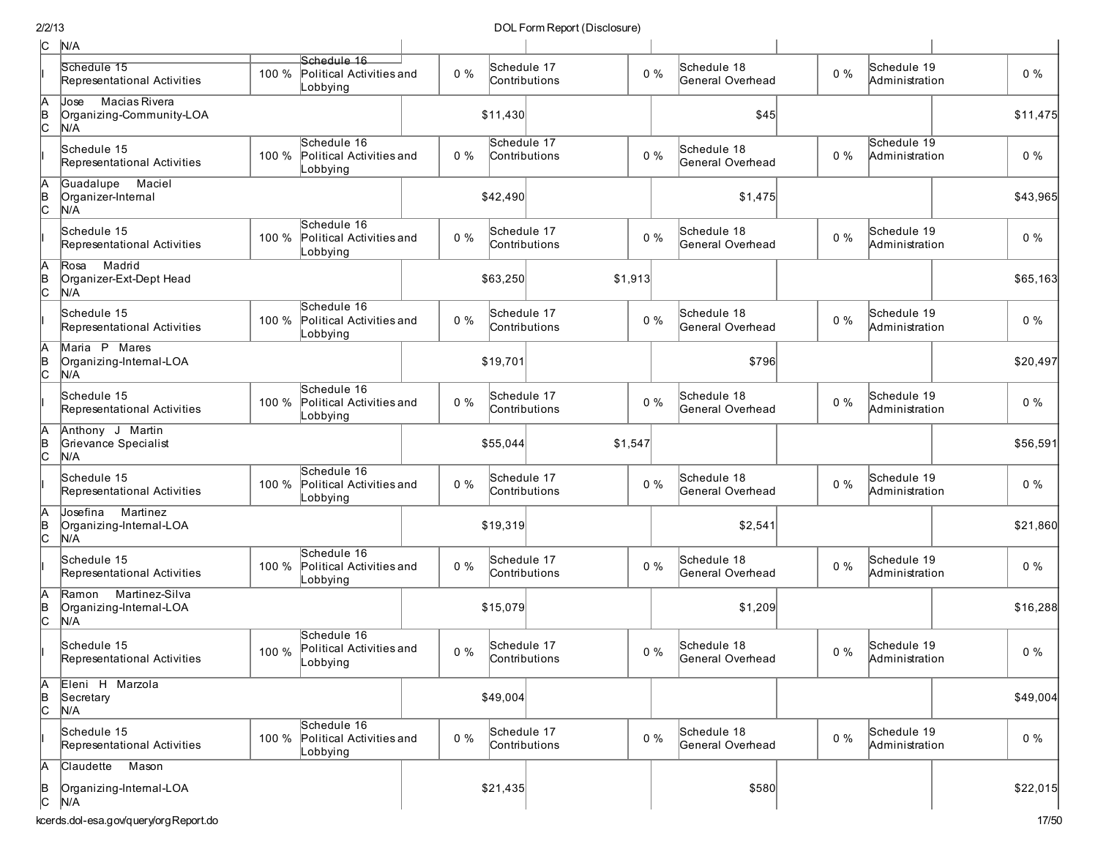| c             | N/A                                                             |       |                                                      |       |                              |         |                                 |       |                               |          |
|---------------|-----------------------------------------------------------------|-------|------------------------------------------------------|-------|------------------------------|---------|---------------------------------|-------|-------------------------------|----------|
|               | Schedule 15<br>Representational Activities                      | 100 % | Schedule 16<br>Political Activities and<br>Lobbying  | $0\%$ | Schedule 17<br>Contributions | $0\%$   | Schedule 18<br>General Overhead | $0\%$ | Schedule 19<br>Administration | $0\%$    |
| $\frac{A}{C}$ | <b>Macias Rivera</b><br>Jose<br>Organizing-Community-LOA<br>N/A |       |                                                      |       | \$11,430                     |         | \$45                            |       |                               | \$11,475 |
|               | Schedule 15<br>Representational Activities                      | 100 % | Schedule 16<br>Political Activities and<br>Lobbying  | $0\%$ | Schedule 17<br>Contributions | $0\%$   | Schedule 18<br>General Overhead | $0\%$ | Schedule 19<br>Administration | $0\%$    |
| Ā<br> в<br>С  | Guadalupe<br>Maciel<br>Organizer-Internal<br>N/A                |       |                                                      |       | \$42,490                     |         | \$1,475                         |       |                               | \$43,965 |
|               | Schedule 15<br>Representational Activities                      | 100 % | Schedule 16<br>Political Activities and<br>Lobbying  | $0\%$ | Schedule 17<br>Contributions | $0\%$   | Schedule 18<br>General Overhead | $0\%$ | Schedule 19<br>Administration | $0\%$    |
| Ā<br>∣e<br> C | Madrid<br>Rosa<br>Organizer-Ext-Dept Head<br>N/A                |       |                                                      |       | \$63,250                     | \$1,913 |                                 |       |                               | \$65,163 |
|               | Schedule 15<br>Representational Activities                      | 100 % | Schedule 16<br>Political Activities and<br>Lobbying  | $0\%$ | Schedule 17<br>Contributions | $0\%$   | Schedule 18<br>General Overhead | $0\%$ | Schedule 19<br>Administration | $0\%$    |
| A<br>в<br>С   | Maria P Mares<br>Organizing-Internal-LOA<br>N/A                 |       |                                                      |       | \$19,701                     |         | \$796                           |       |                               | \$20,497 |
|               | Schedule 15<br>Representational Activities                      | 100 % | Schedule 16<br>Political Activities and<br>Lobbying  | $0\%$ | Schedule 17<br>Contributions | $0\%$   | Schedule 18<br>General Overhead | $0\%$ | Schedule 19<br>Administration | $0\%$    |
| Α<br> B<br> C | Anthony J Martin<br>Grievance Specialist<br>N/A                 |       |                                                      |       | \$55,044                     | \$1,547 |                                 |       |                               | \$56,591 |
|               | Schedule 15<br>Representational Activities                      | 100 % | Schedule 16<br>Political Activities and<br>Lobbying  | $0\%$ | Schedule 17<br>Contributions | $0\%$   | Schedule 18<br>General Overhead | 0%    | Schedule 19<br>Administration | $0\%$    |
| A<br> в<br> С | Martinez<br>Josefina<br>Organizing-Internal-LOA<br>N/A          |       |                                                      |       | \$19,319                     |         | \$2,541                         |       |                               | \$21,860 |
|               | Schedule 15<br>Representational Activities                      | 100 % | Schedule 16<br>Political Activities and<br>Lobbying  | 0%    | Schedule 17<br>Contributions | $0\%$   | Schedule 18<br>General Overhead | $0\%$ | Schedule 19<br>Administration | $0\%$    |
| A<br>∣e<br> C | Martinez-Silva<br>Ramon<br>Organizing-Internal-LOA<br>N/A       |       |                                                      |       | \$15,079                     |         | \$1,209                         |       |                               | \$16,288 |
|               | Schedule 15<br>Representational Activities                      | 100 % | Schedule 16<br>Political Activities and<br>∣Lobbying | $0\%$ | Schedule 17<br>Contributions | $0\%$   | Schedule 18<br>General Overhead | $0\%$ | Schedule 19<br>Administration | $0\%$    |
| A<br>B<br>C   | Eleni H Marzola<br>Secretary<br>N/A                             |       |                                                      |       | \$49,004                     |         |                                 |       |                               | \$49,004 |
|               | Schedule 15<br>Representational Activities                      | 100 % | Schedule 16<br>Political Activities and<br>Lobbying  | $0\%$ | Schedule 17<br>Contributions | $0\%$   | Schedule 18<br>General Overhead | $0\%$ | Schedule 19<br>Administration | $0\%$    |
| А             | Claudette Mason                                                 |       |                                                      |       |                              |         |                                 |       |                               |          |
| B<br> C       | Organizing-Internal-LOA<br>N/A                                  |       |                                                      |       | \$21,435                     |         | \$580                           |       |                               | \$22,015 |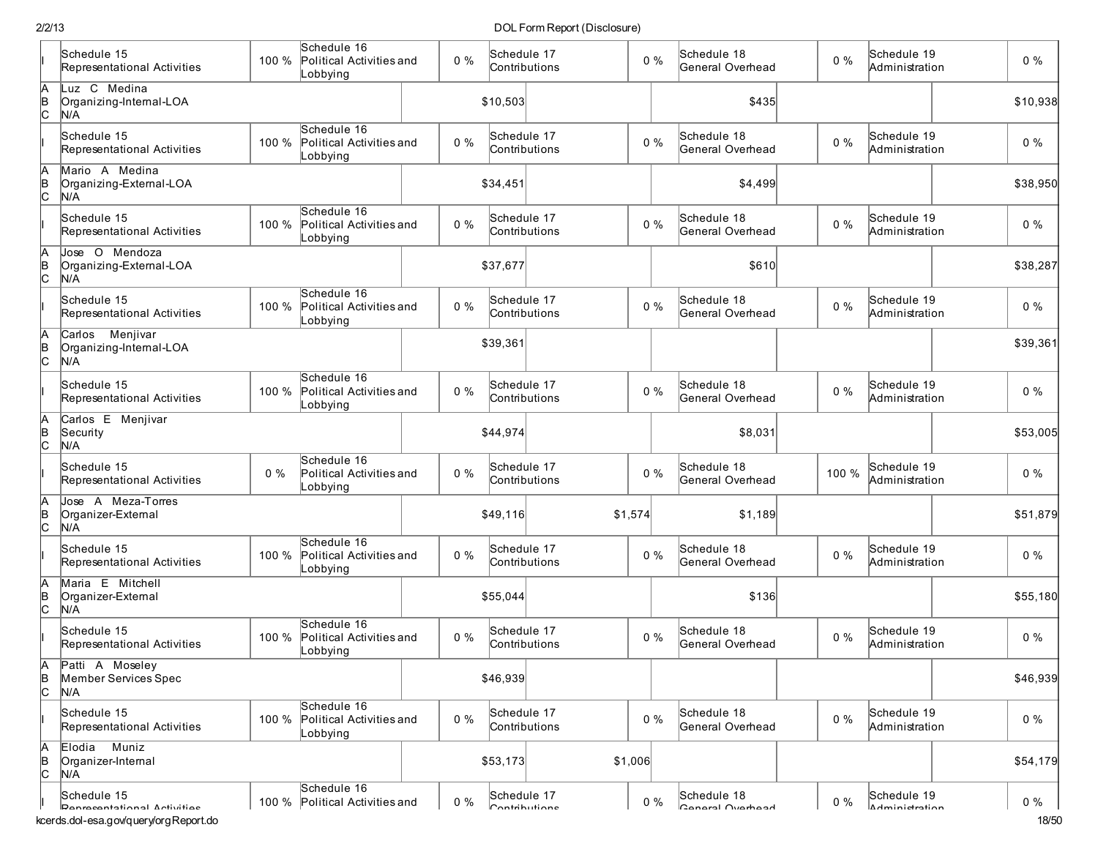|                      | Schedule 15<br>Representational Activities                                          | Schedule 16<br>100 %<br>Political Activities and             | $0\%$ | Schedule 17<br>Contributions | $0\%$   | Schedule 18<br>General Overhead | $0\%$ | Schedule 19<br>Administration | $0\%$          |
|----------------------|-------------------------------------------------------------------------------------|--------------------------------------------------------------|-------|------------------------------|---------|---------------------------------|-------|-------------------------------|----------------|
| A<br>B<br>C          | Luz C Medina<br>Organizing-Internal-LOA<br>N/A                                      | Lobbying                                                     |       | \$10,503                     |         | \$435                           |       |                               | \$10,938       |
|                      | Schedule 15<br>Representational Activities                                          | Schedule 16<br>100 %<br>Political Activities and<br>Lobbying | $0\%$ | Schedule 17<br>Contributions | $0\%$   | Schedule 18<br>General Overhead | $0\%$ | Schedule 19<br>Administration | $0\%$          |
| $\frac{A}{C}$        | Mario A Medina<br>Organizing-External-LOA<br>N/A                                    |                                                              |       | \$34,451                     |         | \$4,499                         |       |                               | \$38,950       |
|                      | Schedule 15<br>Representational Activities                                          | Schedule 16<br>100 %<br>Political Activities and<br>Lobbying | $0\%$ | Schedule 17<br>Contributions | $0\%$   | Schedule 18<br>General Overhead | $0\%$ | Schedule 19<br>Administration | $0\%$          |
| A<br>B<br>C          | Jose O Mendoza<br>Organizing-External-LOA<br>N/A                                    |                                                              |       | \$37,677                     |         | \$610                           |       |                               | \$38,287       |
|                      | Schedule 15<br>Representational Activities                                          | Schedule 16<br>100 %<br>Political Activities and<br>Lobbying | $0\%$ | Schedule 17<br>Contributions | $0\%$   | Schedule 18<br>General Overhead | $0\%$ | Schedule 19<br>Administration | $0\%$          |
| $\frac{A}{C}$        | Carlos Menjivar<br>Organizing-Internal-LOA<br>N/A                                   |                                                              |       | \$39,361                     |         |                                 |       |                               | \$39,361       |
|                      | Schedule 15<br>Representational Activities                                          | Schedule 16<br>100 %<br>Political Activities and<br>Lobbying | $0\%$ | Schedule 17<br>Contributions | $0\%$   | Schedule 18<br>General Overhead | $0\%$ | Schedule 19<br>Administration | $0\%$          |
| $A$ <sub>B</sub> $C$ | Carlos E Menjivar<br>Security<br>N/A                                                |                                                              |       | \$44,974                     |         | \$8,031                         |       |                               | \$53,005       |
|                      | Schedule 15<br>Representational Activities                                          | Schedule 16<br>$0\%$<br>Political Activities and<br>Lobbying | $0\%$ | Schedule 17<br>Contributions | $0\%$   | Schedule 18<br>General Overhead | 100 % | Schedule 19<br>Administration | $0\%$          |
| A<br>B<br>C          | Jose A Meza-Torres<br>Organizer-External<br>N/A                                     |                                                              |       | \$49,116                     | \$1,574 | \$1,189                         |       |                               | \$51,879       |
|                      | Schedule 15<br>Representational Activities                                          | Schedule 16<br>100 %<br>Political Activities and<br>Lobbying | $0\%$ | Schedule 17<br>Contributions | $0\%$   | Schedule 18<br>General Overhead | $0\%$ | Schedule 19<br>Administration | $0\%$          |
| $\frac{A}{C}$        | Maria E Mitchell<br>Organizer-External<br>N/A                                       |                                                              |       | \$55,044                     |         | \$136                           |       |                               | \$55,180       |
|                      | Schedule 15<br>Representational Activities                                          | Schedule 16<br>100 %<br>Political Activities and<br>Lobbying | $0\%$ | Schedule 17<br>Contributions | $0\%$   | Schedule 18<br>General Overhead | $0\%$ | Schedule 19<br>Administration | $0\%$          |
| β<br> в<br> С        | Patti A Moseley<br>Member Services Spec<br>N/A                                      |                                                              |       | \$46,939                     |         |                                 |       |                               | \$46,939       |
|                      | Schedule 15<br>Representational Activities                                          | Schedule 16<br>100 %<br>Political Activities and<br>Lobbying | $0\%$ | Schedule 17<br>Contributions | $0\%$   | Schedule 18<br>General Overhead | $0\%$ | Schedule 19<br>Administration | $0\%$          |
| A<br>B<br>C          | Muniz<br>Elodia<br>Organizer-Internal<br>N/A                                        |                                                              |       | \$53,173                     | \$1,006 |                                 |       |                               | \$54,179       |
|                      | Schedule 15<br>Danracantational Activitiae<br>kcerds.dol-esa.gov/query/orgReport.do | Schedule 16<br>100 % Political Activities and                | $0\%$ | Schedule 17<br>Contributione | $0\%$   | Schedule 18<br>Canaral Ovarhaad | $0\%$ | Schedule 19<br>Adminictration | $0\%$<br>18/50 |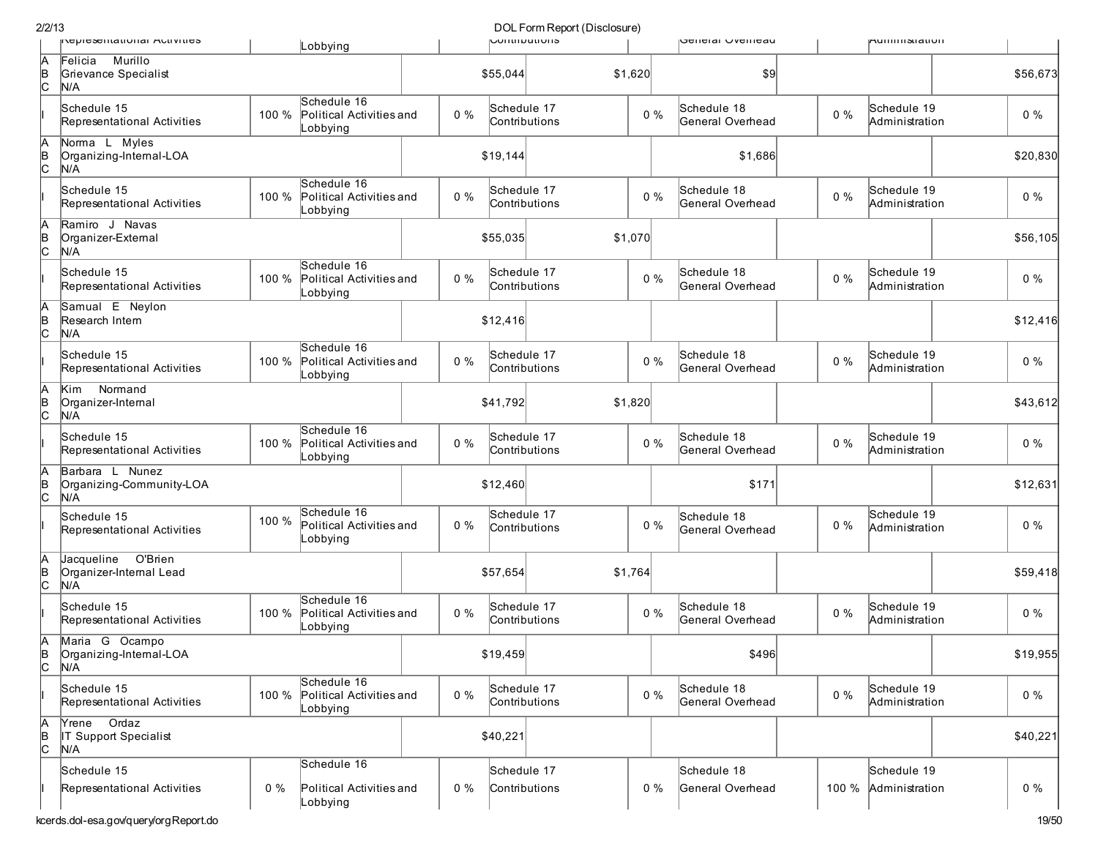| 2/2/13              |                                                         |       |                                                     |       |       |                              | DOL Form Report (Disclosure) |         |       |                                 |       |                                     |          |
|---------------------|---------------------------------------------------------|-------|-----------------------------------------------------|-------|-------|------------------------------|------------------------------|---------|-------|---------------------------------|-------|-------------------------------------|----------|
|                     | περιεχειπατιστιαι Αστινιτιες                            |       | Lobbying                                            |       |       | <b>UUIIIIIDUUUIIS</b>        |                              |         |       | peneral Ovenicau                |       | <b>MUILLILLING</b>                  |          |
| IA<br> в<br> С      | Murillo<br>Felicia<br>Grievance Specialist<br>N/A       |       |                                                     |       |       | \$55,044                     |                              | \$1,620 |       | \$9                             |       |                                     | \$56,673 |
|                     | Schedule 15<br>Representational Activities              | 100 % | Schedule 16<br>Political Activities and<br>Lobbying |       | $0\%$ | Schedule 17<br>Contributions |                              |         | $0\%$ | Schedule 18<br>General Overhead | $0\%$ | Schedule 19<br>Administration       | $0\%$    |
| A<br> B<br> C       | Norma L Myles<br>Organizing-Internal-LOA<br>N/A         |       |                                                     |       |       | \$19,144                     |                              |         |       | \$1,686                         |       |                                     | \$20,830 |
|                     | Schedule 15<br>Representational Activities              | 100 % | Schedule 16<br>Political Activities and<br>Lobbying |       | $0\%$ | Schedule 17<br>Contributions |                              |         | $0\%$ | Schedule 18<br>General Overhead | $0\%$ | Schedule 19<br>Administration       | $0\%$    |
| A<br> B<br> C       | Ramiro J Navas<br>Organizer-External<br>N/A             |       |                                                     |       |       | \$55,035                     |                              | \$1,070 |       |                                 |       |                                     | \$56,105 |
|                     | Schedule 15<br>Representational Activities              | 100 % | Schedule 16<br>Political Activities and<br>Lobbying |       | $0\%$ | Schedule 17<br>Contributions |                              |         | $0\%$ | Schedule 18<br>General Overhead | $0\%$ | Schedule 19<br>Administration       | $0\%$    |
| A<br> в<br> С       | Samual E Neylon<br>Research Intern<br>N/A               |       |                                                     |       |       | \$12,416                     |                              |         |       |                                 |       |                                     | \$12,416 |
|                     | Schedule 15<br>Representational Activities              | 100 % | Schedule 16<br>Political Activities and<br>Lobbying | $0\%$ |       | Schedule 17<br>Contributions |                              |         | $0\%$ | Schedule 18<br>General Overhead | $0\%$ | Schedule 19<br>Administration       | $0\%$    |
| A<br> в<br> С       | Normand<br>Kim<br>Organizer-Internal<br>N/A             |       |                                                     |       |       | \$41,792                     |                              | \$1,820 |       |                                 |       |                                     | \$43.612 |
|                     | Schedule 15<br>Representational Activities              | 100 % | Schedule 16<br>Political Activities and<br>Lobbying |       | $0\%$ | Schedule 17<br>Contributions |                              |         | $0\%$ | Schedule 18<br>General Overhead | $0\%$ | Schedule 19<br>Administration       | $0\%$    |
| A<br> в<br> С       | Barbara L Nunez<br>Organizing-Community-LOA<br>N/A      |       |                                                     |       |       | \$12,460                     |                              |         |       | \$171                           |       |                                     | \$12,631 |
|                     | Schedule 15<br>Representational Activities              | 100 % | Schedule 16<br>Political Activities and<br>Lobbying |       | $0\%$ | Schedule 17<br>Contributions |                              |         | $0\%$ | Schedule 18<br>General Overhead | $0\%$ | Schedule 19<br>Administration       | $0\%$    |
| IA<br>∣<br> B       | Jacqueline<br>O'Brien<br>Organizer-Internal Lead<br>N/A |       |                                                     |       |       | \$57,654                     |                              | \$1,764 |       |                                 |       |                                     | \$59,418 |
|                     | Schedule 15<br>Representational Activities              | 100 % | Schedule 16<br>Political Activities and<br>Lobbying |       | $0\%$ | Schedule 17<br>Contributions |                              |         | 0%    | Schedule 18<br>General Overhead | $0\%$ | Schedule 19<br>Administration       | $0\%$    |
| A<br>∣<br>C         | Maria G Ocampo<br>Organizing-Internal-LOA<br>N/A        |       |                                                     |       |       | \$19,459                     |                              |         |       | \$496                           |       |                                     | \$19,955 |
|                     | Schedule 15<br>Representational Activities              | 100 % | Schedule 16<br>Political Activities and<br>Lobbying |       | $0\%$ | Schedule 17<br>Contributions |                              |         | $0\%$ | Schedule 18<br>General Overhead | $0\%$ | Schedule 19<br>Administration       | $0\%$    |
| A<br>$\overline{a}$ | Ordaz<br>Yrene<br>IT Support Specialist<br>N/A          |       |                                                     |       |       | \$40,221                     |                              |         |       |                                 |       |                                     | \$40,221 |
|                     | Schedule 15<br>Representational Activities              | $0\%$ | Schedule 16<br>Political Activities and<br>Lobbying |       | $0\%$ | Schedule 17<br>Contributions |                              |         | $0\%$ | Schedule 18<br>General Overhead |       | Schedule 19<br>100 % Administration | $0\%$    |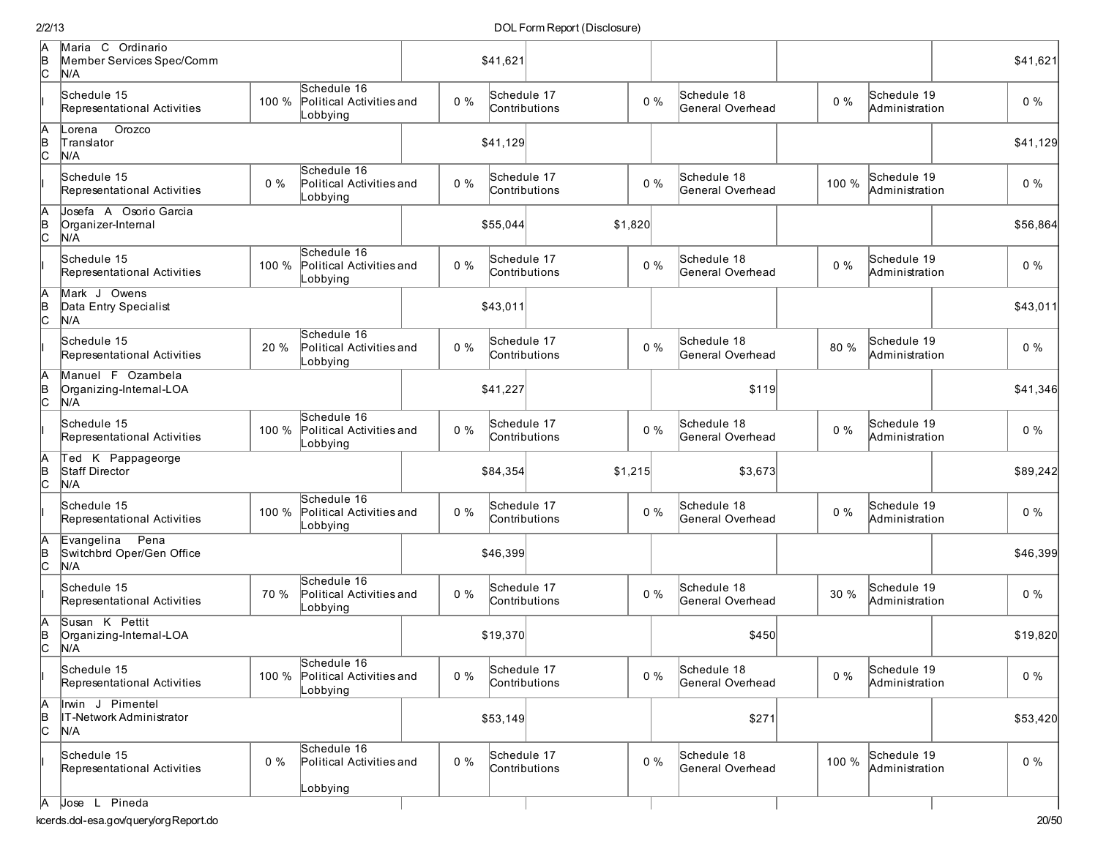| A<br>B<br>C   | Maria C Ordinario<br>Member Services Spec/Comm<br>N/A  |       |                                                     | \$41,621 |       |                              |         |       |             |                  |       | \$41,621                      |          |
|---------------|--------------------------------------------------------|-------|-----------------------------------------------------|----------|-------|------------------------------|---------|-------|-------------|------------------|-------|-------------------------------|----------|
|               | Schedule 15<br>Representational Activities             | 100 % | Schedule 16<br>Political Activities and<br>_obbying |          | $0\%$ | Schedule 17<br>Contributions |         | $0\%$ | Schedule 18 | General Overhead | $0\%$ | Schedule 19<br>Administration | $0\%$    |
| A<br>B<br>C   | Orozco<br>Lorena<br>Translator<br>N/A                  |       |                                                     |          |       | \$41,129                     |         |       |             |                  |       |                               | \$41,129 |
|               | Schedule 15<br>Representational Activities             | $0\%$ | Schedule 16<br>Political Activities and<br>_obbying |          | $0\%$ | Schedule 17<br>Contributions |         | $0\%$ | Schedule 18 | General Overhead | 100 % | Schedule 19<br>Administration | $0\%$    |
| A<br>B<br>C   | Josefa A Osorio Garcia<br>Organizer-Internal<br>N/A    |       |                                                     |          |       | \$55,044                     | \$1,820 |       |             |                  |       |                               | \$56,864 |
|               | Schedule 15<br>Representational Activities             | 100 % | Schedule 16<br>Political Activities and<br>_obbying |          | $0\%$ | Schedule 17<br>Contributions |         | $0\%$ | Schedule 18 | General Overhead | $0\%$ | Schedule 19<br>Administration | $0\%$    |
| A<br>B<br>C   | Mark J Owens<br>Data Entry Specialist<br>N/A           |       |                                                     |          |       | \$43,011                     |         |       |             |                  |       |                               | \$43,011 |
|               | Schedule 15<br>Representational Activities             | 20 %  | Schedule 16<br>Political Activities and<br>obbying  |          | $0\%$ | Schedule 17<br>Contributions |         | $0\%$ | Schedule 18 | General Overhead | 80 %  | Schedule 19<br>Administration | $0\%$    |
| $\frac{A}{C}$ | Manuel F Ozambela<br>Organizing-Internal-LOA<br>N/A    |       |                                                     |          |       | \$41,227                     |         |       |             | \$119            |       |                               | \$41,346 |
|               | Schedule 15<br>Representational Activities             | 100 % | Schedule 16<br>Political Activities and<br>_obbying |          | $0\%$ | Schedule 17<br>Contributions |         | $0\%$ | Schedule 18 | General Overhead | $0\%$ | Schedule 19<br>Administration | $0\%$    |
| A<br>B<br>C   | Ted K Pappageorge<br>Staff Director<br>N/A             |       |                                                     |          |       | \$84,354                     | \$1,215 |       |             | \$3,673          |       |                               | \$89,242 |
|               | Schedule 15<br>Representational Activities             | 100 % | Schedule 16<br>Political Activities and<br>Lobbying |          | $0\%$ | Schedule 17<br>Contributions |         | $0\%$ | Schedule 18 | General Overhead | $0\%$ | Schedule 19<br>Administration | $0\%$    |
| A<br>B<br>C   | Evangelina<br>Pena<br>Switchbrd Oper/Gen Office<br>N/A |       |                                                     |          |       | \$46,399                     |         |       |             |                  |       |                               | \$46,399 |
|               | Schedule 15<br>Representational Activities             | 70 %  | Schedule 16<br>Political Activities and<br>Lobbying |          | $0\%$ | Schedule 17<br>Contributions |         | $0\%$ | Schedule 18 | General Overhead | 30 %  | Schedule 19<br>Administration | $0\%$    |
| A<br>B<br>C   | Susan K Pettit<br>Organizing-Internal-LOA<br>N/A       |       |                                                     |          |       | \$19,370                     |         |       |             | \$450            |       |                               | \$19,820 |
|               | Schedule 15<br>Representational Activities             | 100 % | Schedule 16<br>Political Activities and<br>_obbying |          | 0%    | Schedule 17<br>Contributions |         | 0%    | Schedule 18 | General Overhead | $0\%$ | Schedule 19<br>Administration | $0\%$    |
| A<br>B<br>C   | Irwin J Pimentel<br>IT-Network Administrator<br>N/A    |       |                                                     |          |       | \$53,149                     |         |       |             | \$271            |       |                               | \$53,420 |
|               | Schedule 15<br>Representational Activities             | 0%    | Schedule 16<br>Political Activities and<br>Lobbying |          | $0\%$ | Schedule 17<br>Contributions |         | 0%    | Schedule 18 | General Overhead | 100 % | Schedule 19<br>Administration | $0\%$    |
| A             | Pineda<br>$\bigcup$ ose $\bigcup$                      |       |                                                     |          |       |                              |         |       |             |                  |       |                               |          |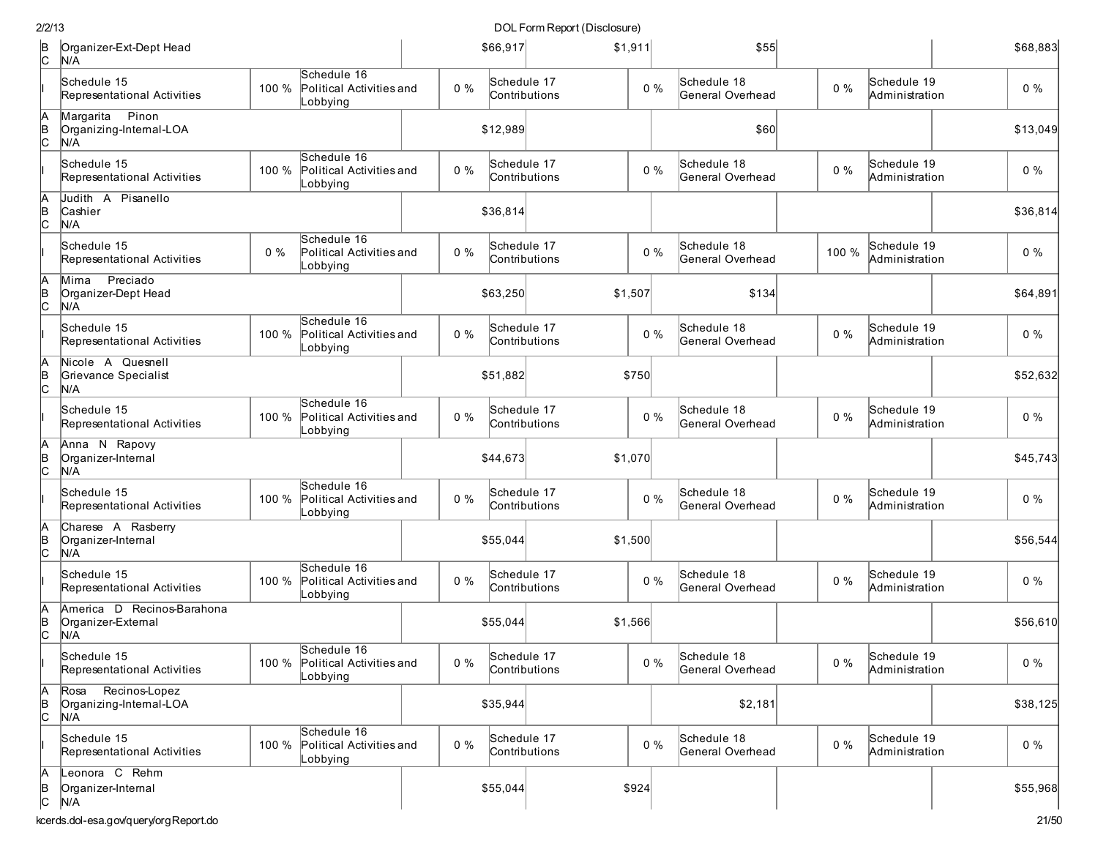| 2/2/13        |                                                         |       |                                                           |       |                              | DOL Form Report (Disclosure) |         |       |                                 |       |                               |          |
|---------------|---------------------------------------------------------|-------|-----------------------------------------------------------|-------|------------------------------|------------------------------|---------|-------|---------------------------------|-------|-------------------------------|----------|
| B<br> C       | Organizer-Ext-Dept Head<br>N/A                          |       |                                                           |       | \$66,917                     |                              | \$1,911 |       | \$55                            |       |                               | \$68,883 |
|               | Schedule 15<br>Representational Activities              | 100 % | Schedule 16<br>Political Activities and<br>Lobbying       | $0\%$ | Schedule 17<br>Contributions |                              |         | $0\%$ | Schedule 18<br>General Overhead | $0\%$ | Schedule 19<br>Administration | $0\%$    |
| A<br>B<br>C   | Margarita<br>Pinon<br>Organizing-Internal-LOA<br>N/A    |       |                                                           |       | \$12,989                     |                              |         |       | \$60                            |       |                               | \$13,049 |
|               | Schedule 15<br>Representational Activities              | 100 % | Schedule 16<br>Political Activities and<br>_obbying       | $0\%$ | Schedule 17<br>Contributions |                              |         | $0\%$ | Schedule 18<br>General Overhead | $0\%$ | Schedule 19<br>Administration | $0\%$    |
| A<br>B<br>C   | Judith A Pisanello<br>Cashier<br>N/A                    |       |                                                           |       | \$36,814                     |                              |         |       |                                 |       |                               | \$36,814 |
|               | Schedule 15<br>Representational Activities              | $0\%$ | Schedule 16<br>Political Activities and<br>_obbying       | $0\%$ | Schedule 17<br>Contributions |                              |         | $0\%$ | Schedule 18<br>General Overhead | 100 % | Schedule 19<br>Administration | $0\%$    |
| A<br>B<br>C   | Preciado<br>Mima<br>Organizer-Dept Head<br>N/A          |       |                                                           |       | \$63,250                     |                              | \$1,507 |       | \$134                           |       |                               | \$64,891 |
|               | Schedule 15<br>Representational Activities              | 100 % | Schedule 16<br>Political Activities and<br>_obbying       | $0\%$ | Schedule 17<br>Contributions |                              |         | $0\%$ | Schedule 18<br>General Overhead | $0\%$ | Schedule 19<br>Administration | $0\%$    |
| A<br>∣<br>c   | Nicole A Quesnell<br>Grievance Specialist<br>N/A        |       |                                                           |       | \$51.882                     |                              | \$750   |       |                                 |       |                               | \$52,632 |
|               | Schedule 15<br>Representational Activities              | 100 % | Schedule 16<br>Political Activities and<br>_obbying       | $0\%$ | Schedule 17<br>Contributions |                              |         | $0\%$ | Schedule 18<br>General Overhead | $0\%$ | Schedule 19<br>Administration | $0\%$    |
| A<br>∣<br>c   | Anna N Rapovy<br>Organizer-Internal<br>N/A              |       |                                                           |       | \$44,673                     |                              | \$1,070 |       |                                 |       |                               | \$45,743 |
|               | Schedule 15<br>Representational Activities              | 100 % | Schedule 16<br>Political Activities and<br>_obbying       | $0\%$ | Schedule 17<br>Contributions |                              |         | $0\%$ | Schedule 18<br>General Overhead | $0\%$ | Schedule 19<br>Administration | $0\%$    |
| A<br> в<br> С | Charese A Rasberry<br>Organizer-Internal<br>N/A         |       |                                                           |       | \$55,044                     |                              | \$1,500 |       |                                 |       |                               | \$56,544 |
|               | Schedule 15<br>Representational Activities              | 100 % | Schedule 16<br>Political Activities and<br>_obbying       | $0\%$ | Schedule 17<br>Contributions |                              |         | $0\%$ | Schedule 18<br>General Overhead | $0\%$ | Schedule 19<br>Administration | $0\%$    |
| A<br>B<br>C   | America D Recinos-Barahona<br>Organizer-External<br>N/A |       |                                                           |       | \$55,044                     |                              | \$1,566 |       |                                 |       |                               | \$56,610 |
|               | Schedule 15<br>Representational Activities              |       | Schedule 16<br>100 % Political Activities and<br>Lobbying | $0\%$ | Schedule 17<br>Contributions |                              |         | 0%    | Schedule 18<br>General Overhead | $0\%$ | Schedule 19<br>Administration | $0\%$    |
| A<br>B<br>C   | Recinos-Lopez<br>Rosa<br>Organizing-Internal-LOA<br>N/A |       |                                                           |       | \$35,944                     |                              |         |       | \$2,181                         |       |                               | \$38,125 |
|               | Schedule 15<br>Representational Activities              |       | Schedule 16<br>100 % Political Activities and<br>Lobbying | $0\%$ | Schedule 17<br>Contributions |                              |         | $0\%$ | Schedule 18<br>General Overhead | $0\%$ | Schedule 19<br>Administration | $0\%$    |
| A<br> в<br> С | Leonora C Rehm<br>Organizer-Internal<br>N/A             |       |                                                           |       | \$55,044                     |                              | \$924   |       |                                 |       |                               | \$55,968 |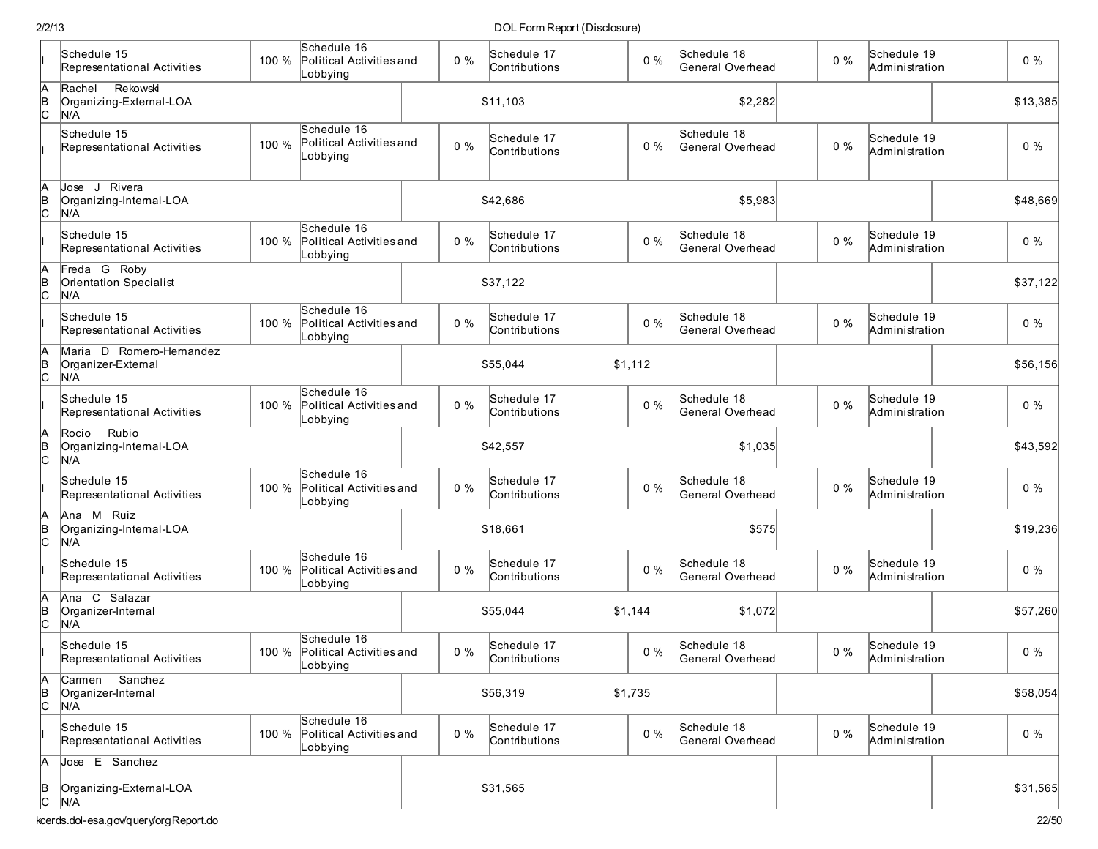|               | Schedule 15                                           |       | Schedule 16                                               |       | Schedule 17                  |         |       | Schedule 18                     |       | Schedule 19                   |          |
|---------------|-------------------------------------------------------|-------|-----------------------------------------------------------|-------|------------------------------|---------|-------|---------------------------------|-------|-------------------------------|----------|
|               | Representational Activities                           | 100 % | Political Activities and<br>_obbying                      | $0\%$ | Contributions                |         | $0\%$ | General Overhead                | $0\%$ | Administration                | $0\%$    |
| A<br>B<br>C   | Rekowski<br>Rachel<br>Organizing-External-LOA<br>N/A  |       |                                                           |       | \$11,103                     |         |       | \$2,282                         |       |                               | \$13,385 |
|               | Schedule 15<br>Representational Activities            | 100 % | Schedule 16<br>Political Activities and<br>_obbying       | $0\%$ | Schedule 17<br>Contributions |         | $0\%$ | Schedule 18<br>General Overhead | $0\%$ | Schedule 19<br>Administration | 0%       |
| A<br>B<br>C   | Jose J Rivera<br>Organizing-Internal-LOA<br>N/A       |       |                                                           |       | \$42,686                     |         |       | \$5,983                         |       |                               | \$48,669 |
|               | Schedule 15<br>Representational Activities            | 100 % | Schedule 16<br>Political Activities and<br>Lobbying       | $0\%$ | Schedule 17<br>Contributions |         | $0\%$ | Schedule 18<br>General Overhead | $0\%$ | Schedule 19<br>Administration | $0\%$    |
| A<br>B<br>C   | Freda G Roby<br>Orientation Specialist<br>N/A         |       |                                                           |       | \$37,122                     |         |       |                                 |       |                               | \$37,122 |
|               | Schedule 15<br>Representational Activities            | 100 % | Schedule 16<br>Political Activities and<br>_obbying       | $0\%$ | Schedule 17<br>Contributions |         | $0\%$ | Schedule 18<br>General Overhead | $0\%$ | Schedule 19<br>Administration | $0\%$    |
| A<br>B<br>C   | Maria D Romero-Hernandez<br>Organizer-External<br>N/A |       |                                                           |       | \$55,044                     | \$1,112 |       |                                 |       |                               | \$56,156 |
|               | Schedule 15<br>Representational Activities            | 100 % | Schedule 16<br>Political Activities and<br>_obbying       | $0\%$ | Schedule 17<br>Contributions |         | $0\%$ | Schedule 18<br>General Overhead | $0\%$ | Schedule 19<br>Administration | $0\%$    |
| A<br>B<br>C   | Rubio<br>Rocio<br>Organizing-Internal-LOA<br>N/A      |       |                                                           |       | \$42,557                     |         |       | \$1,035                         |       |                               | \$43,592 |
|               | Schedule 15<br>Representational Activities            | 100 % | Schedule 16<br>Political Activities and<br>Lobbying       | $0\%$ | Schedule 17<br>Contributions |         | $0\%$ | Schedule 18<br>General Overhead | $0\%$ | Schedule 19<br>Administration | $0\%$    |
| A<br>B<br>C   | Ana M Ruiz<br>Organizing-Internal-LOA<br>N/A          |       |                                                           |       | \$18,661                     |         |       | \$575                           |       |                               | \$19,236 |
|               | Schedule 15<br>Representational Activities            | 100 % | Schedule 16<br>Political Activities and<br>Lobbying       | $0\%$ | Schedule 17<br>Contributions |         | $0\%$ | Schedule 18<br>General Overhead | $0\%$ | Schedule 19<br>Administration | $0\%$    |
| h<br>B<br>C   | Ana C Salazar<br>Organizer-Internal<br>N/A            |       |                                                           |       | \$55,044                     | \$1,144 |       | \$1,072                         |       |                               | \$57,260 |
|               | Schedule 15<br>Representational Activities            |       | Schedule 16<br>100 % Political Activities and<br>Lobbying | 0%    | Schedule 17<br>Contributions |         | 0%    | Schedule 18<br>General Overhead | $0\%$ | Schedule 19<br>Administration | $0\%$    |
| A<br>B<br>C   | Carmen Sanchez<br>Organizer-Internal<br>N/A           |       |                                                           |       | \$56,319                     | \$1,735 |       |                                 |       |                               | \$58,054 |
|               | Schedule 15<br>Representational Activities            |       | Schedule 16<br>100 % Political Activities and<br>Lobbying | 0%    | Schedule 17<br>Contributions |         | $0\%$ | Schedule 18<br>General Overhead | $0\%$ | Schedule 19<br>Administration | $0\%$    |
| A             | Jose E Sanchez                                        |       |                                                           |       |                              |         |       |                                 |       |                               |          |
| $\frac{B}{C}$ | Organizing-External-LOA<br>N/A                        |       |                                                           |       | \$31,565                     |         |       |                                 |       |                               | \$31,565 |
|               | kcerds.dol-esa.gov/query/orgReport.do                 |       |                                                           |       |                              |         |       |                                 |       |                               | 22/50    |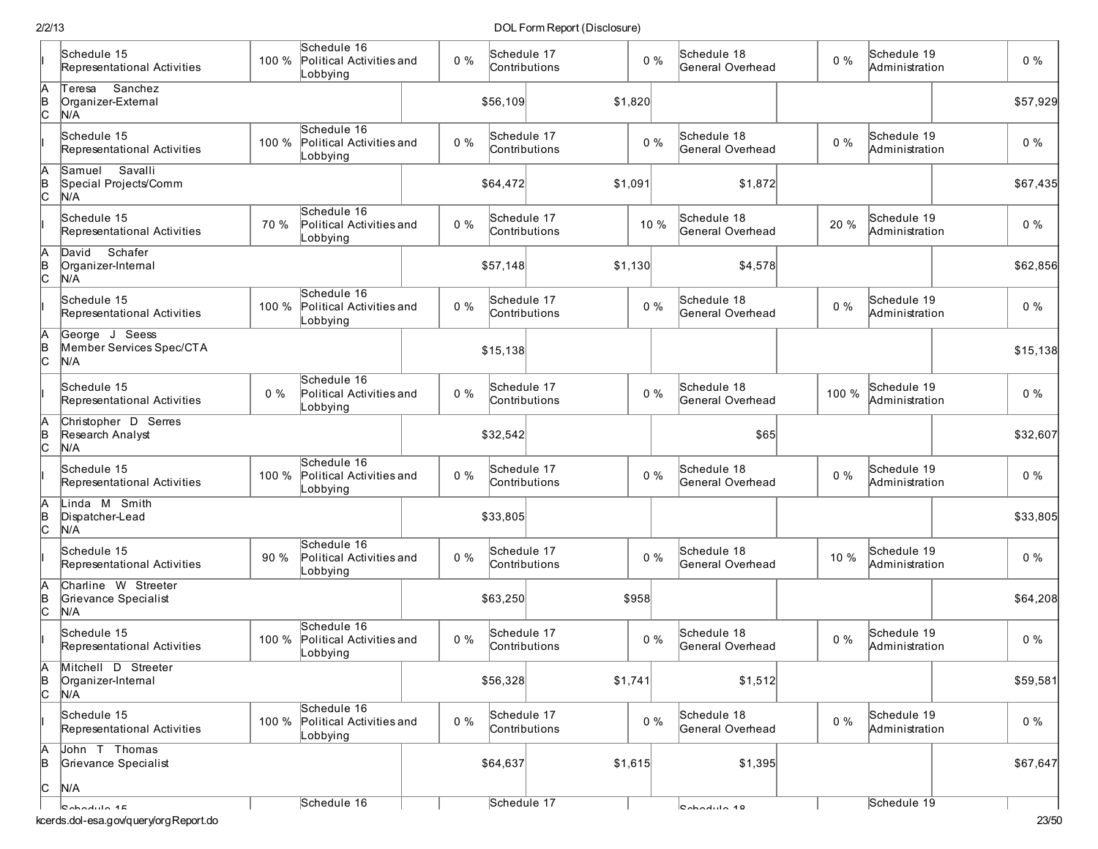|               | Schedule 15<br>Representational Activities         | 100 % | Schedule 16<br>Political Activities and<br>Lobbying | $0\%$ | Schedule 17<br>Contributions |         | $0\%$ | Schedule 18<br>General Overhead | $0\%$ | Schedule 19<br>Administration | 0%       |
|---------------|----------------------------------------------------|-------|-----------------------------------------------------|-------|------------------------------|---------|-------|---------------------------------|-------|-------------------------------|----------|
| $\frac{A}{C}$ | Sanchez<br>Teresa<br>Organizer-External<br>N/A     |       |                                                     |       | \$56,109                     | \$1,820 |       |                                 |       |                               | \$57,929 |
|               | Schedule 15<br>Representational Activities         | 100 % | Schedule 16<br>Political Activities and<br>Lobbying | $0\%$ | Schedule 17<br>Contributions |         | $0\%$ | Schedule 18<br>General Overhead | $0\%$ | Schedule 19<br>Administration | $0\%$    |
| A<br>B<br>C   | Savalli<br>Samuel<br>Special Projects/Comm<br>N/A  |       |                                                     |       | \$64,472                     | \$1,091 |       | \$1,872                         |       |                               | \$67,435 |
|               | Schedule 15<br>Representational Activities         | 70 %  | Schedule 16<br>Political Activities and<br>Lobbying | $0\%$ | Schedule 17<br>Contributions |         | 10 %  | Schedule 18<br>General Overhead | 20 %  | Schedule 19<br>Administration | $0\%$    |
| $\frac{A}{C}$ | David Schafer<br>Organizer-Internal<br>N/A         |       |                                                     |       | \$57,148                     | \$1,130 |       | \$4,578                         |       |                               | \$62,856 |
|               | Schedule 15<br>Representational Activities         | 100 % | Schedule 16<br>Political Activities and<br>Lobbying | $0\%$ | Schedule 17<br>Contributions |         | $0\%$ | Schedule 18<br>General Overhead | $0\%$ | Schedule 19<br>Administration | $0\%$    |
| $\frac{A}{C}$ | George J Seess<br>Member Services Spec/CTA<br>N/A  |       |                                                     |       | \$15,138                     |         |       |                                 |       |                               | \$15,138 |
|               | Schedule 15<br>Representational Activities         | $0\%$ | Schedule 16<br>Political Activities and<br>Lobbying | $0\%$ | Schedule 17<br>Contributions |         | $0\%$ | Schedule 18<br>General Overhead | 100 % | Schedule 19<br>Administration | $0\%$    |
| A<br>B<br>C   | Christopher D Serres<br>Research Analyst<br>N/A    |       |                                                     |       | \$32,542                     |         |       | \$65                            |       |                               | \$32,607 |
|               | Schedule 15<br>Representational Activities         | 100 % | Schedule 16<br>Political Activities and<br>Lobbying | $0\%$ | Schedule 17<br>Contributions |         | $0\%$ | Schedule 18<br>General Overhead | $0\%$ | Schedule 19<br>Administration | $0\%$    |
| A<br>B<br>C   | Linda M Smith<br>Dispatcher-Lead<br>N/A            |       |                                                     |       | \$33,805                     |         |       |                                 |       |                               | \$33,805 |
|               | Schedule 15<br>Representational Activities         | 90 %  | Schedule 16<br>Political Activities and<br>Lobbying | $0\%$ | Schedule 17<br>Contributions |         | $0\%$ | Schedule 18<br>General Overhead | 10 %  | Schedule 19<br>Administration | $0\%$    |
| $\frac{A}{C}$ | Charline W Streeter<br>Grievance Specialist<br>N/A |       |                                                     |       | \$63,250                     | \$958   |       |                                 |       |                               | \$64,208 |
|               | Schedule 15<br>Representational Activities         | 100 % | Schedule 16<br>Political Activities and<br>Lobbying | $0\%$ | Schedule 17<br>Contributions |         | $0\%$ | Schedule 18<br>General Overhead | $0\%$ | Schedule 19<br>Administration | $0\%$    |
| $\frac{A}{C}$ | Mitchell D Streeter<br>Organizer-Internal<br>N/A   |       |                                                     |       | \$56,328                     | \$1,741 |       | \$1,512                         |       |                               | \$59,581 |
|               | Schedule 15<br>Representational Activities         | 100 % | Schedule 16<br>Political Activities and<br>Lobbying | $0\%$ | Schedule 17<br>Contributions |         | $0\%$ | Schedule 18<br>General Overhead | $0\%$ | Schedule 19<br>Administration | $0\%$    |
| A<br>B        | John T Thomas<br>Grievance Specialist              |       |                                                     |       | \$64,637                     | \$1,615 |       | \$1,395                         |       |                               | \$67,647 |
| c             | N/A                                                |       | Schedule 16                                         |       | Schedule 17                  |         |       |                                 |       | Schedule 19                   |          |
|               | $Chadula$<br>kcerds.dol-esa.gov/query/orgReport.do |       |                                                     |       |                              |         |       | $6$                             |       |                               | 23/50    |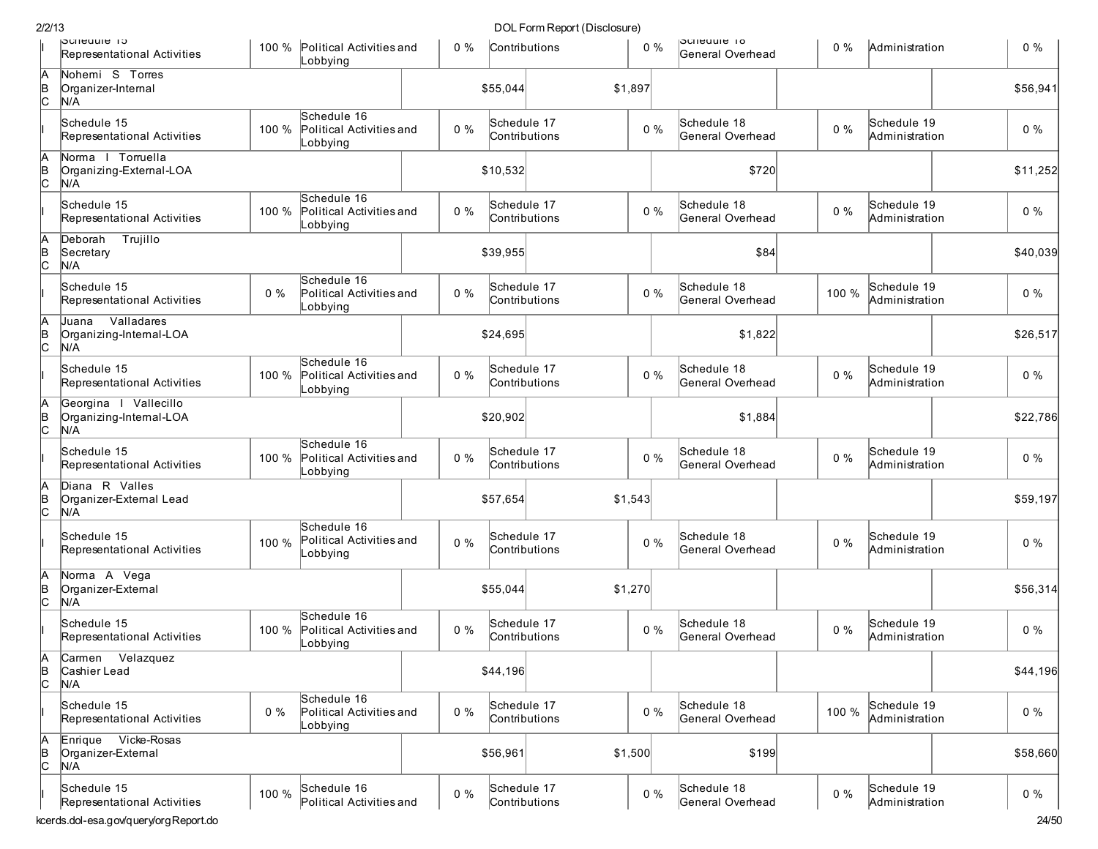|    |                                                         |       |                                                     |       |                              | DOL I OHIH (UDI (DISCIOSUI C) |       |                                       |       |                               |          |
|----|---------------------------------------------------------|-------|-----------------------------------------------------|-------|------------------------------|-------------------------------|-------|---------------------------------------|-------|-------------------------------|----------|
|    | DCNeaule 15<br>Representational Activities              |       | 100 % Political Activities and<br>Lobbying          | $0\%$ | Contributions                |                               | $0\%$ | <b>Defined to</b><br>General Overhead | $0\%$ | Administration                | $0\%$    |
|    | Nohemi S Torres<br>Organizer-Internal<br>N/A            |       |                                                     |       | \$55,044                     | \$1,897                       |       |                                       |       |                               | \$56,941 |
|    | Schedule 15<br>Representational Activities              | 100 % | Schedule 16<br>Political Activities and<br>Lobbying | $0\%$ | Schedule 17<br>Contributions |                               | $0\%$ | Schedule 18<br>General Overhead       | $0\%$ | Schedule 19<br>Administration | $0\%$    |
|    | Norma I Torruella<br>Organizing-External-LOA<br>N/A     |       |                                                     |       | \$10,532                     |                               |       | \$720                                 |       |                               | \$11,252 |
|    | Schedule 15<br>Representational Activities              | 100 % | Schedule 16<br>Political Activities and<br>Lobbying | $0\%$ | Schedule 17<br>Contributions |                               | $0\%$ | Schedule 18<br>General Overhead       | $0\%$ | Schedule 19<br>Administration | $0\%$    |
|    | Trujillo<br>Deborah<br>Secretary<br>N/A                 |       |                                                     |       | \$39,955                     |                               |       | \$84                                  |       |                               | \$40,039 |
|    | Schedule 15<br>Representational Activities              | $0\%$ | Schedule 16<br>Political Activities and<br>Lobbying | $0\%$ | Schedule 17                  | Contributions                 | $0\%$ | Schedule 18<br>General Overhead       | 100 % | Schedule 19<br>Administration | $0\%$    |
|    | Valladares<br>Juana<br>Organizing-Internal-LOA<br>N/A   |       |                                                     |       | \$24,695                     |                               |       | \$1,822                               |       |                               | \$26,517 |
|    | Schedule 15<br>Representational Activities              | 100 % | Schedule 16<br>Political Activities and<br>Lobbying | $0\%$ | Schedule 17<br>Contributions |                               | $0\%$ | Schedule 18<br>General Overhead       | $0\%$ | Schedule 19<br>Administration | $0\%$    |
| C. | Georgina I Vallecillo<br>Organizing-Internal-LOA<br>N/A |       |                                                     |       | \$20,902                     |                               |       | \$1,884                               |       |                               | \$22,786 |
|    | Schedule 15<br>Representational Activities              | 100 % | Schedule 16<br>Political Activities and<br>_obbying | $0\%$ | Schedule 17<br>Contributions |                               | $0\%$ | Schedule 18<br>General Overhead       | $0\%$ | Schedule 19<br>Administration | $0\%$    |
| С  | Diana R Valles<br>Organizer-External Lead<br>N/A        |       |                                                     |       | \$57,654                     | \$1,543                       |       |                                       |       |                               | \$59,197 |
|    | Schedule 15<br>Representational Activities              | 100 % | Schedule 16<br>Political Activities and<br>Lobbying | $0\%$ | Schedule 17<br>Contributions |                               | $0\%$ | Schedule 18<br>General Overhead       | $0\%$ | Schedule 19<br>Administration | $0\%$    |
|    | Norma A Vega<br>Organizer-External<br>N/A               |       |                                                     |       | \$55,044                     | \$1,270                       |       |                                       |       |                               | \$56,314 |
|    | Schedule 15<br>Representational Activities              | 100 % | Schedule 16<br>Political Activities and<br>Lobbying | $0\%$ | Schedule 17<br>Contributions |                               | $0\%$ | Schedule 18<br>General Overhead       | $0\%$ | Schedule 19<br>Administration | $0\%$    |
| A  | Carmen Velazquez<br>Cashier Lead<br>N/A                 |       |                                                     |       | \$44,196                     |                               |       |                                       |       |                               | \$44,196 |
|    | Schedule 15<br>Representational Activities              | $0\%$ | Schedule 16<br>Political Activities and<br>Lobbying | $0\%$ | Schedule 17<br>Contributions |                               | $0\%$ | Schedule 18<br>General Overhead       | 100 % | Schedule 19<br>Administration | $0\%$    |
| С  | Enrique Vicke-Rosas<br>Organizer-External<br>N/A        |       |                                                     |       | \$56,961                     | \$1,500                       |       | \$199                                 |       |                               | \$58,660 |
|    | Schedule 15<br>Representational Activities              | 100 % | Schedule 16<br>Political Activities and             | $0\%$ | Schedule 17<br>Contributions |                               | $0\%$ | Schedule 18<br>General Overhead       | $0\%$ | Schedule 19<br>Administration | $0\%$    |
|    | cerds.dol-esa.gov/guery/orgReport.do                    |       |                                                     |       |                              |                               |       |                                       |       |                               | 24/50    |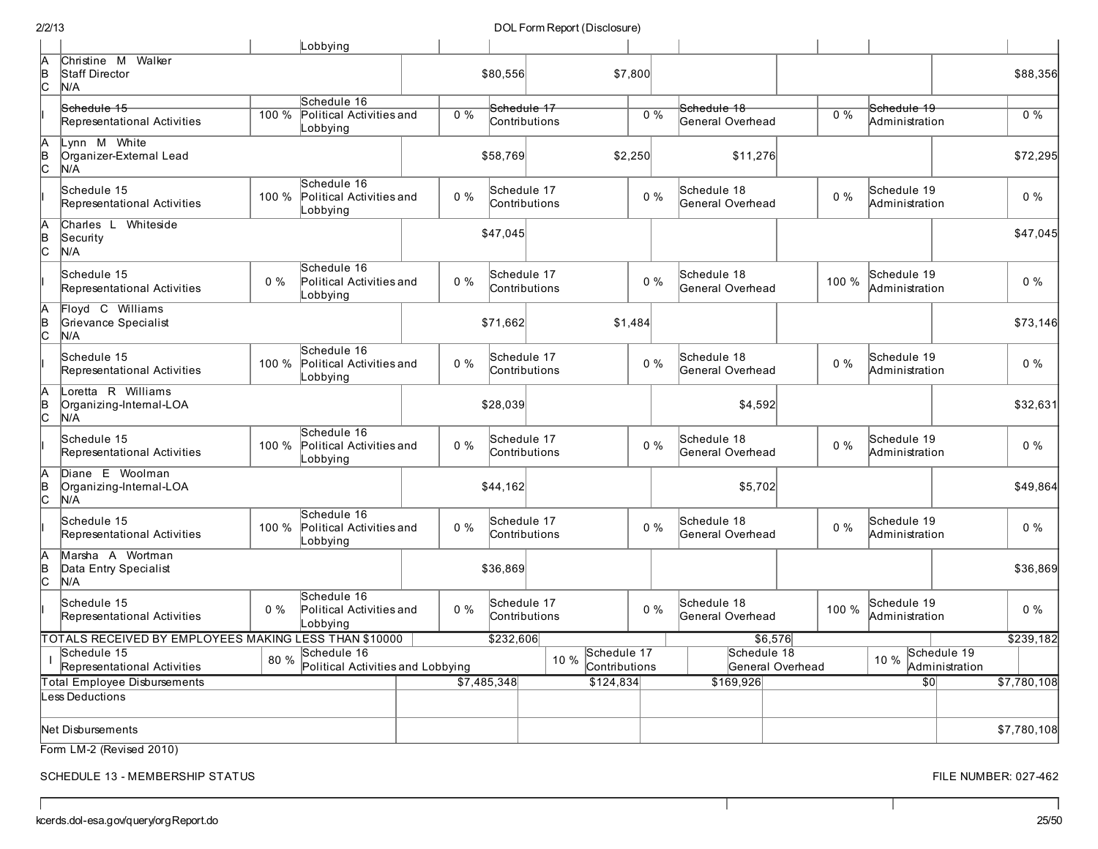|                | 2/2/13                                                |          |                                                     |       |             | DOL Form Report (Disclosure)         |         |                                 |                  |                               |                               |             |
|----------------|-------------------------------------------------------|----------|-----------------------------------------------------|-------|-------------|--------------------------------------|---------|---------------------------------|------------------|-------------------------------|-------------------------------|-------------|
|                |                                                       |          | Lobbying                                            |       |             |                                      |         |                                 |                  |                               |                               |             |
| IА<br>þ<br>lc. | Christine M Walker<br>Staff Director<br>N/A           |          |                                                     |       | \$80,556    |                                      | \$7,800 |                                 |                  |                               |                               | \$88,356    |
|                | Schedule 15                                           |          | Schedule 16                                         |       |             | Schedule 17                          |         | Schedule 18                     |                  | Schedule 19                   |                               |             |
|                | Representational Activities                           | 100 %    | Political Activities and<br>Lobbying                | $0\%$ |             | Contributions                        | $0\%$   | General Overhead                | $0\%$            | Administration                |                               | $0\%$       |
| A<br>Þ         | Lynn M White<br>Organizer-External Lead<br>N/A        |          |                                                     |       | \$58,769    |                                      | \$2,250 | \$11,276                        |                  |                               |                               | \$72,295    |
|                | Schedule 15<br>Representational Activities            | 100 %    | Schedule 16<br>Political Activities and<br>Lobbying | $0\%$ |             | Schedule 17<br>Contributions         | 0%      | Schedule 18<br>General Overhead | $0\%$            | Schedule 19<br>Administration |                               | $0\%$       |
| þ<br>lc.       | Charles L Whiteside<br>Security<br>N/A                |          |                                                     |       | \$47,045    |                                      |         |                                 |                  |                               |                               | \$47,045    |
|                | Schedule 15<br>Representational Activities            | $0\%$    | Schedule 16<br>Political Activities and<br>Lobbying | $0\%$ |             | Schedule 17<br>Contributions         | 0%      | Schedule 18<br>General Overhead | 100 %            | Schedule 19<br>Administration |                               | $0\%$       |
| ΙB<br>lc.      | Floyd C Williams<br>Grievance Specialist<br>N/A       |          |                                                     |       | \$71,662    |                                      | \$1,484 |                                 |                  |                               |                               | \$73,146    |
|                | Schedule 15<br>Representational Activities            | 100 %    | Schedule 16<br>Political Activities and<br>Lobbying | $0\%$ |             | Schedule 17<br>Contributions         | $0\%$   | Schedule 18<br>General Overhead | $0\%$            | Schedule 19<br>Administration |                               | $0\%$       |
| A<br>B<br>lc.  | Loretta R Williams<br>Organizing-Internal-LOA<br>N/A  |          |                                                     |       | \$28,039    |                                      |         | \$4,592                         |                  |                               |                               | \$32,631    |
|                | Schedule 15<br>Representational Activities            | $100 \%$ | Schedule 16<br>Political Activities and<br>Lobbying | $0\%$ |             | Schedule 17<br>Contributions         | $0\%$   | Schedule 18<br>General Overhead | $0\%$            | Schedule 19<br>Administration |                               | $0\%$       |
| B<br>IC.       | Diane E Woolman<br>Organizing-Internal-LOA<br>N/A     |          |                                                     |       | \$44,162    |                                      |         | \$5,702                         |                  |                               |                               | \$49,864    |
|                | Schedule 15<br>Representational Activities            | 100 %    | Schedule 16<br>Political Activities and<br>Lobbying | $0\%$ |             | Schedule 17<br>Contributions         | $0\%$   | Schedule 18<br>General Overhead | $0\%$            | Schedule 19<br>Administration |                               | $0\%$       |
| B<br>lc.       | Marsha A Wortman<br>Data Entry Specialist<br>N/A      |          |                                                     |       | \$36,869    |                                      |         |                                 |                  |                               |                               | \$36,869    |
|                | Schedule 15<br>Representational Activities            | $0\%$    | Schedule 16<br>Political Activities and<br>Lobbying | $0\%$ |             | Schedule 17<br>Contributions         | 0%      | Schedule 18<br>General Overhead | 100 %            | Schedule 19<br>Administration |                               | $0\%$       |
|                | TOTALS RECEIVED BY EMPLOYEES MAKING LESS THAN \$10000 |          |                                                     |       | \$232,606   |                                      |         |                                 | \$6,576          |                               |                               | \$239,182   |
|                | Schedule 15<br>Representational Activities            | 80 %     | Schedule 16<br>Political Activities and Lobbying    |       |             | Schedule 17<br>10 %<br>Contributions |         | Schedule 18                     | General Overhead | 10 %                          | Schedule 19<br>Administration |             |
|                | otal Employee Disbursements                           |          |                                                     |       | \$7,485,348 | \$124,834                            |         | \$169,926                       |                  | $\overline{30}$               |                               | \$7,780,108 |
|                | ess Deductions                                        |          |                                                     |       |             |                                      |         |                                 |                  |                               |                               |             |
|                | Net Disbursements                                     |          |                                                     |       |             |                                      |         |                                 |                  |                               |                               | \$7,780,108 |

J.

Form LM-2 (Revised 2010)

SCHEDULE 13 - MEMBERSHIP STATUS FILE NUMBER: 027-462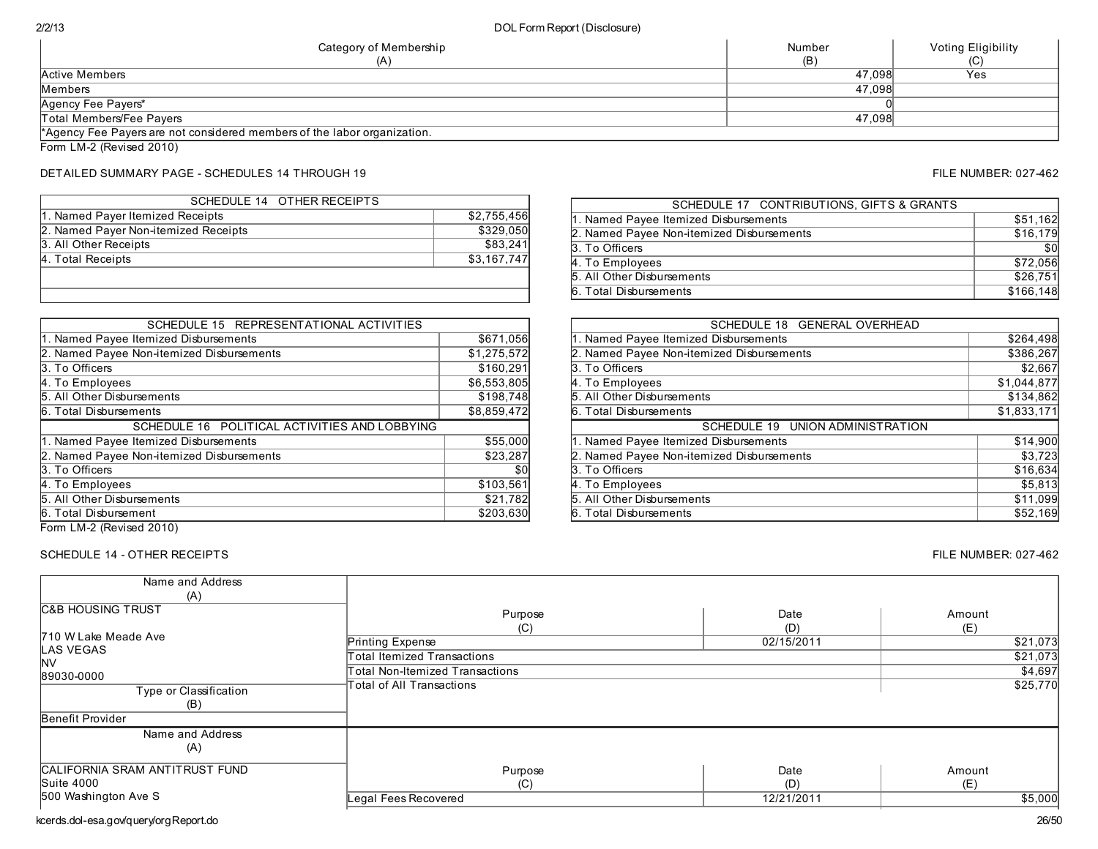| Category of Membership<br>(A)                                            | Number<br>(B) | Voting Eligibility |
|--------------------------------------------------------------------------|---------------|--------------------|
| Active Members                                                           | 47.098        | Yes                |
| Members                                                                  | 47.098        |                    |
| Agency Fee Payers*                                                       |               |                    |
| Total Members/Fee Pavers                                                 | 47.098        |                    |
| *Agency Fee Payers are not considered members of the labor organization. |               |                    |

Form LM-2 (Revised 2010)

# DETAILED SUMMARY PAGE - SCHEDULES 14 THROUGH 19 FILE NUMBER: 027-462

| SCHEDULE 14 OTHER RECEIPTS           |             |
|--------------------------------------|-------------|
| 1. Named Payer Itemized Receipts     | \$2,755,456 |
| 2. Named Payer Non-itemized Receipts | \$329,050   |
| 3. All Other Receipts                | \$83,241    |
| 4. Total Receipts                    | \$3,167,747 |
|                                      |             |
|                                      |             |

| SCHEDULE 15 REPRESENTATIONAL ACTIVITIES       |             |
|-----------------------------------------------|-------------|
| 1. Named Payee Itemized Disbursements         | \$671,056   |
| 2. Named Payee Non-itemized Disbursements     | \$1,275,572 |
| 3. To Officers                                | \$160,291   |
| 4. To Employees                               | \$6,553,805 |
| 5. All Other Disbursements                    | \$198,748   |
| 6. Total Disbursements                        | \$8,859,472 |
|                                               |             |
| SCHEDULE 16 POLITICAL ACTIVITIES AND LOBBYING |             |
| 1. Named Payee Itemized Disbursements         | \$55,000    |
| 2. Named Payee Non-itemized Disbursements     | \$23,287    |
| 3. To Officers                                | \$0         |
| 4. To Employees                               | \$103,561   |
| 5. All Other Disbursements                    | \$21,782    |
| 6. Total Disbursement                         | \$203,630   |

| SCHEDULE 17 CONTRIBUTIONS, GIFTS & GRANTS |           |
|-------------------------------------------|-----------|
| 1. Named Payee Itemized Disbursements     | \$51,162  |
| 2. Named Payee Non-itemized Disbursements | \$16,179  |
| 3. To Officers                            | \$0       |
| 4. To Employees                           | \$72,056  |
| 5. All Other Disbursements                | \$26,751  |
| 6. Total Disbursements                    | \$166,148 |

| SCHEDULE 18 GENERAL OVERHEAD                                                                                            |                     |
|-------------------------------------------------------------------------------------------------------------------------|---------------------|
| 1. Named Payee Itemized Disbursements                                                                                   | \$264,498           |
| 2. Named Payee Non-itemized Disbursements                                                                               | \$386,267           |
| 3. To Officers                                                                                                          | \$2,667             |
| 4. To Employees                                                                                                         | \$1,044,877         |
| 5. All Other Disbursements                                                                                              | \$134,862           |
| 6. Total Disbursements                                                                                                  | \$1,833,171         |
|                                                                                                                         |                     |
| SCHEDULE 19 UNION ADMINISTRATION                                                                                        |                     |
|                                                                                                                         | \$14,900            |
|                                                                                                                         | \$3,723             |
|                                                                                                                         | \$16,634            |
| 1. Named Payee Itemized Disbursements<br>2. Named Payee Non-itemized Disbursements<br>3. To Officers<br>4. To Employees |                     |
| 5. All Other Disbursements                                                                                              | \$5,813<br>\$11,099 |

Form LM-2 (Revised 2010)

# SCHEDULE 14 - OTHER RECEIPTS FILE NUMBER: 027-462

| Name and Address<br>(A)                      |                                    |             |               |
|----------------------------------------------|------------------------------------|-------------|---------------|
| <b>C&amp;B HOUSING TRUST</b>                 | Purpose<br>(C)                     | Date<br>(D) | Amount<br>(E) |
| 710 W Lake Meade Ave                         | Printing Expense                   | 02/15/2011  | \$21,073      |
| LAS VEGAS<br>INV                             | <b>Total Itemized Transactions</b> |             | \$21,073      |
| 89030-0000                                   | Total Non-Itemized Transactions    |             | \$4,697       |
| Type or Classification<br>(B)                | Total of All Transactions          |             | \$25,770      |
| Benefit Provider                             |                                    |             |               |
| Name and Address<br>(A)                      |                                    |             |               |
| CALIFORNIA SRAM ANTITRUST FUND<br>Suite 4000 | Purpose<br>(C)                     | Date<br>(D) | Amount<br>(E) |
| 500 Washington Ave S                         | Legal Fees Recovered               | 12/21/2011  | \$5,000       |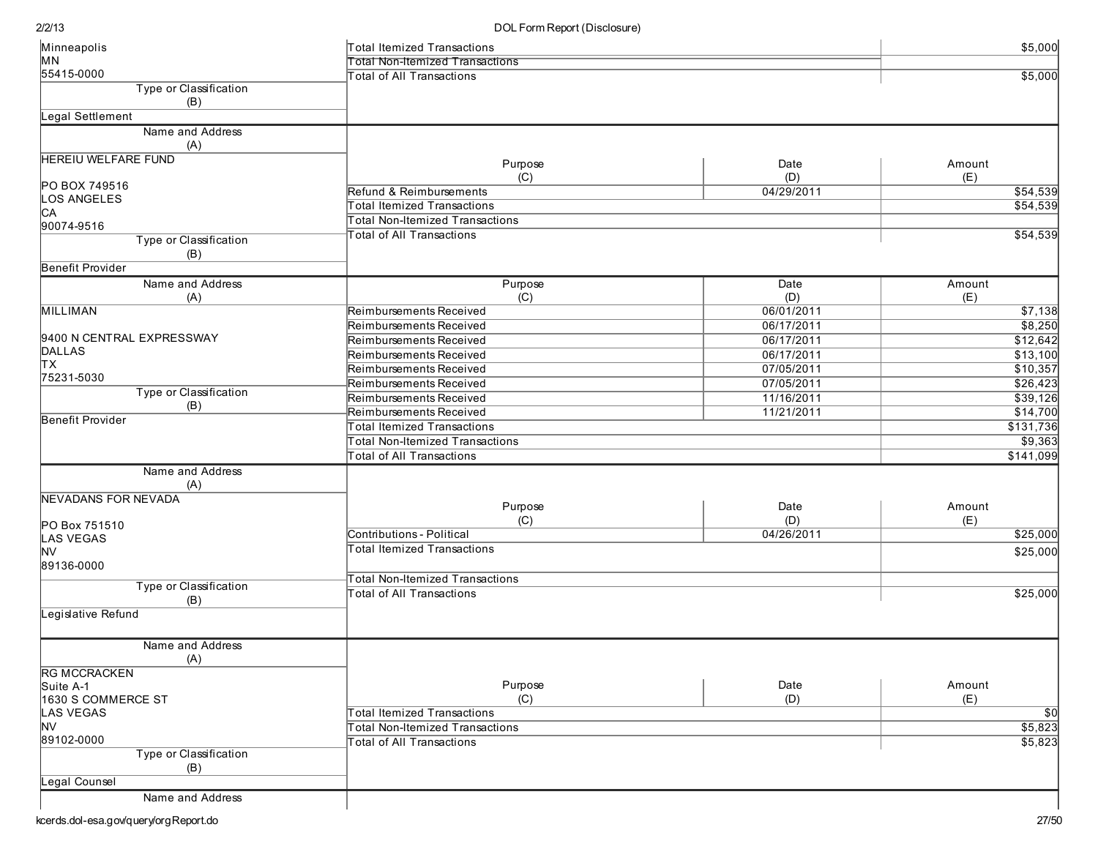| Minneapolis                | Total Itemized Transactions            |            | \$5,000   |  |  |
|----------------------------|----------------------------------------|------------|-----------|--|--|
| MN                         | <b>Total Non-Itemized Transactions</b> |            |           |  |  |
| 55415-0000                 | <b>Total of All Transactions</b>       |            |           |  |  |
| Type or Classification     |                                        |            |           |  |  |
| (B)                        |                                        |            |           |  |  |
| <b>Legal Settlement</b>    |                                        |            |           |  |  |
| Name and Address           |                                        |            |           |  |  |
| (A)                        |                                        |            |           |  |  |
| <b>HEREIU WELFARE FUND</b> | Purpose                                | Date       | Amount    |  |  |
|                            | (C)                                    | (D)        | (E)       |  |  |
| PO BOX 749516              | Refund & Reimbursements                | 04/29/2011 | \$54,539  |  |  |
| <b>LOS ANGELES</b>         | Total Itemized Transactions            |            | \$54,539  |  |  |
| CA                         | Total Non-Itemized Transactions        |            |           |  |  |
| 90074-9516                 | <b>Total of All Transactions</b>       |            | \$54,539  |  |  |
| Type or Classification     |                                        |            |           |  |  |
| (B)                        |                                        |            |           |  |  |
| Benefit Provider           |                                        |            |           |  |  |
| Name and Address           | Purpose                                | Date       | Amount    |  |  |
| (A)                        | (C)                                    | (D)        | (E)       |  |  |
| <b>MILLIMAN</b>            | Reimbursements Received                | 06/01/2011 | \$7,138   |  |  |
|                            | Reimbursements Received                | 06/17/2011 | \$8,250   |  |  |
| 9400 N CENTRAL EXPRESSWAY  | Reimbursements Received                | 06/17/2011 | \$12,642  |  |  |
| DALLAS                     | Reimbursements Received                | 06/17/2011 | \$13,100  |  |  |
| TХ                         | Reimbursements Received                | 07/05/2011 | \$10,357  |  |  |
| 75231-5030                 | Reimbursements Received                | 07/05/2011 | \$26,423  |  |  |
| Type or Classification     | Reimbursements Received                | 11/16/2011 | \$39,126  |  |  |
| (B)                        | Reimbursements Received                | 11/21/2011 | \$14,700  |  |  |
| Benefit Provider           | <b>Total Itemized Transactions</b>     |            | \$131,736 |  |  |
|                            | <b>Total Non-Itemized Transactions</b> |            | \$9,363   |  |  |
|                            | <b>Total of All Transactions</b>       |            | \$141,099 |  |  |
| Name and Address           |                                        |            |           |  |  |
| (A)                        |                                        |            |           |  |  |
| NEVADANS FOR NEVADA        |                                        |            |           |  |  |
|                            | Purpose                                | Date       | Amount    |  |  |
| PO Box 751510              | (C)                                    | (D)        | (E)       |  |  |
| <b>LAS VEGAS</b>           | Contributions - Political              | 04/26/2011 | \$25,000  |  |  |
| <b>NV</b>                  | <b>Total Itemized Transactions</b>     |            | \$25,000  |  |  |
| 89136-0000                 |                                        |            |           |  |  |
| Type or Classification     | <b>Total Non-Itemized Transactions</b> |            |           |  |  |
| (B)                        | <b>Total of All Transactions</b>       |            | \$25,000  |  |  |
| Legislative Refund         |                                        |            |           |  |  |
|                            |                                        |            |           |  |  |
| Name and Address           |                                        |            |           |  |  |
| (A)                        |                                        |            |           |  |  |
| <b>RG MCCRACKEN</b>        |                                        |            |           |  |  |
| Suite A-1                  | Purpose                                | Date       | Amount    |  |  |
| 1630 S COMMERCE ST         | (C)                                    | (D)        | (E)       |  |  |
| <b>LAS VEGAS</b>           | Total Itemized Transactions            |            | \$0       |  |  |
| <b>NV</b>                  | <b>Total Non-Itemized Transactions</b> |            | \$5,823   |  |  |
| 89102-0000                 | <b>Total of All Transactions</b>       |            | \$5,823   |  |  |
| Type or Classification     |                                        |            |           |  |  |
| (B)                        |                                        |            |           |  |  |
| Legal Counsel              |                                        |            |           |  |  |
| Name and Address           |                                        |            |           |  |  |
|                            |                                        |            |           |  |  |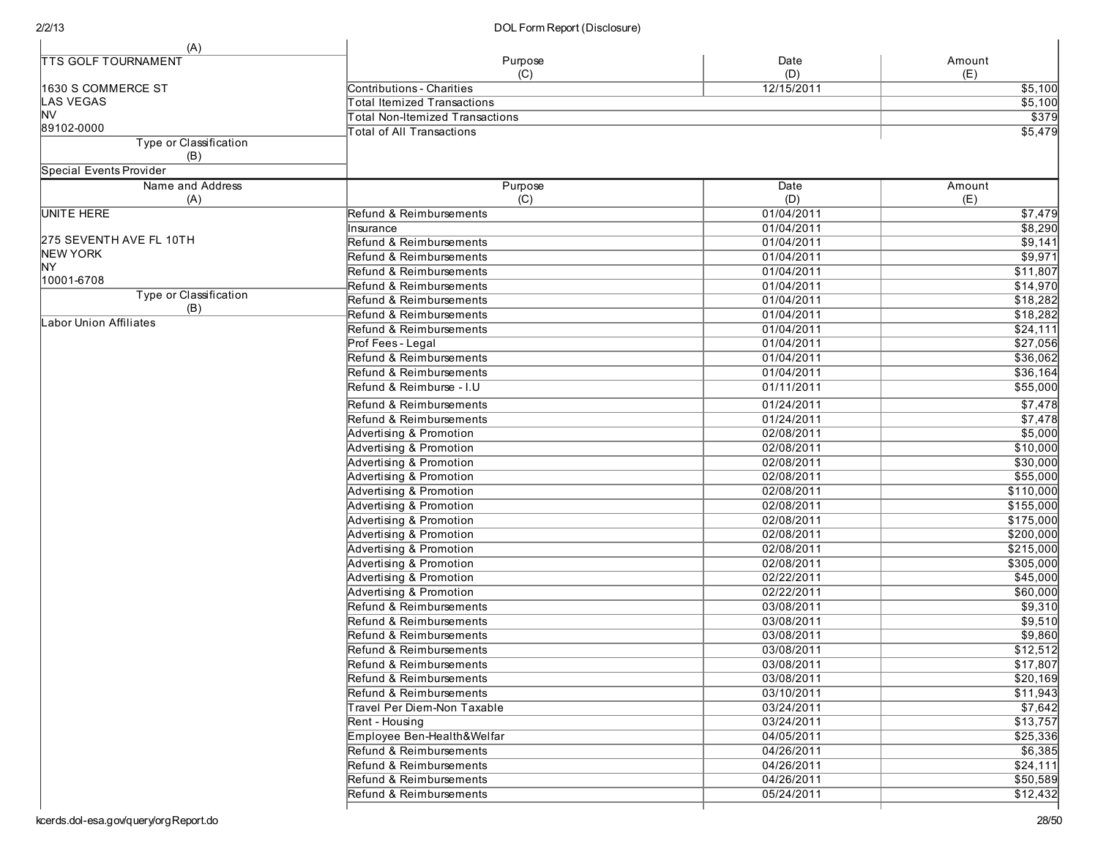| (A)                           |                                        |             |               |
|-------------------------------|----------------------------------------|-------------|---------------|
| <b>TTS GOLF TOURNAMENT</b>    | Purpose<br>(C)                         | Date<br>(D) | Amount<br>(E) |
| 1630 S COMMERCE ST            | Contributions - Charities              | 12/15/2011  | \$5,100       |
| <b>LAS VEGAS</b>              | <b>Total Itemized Transactions</b>     |             | \$5,100       |
| <b>NV</b>                     | <b>Total Non-Itemized Transactions</b> |             | \$379         |
| 89102-0000                    | <b>Total of All Transactions</b>       |             | \$5,479       |
| Type or Classification<br>(B) |                                        |             |               |
| Special Events Provider       |                                        |             |               |
| Name and Address<br>(A)       | Purpose<br>(C)                         | Date<br>(D) | Amount<br>(E) |
| UNITE HERE                    | Refund & Reimbursements                | 01/04/2011  | \$7,479       |
|                               | Insurance                              | 01/04/2011  | \$8,290       |
| 275 SEVENTH AVE FL 10TH       | Refund & Reimbursements                | 01/04/2011  | \$9,141       |
| <b>NEW YORK</b>               | Refund & Reimbursements                | 01/04/2011  | \$9,971       |
| ΝY                            | Refund & Reimbursements                | 01/04/2011  | \$11,807      |
| 10001-6708                    | Refund & Reimbursements                | 01/04/2011  | \$14,970      |
| Type or Classification        | Refund & Reimbursements                | 01/04/2011  | \$18,282      |
| (B)                           | Refund & Reimbursements                | 01/04/2011  | \$18,282      |
| Labor Union Affiliates        | Refund & Reimbursements                | 01/04/2011  | \$24,111      |
|                               | Prof Fees - Legal                      | 01/04/2011  | \$27,056      |
|                               | Refund & Reimbursements                | 01/04/2011  | \$36,062      |
|                               | Refund & Reimbursements                | 01/04/2011  | \$36,164      |
|                               | Refund & Reimburse - I.U               | 01/11/2011  | \$55,000      |
|                               |                                        |             |               |
|                               | Refund & Reimbursements                | 01/24/2011  | \$7,478       |
|                               | Refund & Reimbursements                | 01/24/2011  | \$7,478       |
|                               | <b>Advertising &amp; Promotion</b>     | 02/08/2011  | \$5,000       |
|                               | Advertising & Promotion                | 02/08/2011  | \$10,000      |
|                               | Advertising & Promotion                | 02/08/2011  | \$30,000      |
|                               | <b>Advertising &amp; Promotion</b>     | 02/08/2011  | \$55,000      |
|                               | Advertising & Promotion                | 02/08/2011  | \$110,000     |
|                               | Advertising & Promotion                | 02/08/2011  | \$155,000     |
|                               | Advertising & Promotion                | 02/08/2011  | \$175,000     |
|                               | <b>Advertising &amp; Promotion</b>     | 02/08/2011  | \$200,000     |
|                               | <b>Advertising &amp; Promotion</b>     | 02/08/2011  | \$215,000     |
|                               | <b>Advertising &amp; Promotion</b>     | 02/08/2011  | \$305,000     |
|                               | Advertising & Promotion                | 02/22/2011  | \$45,000      |
|                               | Advertising & Promotion                | 02/22/2011  | \$60,000      |
|                               | Refund & Reimbursements                | 03/08/2011  | \$9,310       |
|                               | Refund & Reimbursements                | 03/08/2011  | \$9,510       |
|                               | Refund & Reimbursements                | 03/08/2011  | \$9,860       |
|                               | Refund & Reimbursements                | 03/08/2011  | \$12,512      |
|                               | Refund & Reimbursements                | 03/08/2011  | \$17,807      |
|                               | Refund & Reimbursements                | 03/08/2011  | \$20,169      |
|                               | Refund & Reimbursements                | 03/10/2011  | \$11,943      |
|                               | Travel Per Diem-Non Taxable            | 03/24/2011  | \$7,642       |
|                               | Rent - Housing                         | 03/24/2011  | \$13,757      |
|                               | Employee Ben-Health&Welfar             | 04/05/2011  | \$25,336      |
|                               | Refund & Reimbursements                | 04/26/2011  | 56,385        |
|                               | Refund & Reimbursements                | 04/26/2011  | \$24,111      |
|                               | Refund & Reimbursements                | 04/26/2011  | \$50,589      |
|                               | Refund & Reimbursements                | 05/24/2011  | \$12,432      |
|                               |                                        |             |               |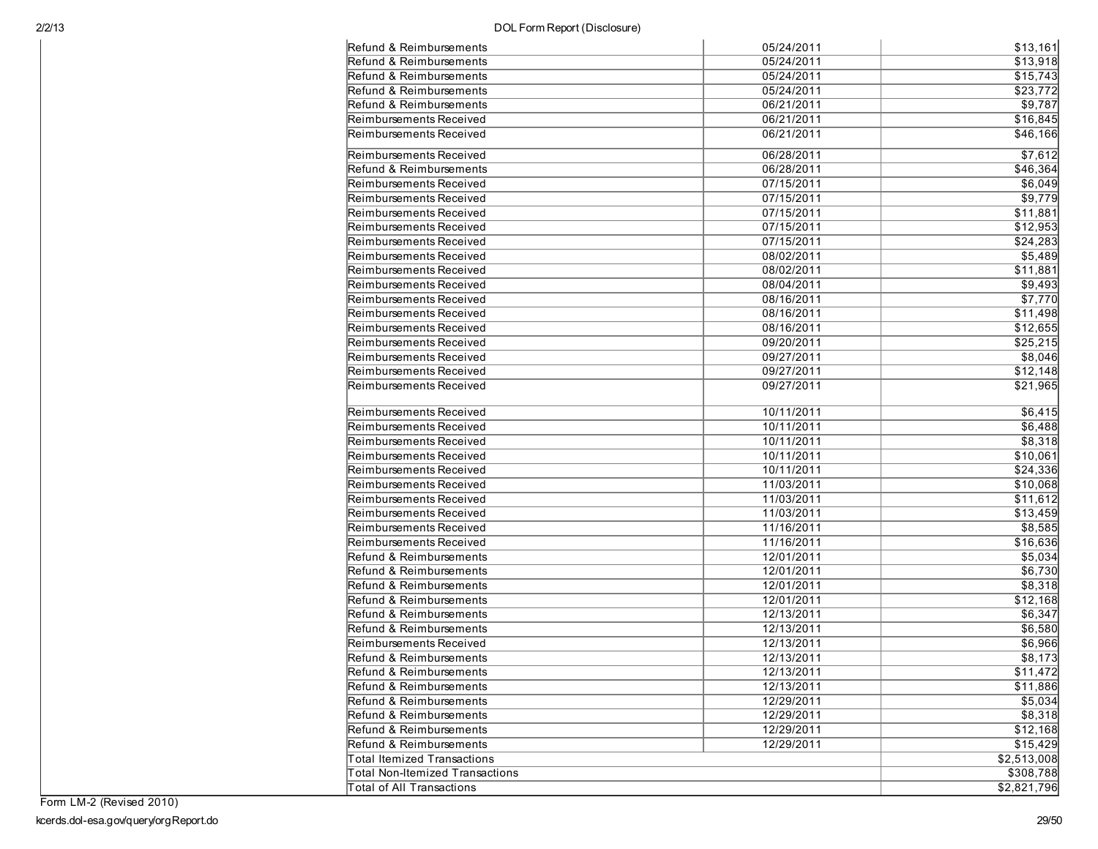| Refund & Reimbursements          | 05/24/2011 | \$13,161    |
|----------------------------------|------------|-------------|
| Refund & Reimbursements          | 05/24/2011 | \$13,918    |
| Refund & Reimbursements          | 05/24/2011 | \$15,743    |
| Refund & Reimbursements          | 05/24/2011 | \$23,772    |
| Refund & Reimbursements          | 06/21/2011 | \$9,787     |
| Reimbursements Received          | 06/21/2011 | \$16,845    |
| Reimbursements Received          | 06/21/2011 | \$46,166    |
| Reimbursements Received          | 06/28/2011 | \$7,612     |
| Refund & Reimbursements          | 06/28/2011 | \$46,364    |
| Reimbursements Received          | 07/15/2011 | \$6,049     |
| Reimbursements Received          | 07/15/2011 | \$9,779     |
| Reimbursements Received          | 07/15/2011 | \$11,881    |
| Reimbursements Received          | 07/15/2011 | \$12,953    |
| Reimbursements Received          | 07/15/2011 | \$24,283    |
| Reimbursements Received          | 08/02/2011 | \$5,489     |
| Reimbursements Received          | 08/02/2011 | \$11,881    |
| Reimbursements Received          | 08/04/2011 | \$9,493     |
| Reimbursements Received          | 08/16/2011 | \$7,770     |
| Reimbursements Received          | 08/16/2011 | \$11,498    |
| Reimbursements Received          | 08/16/2011 | \$12,655    |
| Reimbursements Received          | 09/20/2011 | \$25,215    |
| Reimbursements Received          | 09/27/2011 | \$8,046     |
| Reimbursements Received          | 09/27/2011 | \$12,148    |
| Reimbursements Received          | 09/27/2011 | \$21,965    |
| Reimbursements Received          | 10/11/2011 | \$6,415     |
| Reimbursements Received          | 10/11/2011 | \$6,488     |
| Reimbursements Received          | 10/11/2011 | \$8,318     |
| Reimbursements Received          | 10/11/2011 | \$10,061    |
| Reimbursements Received          | 10/11/2011 | \$24,336    |
| Reimbursements Received          | 11/03/2011 | \$10,068    |
| Reimbursements Received          | 11/03/2011 | \$11,612    |
| Reimbursements Received          | 11/03/2011 | \$13,459    |
| Reimbursements Received          | 11/16/2011 | \$8,585     |
| Reimbursements Received          | 11/16/2011 | \$16,636    |
| Refund & Reimbursements          | 12/01/2011 | \$5,034     |
| Refund & Reimbursements          | 12/01/2011 | \$6,730     |
| Refund & Reimbursements          | 12/01/2011 | \$8,318     |
| Refund & Reimbursements          | 12/01/2011 | \$12,168    |
| Refund & Reimbursements          | 12/13/2011 | \$6,347     |
| Refund & Reimbursements          | 12/13/2011 | \$6,580     |
| Reimbursements Received          | 12/13/2011 | \$6,966     |
| Refund & Reimbursements          | 12/13/2011 | \$8,173     |
|                                  |            |             |
| Refund & Reimbursements          | 12/13/2011 | \$11,472    |
| Refund & Reimbursements          | 12/13/2011 | \$11,886    |
| Refund & Reimbursements          | 12/29/2011 | \$5,034     |
| Refund & Reimbursements          | 12/29/2011 | \$8,318     |
| Refund & Reimbursements          | 12/29/2011 | \$12,168    |
| Refund & Reimbursements          | 12/29/2011 | \$15,429    |
| Total Itemized Transactions      |            | \$2,513,008 |
| Total Non-Itemized Transactions  |            | \$308,788   |
| <b>Total of All Transactions</b> |            | \$2,821,796 |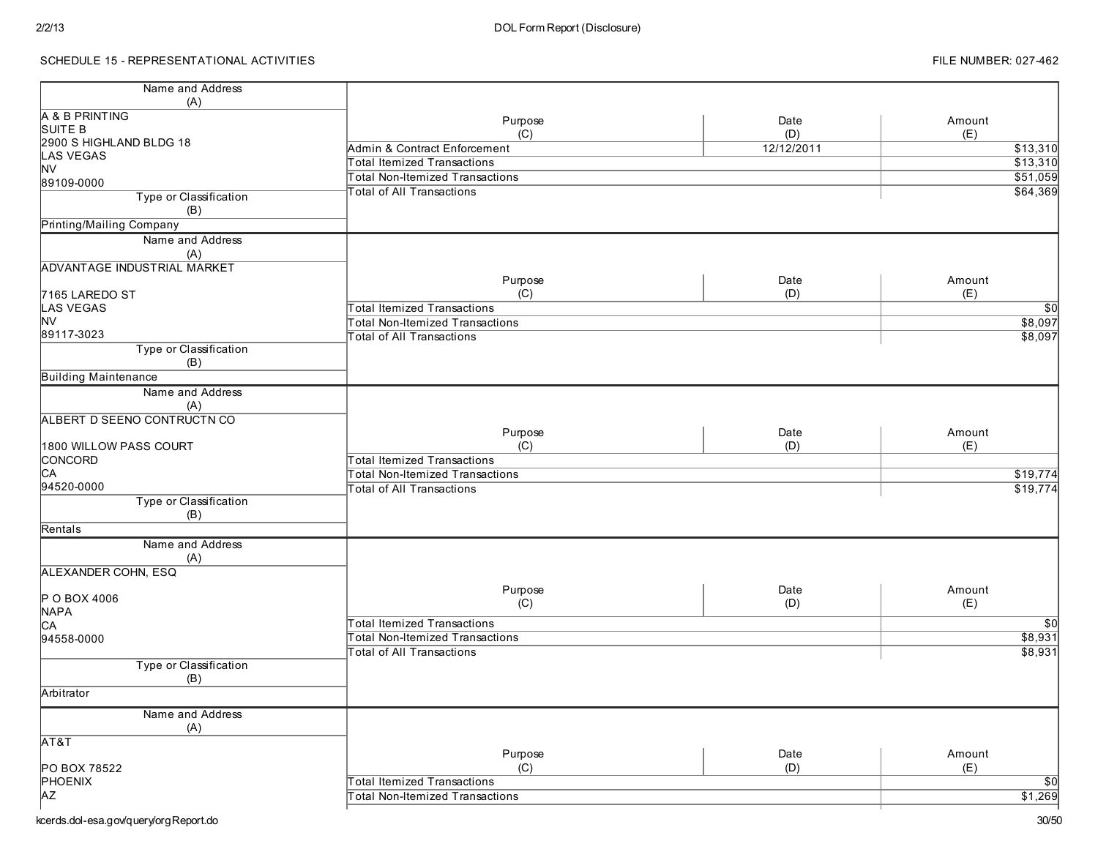# SCHEDULE 15 - REPRESENTATIONAL ACTIVITIES

| Name and Address                   |                                        |            |                 |
|------------------------------------|----------------------------------------|------------|-----------------|
| (A)                                |                                        |            |                 |
| A & B PRINTING                     | Purpose                                | Date       | Amount          |
| SUITE B                            | (C)                                    | (D)        | (E)             |
| 2900 S HIGHLAND BLDG 18            | Admin & Contract Enforcement           | 12/12/2011 | \$13,310        |
| <b>LAS VEGAS</b><br><b>NV</b>      | Total Itemized Transactions            |            | \$13,310        |
| 89109-0000                         | <b>Total Non-Itemized Transactions</b> |            | \$51,059        |
| Type or Classification             | <b>Total of All Transactions</b>       |            | \$64,369        |
| (B)                                |                                        |            |                 |
| Printing/Mailing Company           |                                        |            |                 |
|                                    |                                        |            |                 |
| Name and Address                   |                                        |            |                 |
| (A)                                |                                        |            |                 |
| <b>ADVANTAGE INDUSTRIAL MARKET</b> |                                        |            |                 |
|                                    | Purpose                                | Date       | Amount          |
| 7165 LAREDO ST                     | (C)                                    | (D)        | (E)             |
| <b>LAS VEGAS</b><br><b>NV</b>      | <b>Total Itemized Transactions</b>     |            | $\overline{50}$ |
| 89117-3023                         | <b>Total Non-Itemized Transactions</b> |            | \$8,097         |
|                                    | <b>Total of All Transactions</b>       |            | \$8,097         |
| Type or Classification             |                                        |            |                 |
| (B)                                |                                        |            |                 |
| <b>Building Maintenance</b>        |                                        |            |                 |
| Name and Address<br>(A)            |                                        |            |                 |
| ALBERT D SEENO CONTRUCTN CO        |                                        |            |                 |
|                                    | Purpose                                | Date       | Amount          |
| 1800 WILLOW PASS COURT             | (C)                                    | (D)        | (E)             |
| CONCORD                            | Total Itemized Transactions            |            |                 |
| CA                                 | Total Non-Itemized Transactions        |            | \$19,774        |
| 94520-0000                         | <b>Total of All Transactions</b>       |            | \$19,774        |
| Type or Classification             |                                        |            |                 |
| (B)                                |                                        |            |                 |
| Rentals                            |                                        |            |                 |
| Name and Address                   |                                        |            |                 |
| (A)                                |                                        |            |                 |
| ALEXANDER COHN, ESQ                |                                        |            |                 |
|                                    |                                        |            |                 |
| P O BOX 4006                       | Purpose                                | Date       | Amount          |
| <b>NAPA</b>                        | (C)                                    | (D)        | (E)             |
| CA                                 | <b>Total Itemized Transactions</b>     |            | \$0             |
| 94558-0000                         | <b>Total Non-Itemized Transactions</b> |            | \$8,931         |
|                                    | <b>Total of All Transactions</b>       |            | \$8,931         |
| Type or Classification             |                                        |            |                 |
| (B)                                |                                        |            |                 |
| Arbitrator                         |                                        |            |                 |
|                                    |                                        |            |                 |
| Name and Address                   |                                        |            |                 |
| (A)<br>AT&T                        |                                        |            |                 |
|                                    | Purpose                                | Date       | Amount          |
| PO BOX 78522                       | (C)                                    | (D)        | (E)             |
| PHOENIX                            | <b>Total Itemized Transactions</b>     |            | $\overline{50}$ |
| <b>AZ</b>                          | <b>Total Non-Itemized Transactions</b> |            | \$1,269         |
|                                    |                                        |            |                 |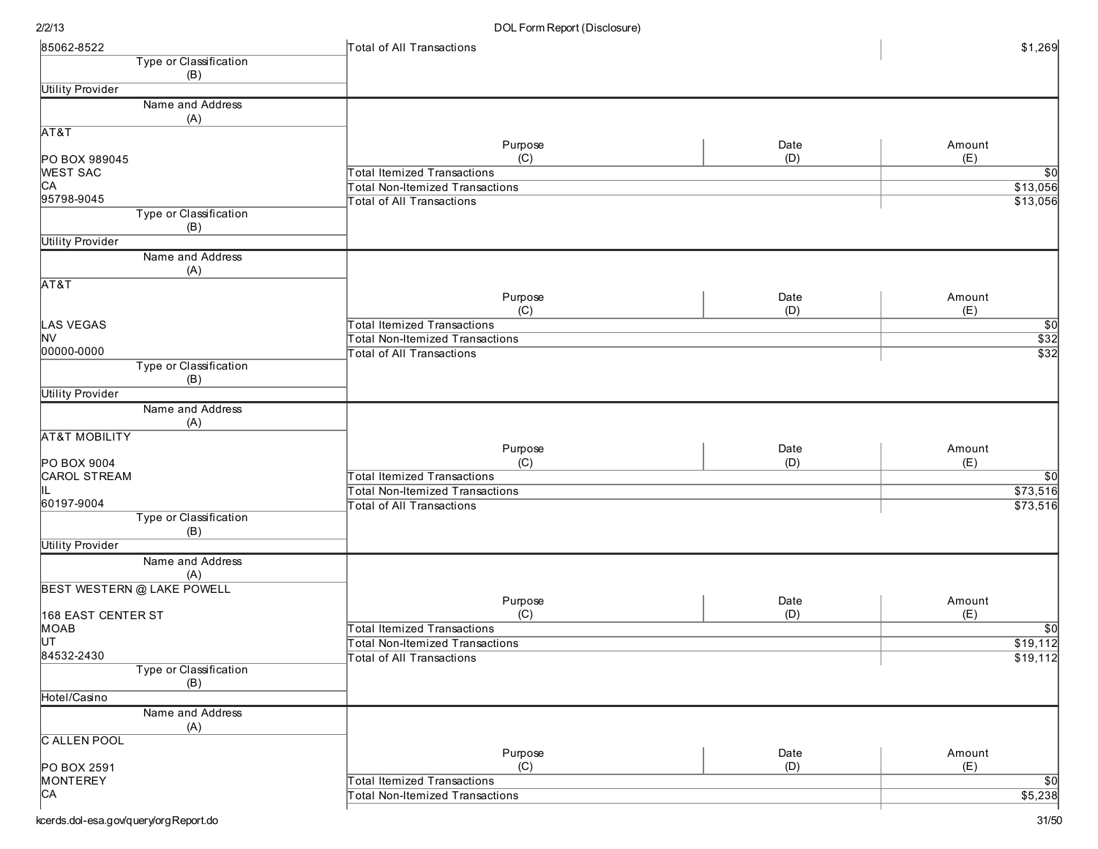| Type or Classification<br>(B)<br>Name and Address<br>(A)<br>Purpose<br>Date<br>Amount<br>(C)<br>(D)<br>(E)<br>PO BOX 989045<br><b>WEST SAC</b><br><b>Total Itemized Transactions</b><br>$\overline{30}$<br>CA<br><b>Total Non-Itemized Transactions</b><br>\$13,056<br>95798-9045<br>\$13,056<br><b>Total of All Transactions</b><br>Type or Classification<br>(B)<br><b>Utility Provider</b><br>Name and Address<br>(A)<br>AT&T<br>Purpose<br>Date<br>Amount<br>(C)<br>(D)<br>(E)<br><b>LAS VEGAS</b><br><b>Total Itemized Transactions</b><br>$\overline{50}$<br>$\frac{$32}{\$32}$<br><b>NV</b><br>Total Non-Itemized Transactions<br>00000-0000<br><b>Total of All Transactions</b><br>Type or Classification<br>(B)<br><b>Utility Provider</b><br>Name and Address<br>(A)<br><b>AT&amp;T MOBILITY</b><br>Purpose<br>Date<br>Amount<br>(C)<br>(E)<br>PO BOX 9004<br>(D)<br><b>Total Itemized Transactions</b><br><b>CAROL STREAM</b><br>$\overline{50}$<br>\$73,516<br><b>Total Non-Itemized Transactions</b><br>60197-9004<br>\$73,516<br><b>Total of All Transactions</b><br>Type or Classification<br>(B)<br><b>Utility Provider</b><br>Name and Address<br>(A)<br><b>BEST WESTERN @ LAKE POWELL</b><br>Date<br>Purpose<br>Amount<br>(C)<br>(D)<br>(E)<br>168 EAST CENTER ST<br><b>Total Itemized Transactions</b><br><b>MOAB</b><br>$\sqrt{50}$<br>ĮUТ<br>\$19,112<br>Total Non-Itemized Transactions<br>84532-2430<br>\$19,112<br>Total of All Transactions<br>Type or Classification<br>(B)<br>Hotel/Casino<br>Name and Address<br>(A)<br><b>C ALLEN POOL</b><br>Purpose<br>Date<br>Amount<br>(C)<br>(D)<br>(E)<br>PO BOX 2591<br>MONTEREY<br><b>Total Itemized Transactions</b><br>$\sqrt{50}$<br>CA<br>\$5,238<br><b>Total Non-Itemized Transactions</b> | 85062-8522              | Total of All Transactions | \$1,269 |
|----------------------------------------------------------------------------------------------------------------------------------------------------------------------------------------------------------------------------------------------------------------------------------------------------------------------------------------------------------------------------------------------------------------------------------------------------------------------------------------------------------------------------------------------------------------------------------------------------------------------------------------------------------------------------------------------------------------------------------------------------------------------------------------------------------------------------------------------------------------------------------------------------------------------------------------------------------------------------------------------------------------------------------------------------------------------------------------------------------------------------------------------------------------------------------------------------------------------------------------------------------------------------------------------------------------------------------------------------------------------------------------------------------------------------------------------------------------------------------------------------------------------------------------------------------------------------------------------------------------------------------------------------------------------------------------------------------------------------------------------------------------------|-------------------------|---------------------------|---------|
|                                                                                                                                                                                                                                                                                                                                                                                                                                                                                                                                                                                                                                                                                                                                                                                                                                                                                                                                                                                                                                                                                                                                                                                                                                                                                                                                                                                                                                                                                                                                                                                                                                                                                                                                                                      |                         |                           |         |
|                                                                                                                                                                                                                                                                                                                                                                                                                                                                                                                                                                                                                                                                                                                                                                                                                                                                                                                                                                                                                                                                                                                                                                                                                                                                                                                                                                                                                                                                                                                                                                                                                                                                                                                                                                      |                         |                           |         |
|                                                                                                                                                                                                                                                                                                                                                                                                                                                                                                                                                                                                                                                                                                                                                                                                                                                                                                                                                                                                                                                                                                                                                                                                                                                                                                                                                                                                                                                                                                                                                                                                                                                                                                                                                                      | <b>Utility Provider</b> |                           |         |
|                                                                                                                                                                                                                                                                                                                                                                                                                                                                                                                                                                                                                                                                                                                                                                                                                                                                                                                                                                                                                                                                                                                                                                                                                                                                                                                                                                                                                                                                                                                                                                                                                                                                                                                                                                      |                         |                           |         |
|                                                                                                                                                                                                                                                                                                                                                                                                                                                                                                                                                                                                                                                                                                                                                                                                                                                                                                                                                                                                                                                                                                                                                                                                                                                                                                                                                                                                                                                                                                                                                                                                                                                                                                                                                                      |                         |                           |         |
|                                                                                                                                                                                                                                                                                                                                                                                                                                                                                                                                                                                                                                                                                                                                                                                                                                                                                                                                                                                                                                                                                                                                                                                                                                                                                                                                                                                                                                                                                                                                                                                                                                                                                                                                                                      | AT&T                    |                           |         |
|                                                                                                                                                                                                                                                                                                                                                                                                                                                                                                                                                                                                                                                                                                                                                                                                                                                                                                                                                                                                                                                                                                                                                                                                                                                                                                                                                                                                                                                                                                                                                                                                                                                                                                                                                                      |                         |                           |         |
|                                                                                                                                                                                                                                                                                                                                                                                                                                                                                                                                                                                                                                                                                                                                                                                                                                                                                                                                                                                                                                                                                                                                                                                                                                                                                                                                                                                                                                                                                                                                                                                                                                                                                                                                                                      |                         |                           |         |
|                                                                                                                                                                                                                                                                                                                                                                                                                                                                                                                                                                                                                                                                                                                                                                                                                                                                                                                                                                                                                                                                                                                                                                                                                                                                                                                                                                                                                                                                                                                                                                                                                                                                                                                                                                      |                         |                           |         |
|                                                                                                                                                                                                                                                                                                                                                                                                                                                                                                                                                                                                                                                                                                                                                                                                                                                                                                                                                                                                                                                                                                                                                                                                                                                                                                                                                                                                                                                                                                                                                                                                                                                                                                                                                                      |                         |                           |         |
|                                                                                                                                                                                                                                                                                                                                                                                                                                                                                                                                                                                                                                                                                                                                                                                                                                                                                                                                                                                                                                                                                                                                                                                                                                                                                                                                                                                                                                                                                                                                                                                                                                                                                                                                                                      |                         |                           |         |
|                                                                                                                                                                                                                                                                                                                                                                                                                                                                                                                                                                                                                                                                                                                                                                                                                                                                                                                                                                                                                                                                                                                                                                                                                                                                                                                                                                                                                                                                                                                                                                                                                                                                                                                                                                      |                         |                           |         |
|                                                                                                                                                                                                                                                                                                                                                                                                                                                                                                                                                                                                                                                                                                                                                                                                                                                                                                                                                                                                                                                                                                                                                                                                                                                                                                                                                                                                                                                                                                                                                                                                                                                                                                                                                                      |                         |                           |         |
|                                                                                                                                                                                                                                                                                                                                                                                                                                                                                                                                                                                                                                                                                                                                                                                                                                                                                                                                                                                                                                                                                                                                                                                                                                                                                                                                                                                                                                                                                                                                                                                                                                                                                                                                                                      |                         |                           |         |
|                                                                                                                                                                                                                                                                                                                                                                                                                                                                                                                                                                                                                                                                                                                                                                                                                                                                                                                                                                                                                                                                                                                                                                                                                                                                                                                                                                                                                                                                                                                                                                                                                                                                                                                                                                      |                         |                           |         |
|                                                                                                                                                                                                                                                                                                                                                                                                                                                                                                                                                                                                                                                                                                                                                                                                                                                                                                                                                                                                                                                                                                                                                                                                                                                                                                                                                                                                                                                                                                                                                                                                                                                                                                                                                                      |                         |                           |         |
|                                                                                                                                                                                                                                                                                                                                                                                                                                                                                                                                                                                                                                                                                                                                                                                                                                                                                                                                                                                                                                                                                                                                                                                                                                                                                                                                                                                                                                                                                                                                                                                                                                                                                                                                                                      |                         |                           |         |
|                                                                                                                                                                                                                                                                                                                                                                                                                                                                                                                                                                                                                                                                                                                                                                                                                                                                                                                                                                                                                                                                                                                                                                                                                                                                                                                                                                                                                                                                                                                                                                                                                                                                                                                                                                      |                         |                           |         |
|                                                                                                                                                                                                                                                                                                                                                                                                                                                                                                                                                                                                                                                                                                                                                                                                                                                                                                                                                                                                                                                                                                                                                                                                                                                                                                                                                                                                                                                                                                                                                                                                                                                                                                                                                                      |                         |                           |         |
|                                                                                                                                                                                                                                                                                                                                                                                                                                                                                                                                                                                                                                                                                                                                                                                                                                                                                                                                                                                                                                                                                                                                                                                                                                                                                                                                                                                                                                                                                                                                                                                                                                                                                                                                                                      |                         |                           |         |
|                                                                                                                                                                                                                                                                                                                                                                                                                                                                                                                                                                                                                                                                                                                                                                                                                                                                                                                                                                                                                                                                                                                                                                                                                                                                                                                                                                                                                                                                                                                                                                                                                                                                                                                                                                      |                         |                           |         |
|                                                                                                                                                                                                                                                                                                                                                                                                                                                                                                                                                                                                                                                                                                                                                                                                                                                                                                                                                                                                                                                                                                                                                                                                                                                                                                                                                                                                                                                                                                                                                                                                                                                                                                                                                                      |                         |                           |         |
|                                                                                                                                                                                                                                                                                                                                                                                                                                                                                                                                                                                                                                                                                                                                                                                                                                                                                                                                                                                                                                                                                                                                                                                                                                                                                                                                                                                                                                                                                                                                                                                                                                                                                                                                                                      |                         |                           |         |
|                                                                                                                                                                                                                                                                                                                                                                                                                                                                                                                                                                                                                                                                                                                                                                                                                                                                                                                                                                                                                                                                                                                                                                                                                                                                                                                                                                                                                                                                                                                                                                                                                                                                                                                                                                      |                         |                           |         |
|                                                                                                                                                                                                                                                                                                                                                                                                                                                                                                                                                                                                                                                                                                                                                                                                                                                                                                                                                                                                                                                                                                                                                                                                                                                                                                                                                                                                                                                                                                                                                                                                                                                                                                                                                                      |                         |                           |         |
|                                                                                                                                                                                                                                                                                                                                                                                                                                                                                                                                                                                                                                                                                                                                                                                                                                                                                                                                                                                                                                                                                                                                                                                                                                                                                                                                                                                                                                                                                                                                                                                                                                                                                                                                                                      |                         |                           |         |
|                                                                                                                                                                                                                                                                                                                                                                                                                                                                                                                                                                                                                                                                                                                                                                                                                                                                                                                                                                                                                                                                                                                                                                                                                                                                                                                                                                                                                                                                                                                                                                                                                                                                                                                                                                      |                         |                           |         |
|                                                                                                                                                                                                                                                                                                                                                                                                                                                                                                                                                                                                                                                                                                                                                                                                                                                                                                                                                                                                                                                                                                                                                                                                                                                                                                                                                                                                                                                                                                                                                                                                                                                                                                                                                                      |                         |                           |         |
|                                                                                                                                                                                                                                                                                                                                                                                                                                                                                                                                                                                                                                                                                                                                                                                                                                                                                                                                                                                                                                                                                                                                                                                                                                                                                                                                                                                                                                                                                                                                                                                                                                                                                                                                                                      |                         |                           |         |
|                                                                                                                                                                                                                                                                                                                                                                                                                                                                                                                                                                                                                                                                                                                                                                                                                                                                                                                                                                                                                                                                                                                                                                                                                                                                                                                                                                                                                                                                                                                                                                                                                                                                                                                                                                      |                         |                           |         |
|                                                                                                                                                                                                                                                                                                                                                                                                                                                                                                                                                                                                                                                                                                                                                                                                                                                                                                                                                                                                                                                                                                                                                                                                                                                                                                                                                                                                                                                                                                                                                                                                                                                                                                                                                                      |                         |                           |         |
|                                                                                                                                                                                                                                                                                                                                                                                                                                                                                                                                                                                                                                                                                                                                                                                                                                                                                                                                                                                                                                                                                                                                                                                                                                                                                                                                                                                                                                                                                                                                                                                                                                                                                                                                                                      |                         |                           |         |
|                                                                                                                                                                                                                                                                                                                                                                                                                                                                                                                                                                                                                                                                                                                                                                                                                                                                                                                                                                                                                                                                                                                                                                                                                                                                                                                                                                                                                                                                                                                                                                                                                                                                                                                                                                      |                         |                           |         |
|                                                                                                                                                                                                                                                                                                                                                                                                                                                                                                                                                                                                                                                                                                                                                                                                                                                                                                                                                                                                                                                                                                                                                                                                                                                                                                                                                                                                                                                                                                                                                                                                                                                                                                                                                                      |                         |                           |         |
|                                                                                                                                                                                                                                                                                                                                                                                                                                                                                                                                                                                                                                                                                                                                                                                                                                                                                                                                                                                                                                                                                                                                                                                                                                                                                                                                                                                                                                                                                                                                                                                                                                                                                                                                                                      |                         |                           |         |
|                                                                                                                                                                                                                                                                                                                                                                                                                                                                                                                                                                                                                                                                                                                                                                                                                                                                                                                                                                                                                                                                                                                                                                                                                                                                                                                                                                                                                                                                                                                                                                                                                                                                                                                                                                      |                         |                           |         |
|                                                                                                                                                                                                                                                                                                                                                                                                                                                                                                                                                                                                                                                                                                                                                                                                                                                                                                                                                                                                                                                                                                                                                                                                                                                                                                                                                                                                                                                                                                                                                                                                                                                                                                                                                                      |                         |                           |         |
|                                                                                                                                                                                                                                                                                                                                                                                                                                                                                                                                                                                                                                                                                                                                                                                                                                                                                                                                                                                                                                                                                                                                                                                                                                                                                                                                                                                                                                                                                                                                                                                                                                                                                                                                                                      |                         |                           |         |
|                                                                                                                                                                                                                                                                                                                                                                                                                                                                                                                                                                                                                                                                                                                                                                                                                                                                                                                                                                                                                                                                                                                                                                                                                                                                                                                                                                                                                                                                                                                                                                                                                                                                                                                                                                      |                         |                           |         |
|                                                                                                                                                                                                                                                                                                                                                                                                                                                                                                                                                                                                                                                                                                                                                                                                                                                                                                                                                                                                                                                                                                                                                                                                                                                                                                                                                                                                                                                                                                                                                                                                                                                                                                                                                                      |                         |                           |         |
|                                                                                                                                                                                                                                                                                                                                                                                                                                                                                                                                                                                                                                                                                                                                                                                                                                                                                                                                                                                                                                                                                                                                                                                                                                                                                                                                                                                                                                                                                                                                                                                                                                                                                                                                                                      |                         |                           |         |
|                                                                                                                                                                                                                                                                                                                                                                                                                                                                                                                                                                                                                                                                                                                                                                                                                                                                                                                                                                                                                                                                                                                                                                                                                                                                                                                                                                                                                                                                                                                                                                                                                                                                                                                                                                      |                         |                           |         |
|                                                                                                                                                                                                                                                                                                                                                                                                                                                                                                                                                                                                                                                                                                                                                                                                                                                                                                                                                                                                                                                                                                                                                                                                                                                                                                                                                                                                                                                                                                                                                                                                                                                                                                                                                                      |                         |                           |         |
|                                                                                                                                                                                                                                                                                                                                                                                                                                                                                                                                                                                                                                                                                                                                                                                                                                                                                                                                                                                                                                                                                                                                                                                                                                                                                                                                                                                                                                                                                                                                                                                                                                                                                                                                                                      |                         |                           |         |
|                                                                                                                                                                                                                                                                                                                                                                                                                                                                                                                                                                                                                                                                                                                                                                                                                                                                                                                                                                                                                                                                                                                                                                                                                                                                                                                                                                                                                                                                                                                                                                                                                                                                                                                                                                      |                         |                           |         |
|                                                                                                                                                                                                                                                                                                                                                                                                                                                                                                                                                                                                                                                                                                                                                                                                                                                                                                                                                                                                                                                                                                                                                                                                                                                                                                                                                                                                                                                                                                                                                                                                                                                                                                                                                                      |                         |                           |         |
|                                                                                                                                                                                                                                                                                                                                                                                                                                                                                                                                                                                                                                                                                                                                                                                                                                                                                                                                                                                                                                                                                                                                                                                                                                                                                                                                                                                                                                                                                                                                                                                                                                                                                                                                                                      |                         |                           |         |
|                                                                                                                                                                                                                                                                                                                                                                                                                                                                                                                                                                                                                                                                                                                                                                                                                                                                                                                                                                                                                                                                                                                                                                                                                                                                                                                                                                                                                                                                                                                                                                                                                                                                                                                                                                      |                         |                           |         |
|                                                                                                                                                                                                                                                                                                                                                                                                                                                                                                                                                                                                                                                                                                                                                                                                                                                                                                                                                                                                                                                                                                                                                                                                                                                                                                                                                                                                                                                                                                                                                                                                                                                                                                                                                                      |                         |                           |         |
|                                                                                                                                                                                                                                                                                                                                                                                                                                                                                                                                                                                                                                                                                                                                                                                                                                                                                                                                                                                                                                                                                                                                                                                                                                                                                                                                                                                                                                                                                                                                                                                                                                                                                                                                                                      |                         |                           |         |
|                                                                                                                                                                                                                                                                                                                                                                                                                                                                                                                                                                                                                                                                                                                                                                                                                                                                                                                                                                                                                                                                                                                                                                                                                                                                                                                                                                                                                                                                                                                                                                                                                                                                                                                                                                      |                         |                           |         |
|                                                                                                                                                                                                                                                                                                                                                                                                                                                                                                                                                                                                                                                                                                                                                                                                                                                                                                                                                                                                                                                                                                                                                                                                                                                                                                                                                                                                                                                                                                                                                                                                                                                                                                                                                                      |                         |                           |         |
|                                                                                                                                                                                                                                                                                                                                                                                                                                                                                                                                                                                                                                                                                                                                                                                                                                                                                                                                                                                                                                                                                                                                                                                                                                                                                                                                                                                                                                                                                                                                                                                                                                                                                                                                                                      |                         |                           |         |
|                                                                                                                                                                                                                                                                                                                                                                                                                                                                                                                                                                                                                                                                                                                                                                                                                                                                                                                                                                                                                                                                                                                                                                                                                                                                                                                                                                                                                                                                                                                                                                                                                                                                                                                                                                      |                         |                           |         |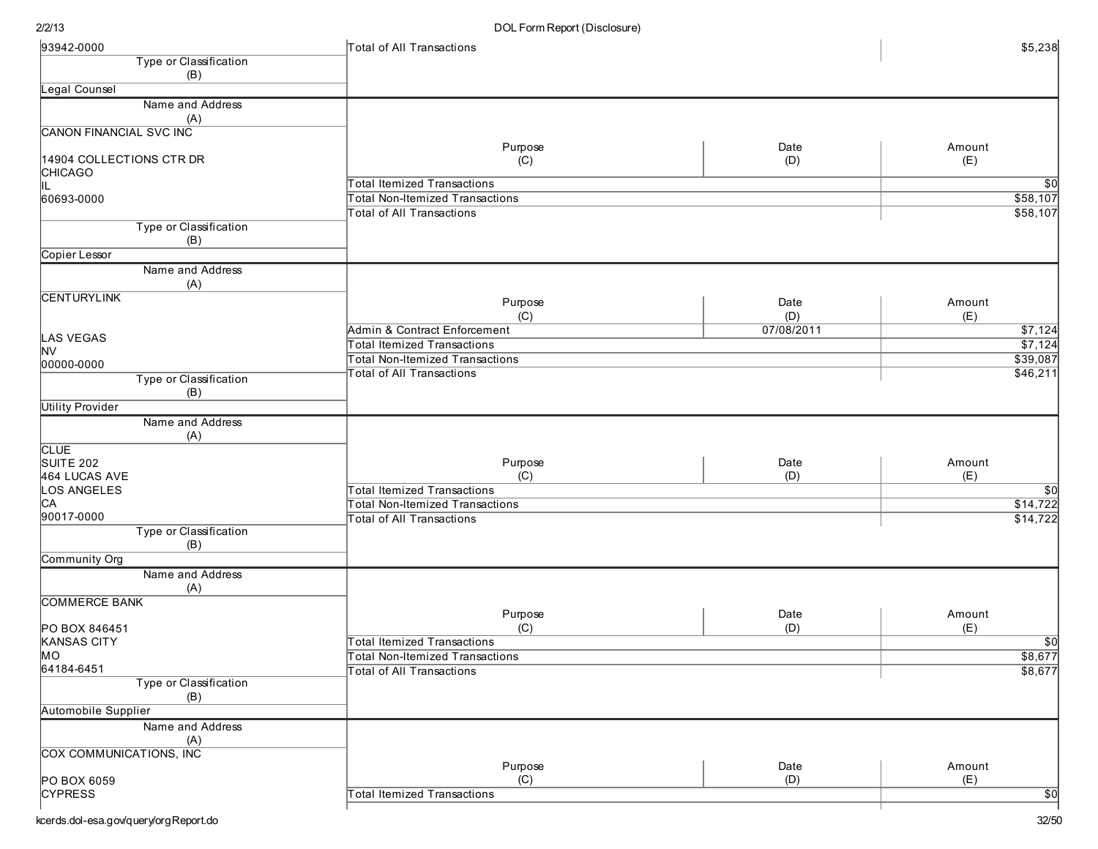| 93942-0000                      | Total of All Transactions                                                  |             | \$5,238                     |
|---------------------------------|----------------------------------------------------------------------------|-------------|-----------------------------|
| Type or Classification          |                                                                            |             |                             |
| (B)                             |                                                                            |             |                             |
| Legal Counsel                   |                                                                            |             |                             |
| Name and Address<br>(A)         |                                                                            |             |                             |
| <b>CANON FINANCIAL SVC INC</b>  |                                                                            |             |                             |
|                                 | Purpose                                                                    | Date        | Amount                      |
| 14904 COLLECTIONS CTR DR        | (C)                                                                        | (D)         | (E)                         |
| CHICAGO                         |                                                                            |             |                             |
| IL                              | Total Itemized Transactions<br><b>Total Non-Itemized Transactions</b>      |             | $\overline{30}$<br>\$58,107 |
| 60693-0000                      | Total of All Transactions                                                  |             | \$58,107                    |
| Type or Classification          |                                                                            |             |                             |
| (B)                             |                                                                            |             |                             |
| Copier Lessor                   |                                                                            |             |                             |
| Name and Address                |                                                                            |             |                             |
| (A)                             |                                                                            |             |                             |
| <b>CENTURYLINK</b>              | Purpose                                                                    | Date        | Amount                      |
|                                 | (C)                                                                        | (D)         | (E)                         |
| LAS VEGAS                       | Admin & Contract Enforcement                                               | 07/08/2011  | \$7,124                     |
| <b>NV</b>                       | Total Itemized Transactions                                                |             | \$7,124                     |
| 00000-0000                      | <b>Total Non-Itemized Transactions</b>                                     |             | \$39,087                    |
| Type or Classification          | <b>Total of All Transactions</b>                                           |             | \$46,211                    |
| (B)                             |                                                                            |             |                             |
| <b>Utility Provider</b>         |                                                                            |             |                             |
| Name and Address                |                                                                            |             |                             |
| (A)                             |                                                                            |             |                             |
| <b>CLUE</b><br>SUITE 202        | Purpose                                                                    | Date        | Amount                      |
| 464 LUCAS AVE                   | (C)                                                                        | (D)         | (E)                         |
| LOS ANGELES                     | <b>Total Itemized Transactions</b>                                         |             | $\sqrt{50}$                 |
| CA                              | <b>Total Non-Itemized Transactions</b>                                     |             | \$14,722                    |
| 90017-0000                      | <b>Total of All Transactions</b>                                           |             | \$14,722                    |
| Type or Classification          |                                                                            |             |                             |
| (B)<br>Community Org            |                                                                            |             |                             |
| Name and Address                |                                                                            |             |                             |
| (A)                             |                                                                            |             |                             |
| <b>COMMERCE BANK</b>            |                                                                            |             |                             |
|                                 | Purpose                                                                    | Date        | Amount                      |
| PO BOX 846451                   | (C)                                                                        | (D)         | (E)                         |
| <b>KANSAS CITY</b><br><b>MO</b> | Total Itemized Transactions                                                |             | $\frac{$0}{$8,677}$         |
| 64184-6451                      | <b>Total Non-Itemized Transactions</b><br><b>Total of All Transactions</b> |             | \$8,677                     |
| Type or Classification          |                                                                            |             |                             |
| (B)                             |                                                                            |             |                             |
| <b>Automobile Supplier</b>      |                                                                            |             |                             |
| Name and Address                |                                                                            |             |                             |
| (A)                             |                                                                            |             |                             |
| COX COMMUNICATIONS, INC.        |                                                                            |             |                             |
| PO BOX 6059                     | Purpose<br>(C)                                                             | Date<br>(D) | Amount<br>(E)               |
| <b>CYPRESS</b>                  | <b>Total Itemized Transactions</b>                                         |             | $\overline{50}$             |
|                                 |                                                                            |             |                             |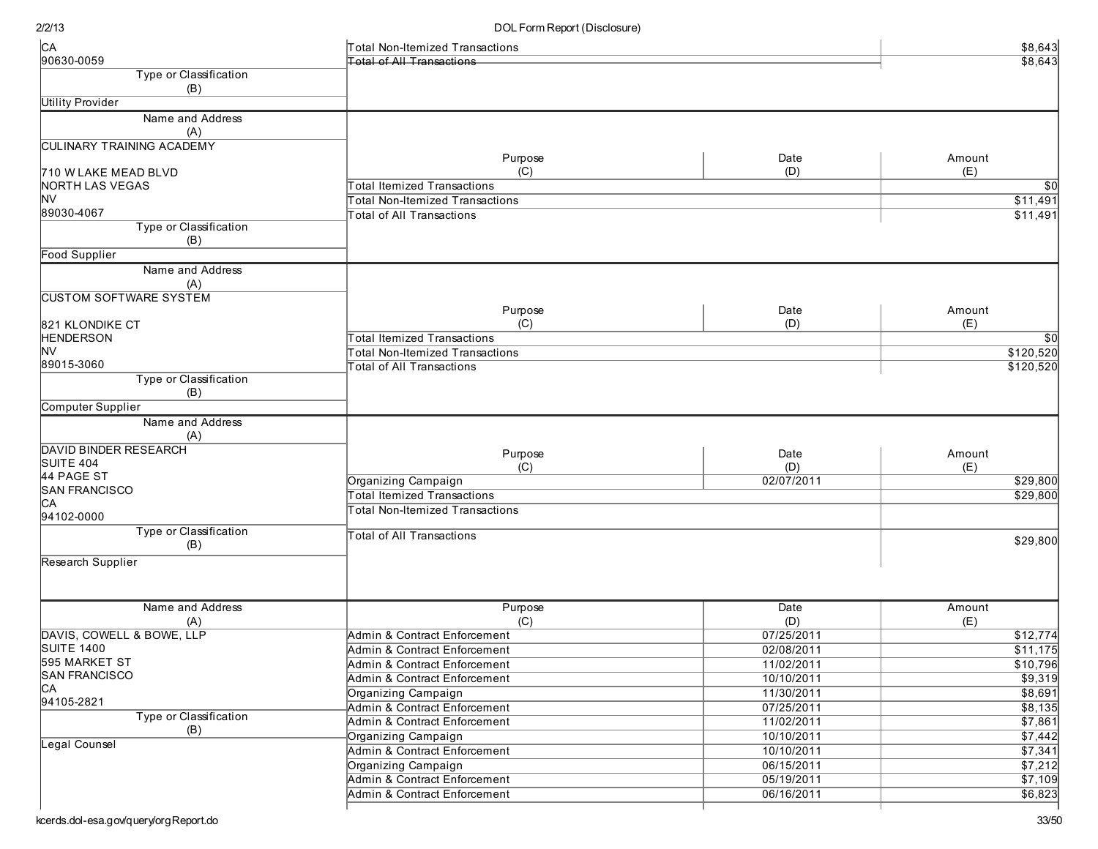| C <sub>A</sub>                          | Total Non-Itemized Transactions        |            | \$8,643          |
|-----------------------------------------|----------------------------------------|------------|------------------|
| 90630-0059                              | <b>Total of All Transactions</b>       |            | \$8,643          |
| Type or Classification                  |                                        |            |                  |
| (B)                                     |                                        |            |                  |
| <b>Utility Provider</b>                 |                                        |            |                  |
| Name and Address                        |                                        |            |                  |
| (A)<br><b>CULINARY TRAINING ACADEMY</b> |                                        |            |                  |
|                                         | Purpose                                | Date       | Amount           |
| 710 W LAKE MEAD BLVD                    | (C)                                    | (D)        | (E)              |
| <b>NORTH LAS VEGAS</b>                  | <b>Total Itemized Transactions</b>     |            | \$0              |
| <b>NV</b>                               | <b>Total Non-Itemized Transactions</b> |            | \$11,491         |
| 89030-4067                              | <b>Total of All Transactions</b>       |            | \$11,491         |
| Type or Classification                  |                                        |            |                  |
| (B)                                     |                                        |            |                  |
| Food Supplier                           |                                        |            |                  |
| Name and Address<br>(A)                 |                                        |            |                  |
| <b>CUSTOM SOFTWARE SYSTEM</b>           |                                        |            |                  |
|                                         | Purpose                                | Date       | Amount           |
| 821 KLONDIKE CT                         | (C)                                    | (D)        | (E)              |
| <b>HENDERSON</b>                        | <b>Total Itemized Transactions</b>     |            | \$0              |
| NV<br>89015-3060                        | <b>Total Non-Itemized Transactions</b> |            | \$120,520        |
| Type or Classification                  | <b>Total of All Transactions</b>       |            | \$120,520        |
| (B)                                     |                                        |            |                  |
| Computer Supplier                       |                                        |            |                  |
| Name and Address                        |                                        |            |                  |
| (A)                                     |                                        |            |                  |
| <b>DAVID BINDER RESEARCH</b>            | Purpose                                | Date       | Amount           |
| SUITE 404                               | (C)                                    | (D)        | (E)              |
| 44 PAGE ST                              | Organizing Campaign                    | 02/07/2011 | \$29,800         |
| <b>SAN FRANCISCO</b>                    | <b>Total Itemized Transactions</b>     |            | \$29,800         |
| CA                                      | <b>Total Non-Itemized Transactions</b> |            |                  |
| 94102-0000                              |                                        |            |                  |
| Type or Classification<br>(B)           | <b>Total of All Transactions</b>       |            | \$29,800         |
| Research Supplier                       |                                        |            |                  |
|                                         |                                        |            |                  |
|                                         |                                        |            |                  |
| Name and Address                        | Purpose                                | Date       | Amount           |
| (A)                                     | (C)                                    | (D)        | (E)              |
| DAVIS, COWELL & BOWE, LLP               | Admin & Contract Enforcement           | 07/25/2011 | $\sqrt{$12,774}$ |
| <b>SUITE 1400</b>                       | Admin & Contract Enforcement           | 02/08/2011 | \$11,175         |
| 595 MARKET ST                           | Admin & Contract Enforcement           | 11/02/2011 | \$10,796         |
| <b>SAN FRANCISCO</b>                    | Admin & Contract Enforcement           | 10/10/2011 | \$9,319          |
| CA                                      | Organizing Campaign                    | 11/30/2011 | \$8,691          |
| 94105-2821                              | Admin & Contract Enforcement           | 07/25/2011 | \$8,135          |
| Type or Classification                  | Admin & Contract Enforcement           | 11/02/2011 | \$7,861          |
| (B)                                     | Organizing Campaign                    | 10/10/2011 | \$7,442          |
| Legal Counsel                           | Admin & Contract Enforcement           | 10/10/2011 | \$7,341          |
|                                         | Organizing Campaign                    | 06/15/2011 | \$7,212          |
|                                         | Admin & Contract Enforcement           | 05/19/2011 | \$7,109          |
|                                         | Admin & Contract Enforcement           | 06/16/2011 | \$6,823          |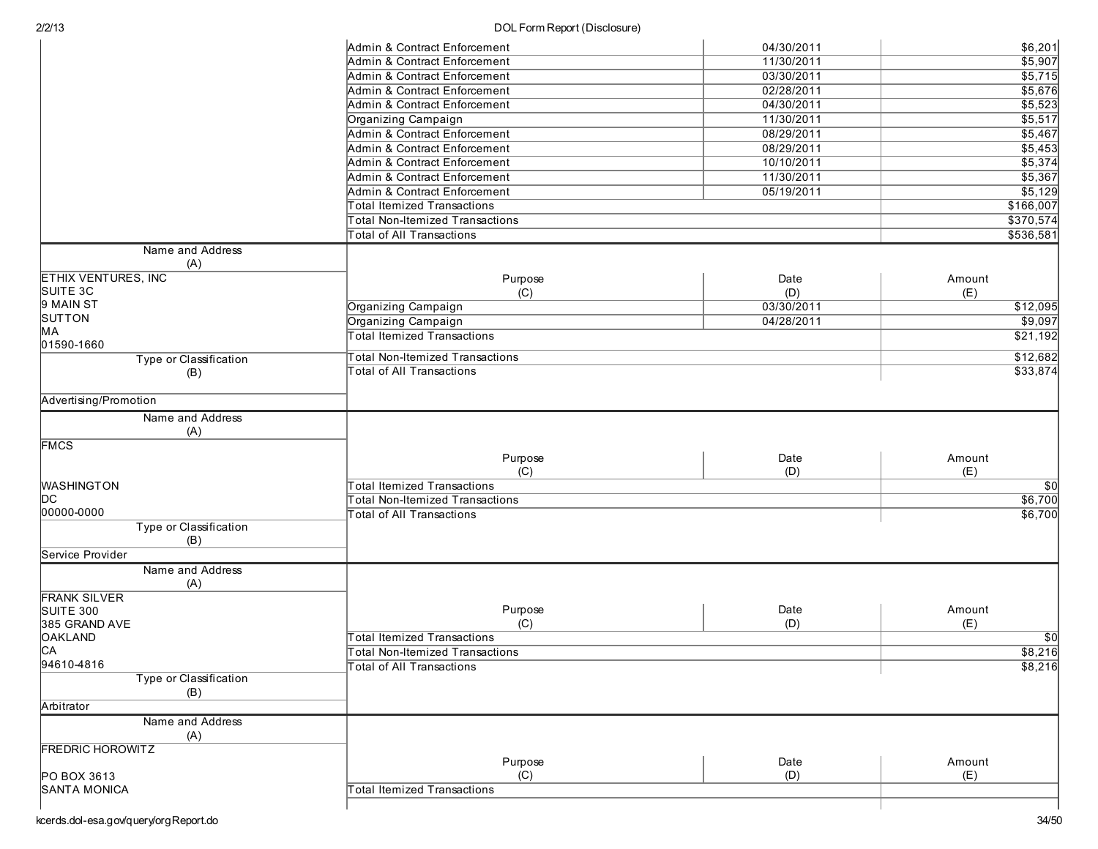| 2/2/13                           | DOL Form Report (Disclosure)              |            |                        |
|----------------------------------|-------------------------------------------|------------|------------------------|
|                                  | Admin & Contract Enforcement              | 04/30/2011 | \$6,201                |
|                                  | <b>Admin &amp; Contract Enforcement</b>   | 11/30/2011 | \$5,907                |
|                                  | Admin & Contract Enforcement              | 03/30/2011 | \$5,715                |
|                                  | Admin & Contract Enforcement              | 02/28/2011 | \$5,676                |
|                                  | Admin & Contract Enforcement              | 04/30/2011 | \$5,523                |
|                                  | Organizing Campaign                       | 11/30/2011 | \$5,517                |
|                                  | <b>Admin &amp; Contract Enforcement</b>   | 08/29/2011 | \$5,467                |
|                                  | Admin & Contract Enforcement              | 08/29/2011 | \$5,453                |
|                                  | Admin & Contract Enforcement              | 10/10/2011 | \$5,374                |
|                                  | <b>Admin &amp; Contract Enforcement</b>   | 11/30/2011 | \$5,367                |
|                                  | Admin & Contract Enforcement              | 05/19/2011 | \$5,129                |
|                                  |                                           |            |                        |
|                                  | <b>Total Itemized Transactions</b>        |            | \$166,007              |
|                                  | <b>Total Non-Itemized Transactions</b>    |            | \$370,574              |
|                                  | <b>Total of All Transactions</b>          |            | \$536,581              |
| Name and Address                 |                                           |            |                        |
| (A)                              |                                           |            |                        |
| <b>ETHIX VENTURES, INC</b>       | Purpose                                   | Date       | Amount                 |
| SUITE 3C                         | (C)                                       | (D)        | (E)                    |
| 9 MAIN ST                        | Organizing Campaign                       | 03/30/2011 | \$12,095               |
| SUTTON                           | Organizing Campaign                       | 04/28/2011 | \$9,097                |
| MA                               | <b>Total Itemized Transactions</b>        |            | \$21,192               |
| 01590-1660                       | <b>Total Non-Itemized Transactions</b>    |            | \$12,682               |
| Type or Classification           | <b>Total of All Transactions</b>          |            | \$33,874               |
| (B)                              |                                           |            |                        |
| Advertising/Promotion            |                                           |            |                        |
|                                  |                                           |            |                        |
| Name and Address                 |                                           |            |                        |
| (A)                              |                                           |            |                        |
| <b>FMCS</b>                      |                                           |            |                        |
|                                  | Purpose                                   | Date       | Amount                 |
| <b>WASHINGTON</b>                | (C)<br><b>Total Itemized Transactions</b> | (D)        | (E)<br>$\overline{50}$ |
| IDC.                             |                                           |            |                        |
| 00000-0000                       | Total Non-Itemized Transactions           |            | \$6,700                |
| Type or Classification           | <b>Total of All Transactions</b>          |            | \$6,700                |
| (B)                              |                                           |            |                        |
| Service Provider                 |                                           |            |                        |
|                                  |                                           |            |                        |
| Name and Address                 |                                           |            |                        |
| (A)                              |                                           |            |                        |
| <b>FRANK SILVER</b><br>SUITE 300 |                                           | Date       | Amount                 |
|                                  | Purpose<br>(C)                            | (D)        | (E)                    |
| 385 GRAND AVE                    | <b>Total Itemized Transactions</b>        |            | $\overline{50}$        |
| <b>OAKLAND</b><br>CA             |                                           |            |                        |
| 94610-4816                       | <b>Total Non-Itemized Transactions</b>    |            | \$8,216                |
| Type or Classification           | <b>Total of All Transactions</b>          |            | \$8,216                |
| (B)                              |                                           |            |                        |
|                                  |                                           |            |                        |
| Arbitrator                       |                                           |            |                        |
| Name and Address                 |                                           |            |                        |
| (A)                              |                                           |            |                        |
| <b>FREDRIC HOROWITZ</b>          |                                           |            |                        |
|                                  | Purpose                                   | Date       | Amount                 |
| PO BOX 3613                      | (C)                                       | (D)        | (E)                    |
| <b>SANTA MONICA</b>              | <b>Total Itemized Transactions</b>        |            |                        |
|                                  |                                           |            |                        |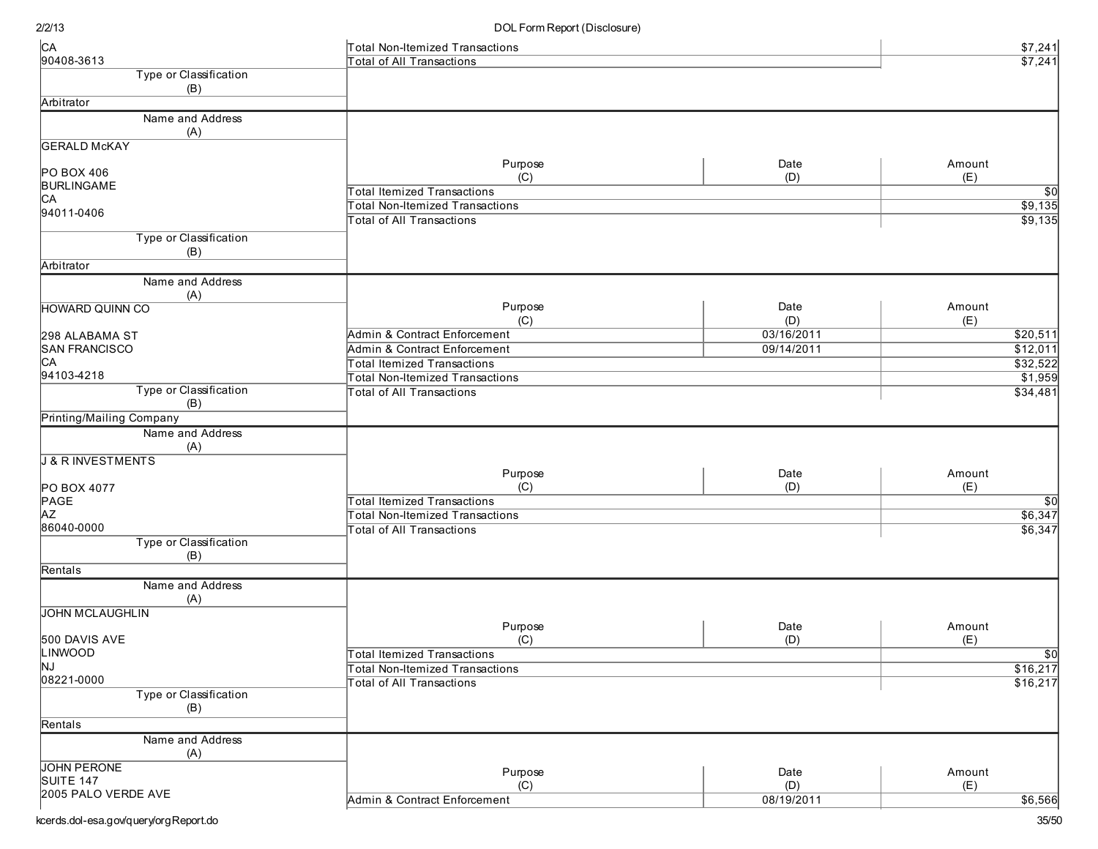| CA                              | Total Non-Itemized Transactions        |            | \$7,241              |
|---------------------------------|----------------------------------------|------------|----------------------|
| 90408-3613                      | <b>Total of All Transactions</b>       |            | \$7,241              |
| Type or Classification          |                                        |            |                      |
| (B)                             |                                        |            |                      |
| Arbitrator                      |                                        |            |                      |
| Name and Address                |                                        |            |                      |
| (A)                             |                                        |            |                      |
| <b>GERALD McKAY</b>             |                                        |            |                      |
|                                 | Purpose                                | Date       | Amount               |
| PO BOX 406                      | (C)                                    | (D)        | (E)                  |
| <b>BURLINGAME</b>               | <b>Total Itemized Transactions</b>     |            | $\sqrt{50}$          |
| CA                              | <b>Total Non-Itemized Transactions</b> |            | \$9,135              |
| 94011-0406                      |                                        |            |                      |
|                                 | <b>Total of All Transactions</b>       |            | \$9,135              |
| Type or Classification          |                                        |            |                      |
| (B)                             |                                        |            |                      |
| Arbitrator                      |                                        |            |                      |
| Name and Address                |                                        |            |                      |
| (A)                             |                                        |            |                      |
| <b>HOWARD QUINN CO</b>          | Purpose                                | Date       | Amount               |
|                                 | (C)                                    | (D)        | (E)                  |
| 298 ALABAMA ST                  | Admin & Contract Enforcement           | 03/16/2011 | $\overline{$20,511}$ |
| <b>SAN FRANCISCO</b>            | Admin & Contract Enforcement           | 09/14/2011 | \$12,011             |
| CA                              | <b>Total Itemized Transactions</b>     |            | \$32,522             |
| 94103-4218                      | <b>Total Non-Itemized Transactions</b> |            | \$1,959              |
| Type or Classification          | <b>Total of All Transactions</b>       |            | \$34,481             |
| (B)                             |                                        |            |                      |
| Printing/Mailing Company        |                                        |            |                      |
|                                 |                                        |            |                      |
| Name and Address                |                                        |            |                      |
| (A)                             |                                        |            |                      |
| <b>J &amp; R INVESTMENTS</b>    |                                        |            |                      |
|                                 | Purpose                                | Date       | Amount               |
| PO BOX 4077                     | (C)                                    | (D)        | (E)                  |
| PAGE                            | <b>Total Itemized Transactions</b>     |            | $\overline{50}$      |
| <b>AZ</b>                       | <b>Total Non-Itemized Transactions</b> |            | \$6,347              |
| 86040-0000                      | <b>Total of All Transactions</b>       |            | \$6,347              |
| Type or Classification          |                                        |            |                      |
| (B)                             |                                        |            |                      |
| Rentals                         |                                        |            |                      |
| Name and Address                |                                        |            |                      |
| (A)                             |                                        |            |                      |
| <b>JOHN MCLAUGHLIN</b>          |                                        |            |                      |
|                                 | Purpose                                | Date       | Amount               |
| 500 DAVIS AVE                   | (C)                                    | (D)        | (E)                  |
| LINWOOD                         | <b>Total Itemized Transactions</b>     |            | $\overline{50}$      |
| NJ                              | <b>Total Non-Itemized Transactions</b> |            | \$16,217             |
| 08221-0000                      | <b>Total of All Transactions</b>       |            | \$16,217             |
| Type or Classification          |                                        |            |                      |
| (B)                             |                                        |            |                      |
| Rentals                         |                                        |            |                      |
| Name and Address                |                                        |            |                      |
| (A)                             |                                        |            |                      |
|                                 |                                        |            |                      |
| <b>JOHN PERONE</b><br>SUITE 147 | Purpose                                | Date       | Amount               |
| 2005 PALO VERDE AVE             | (C)                                    | (D)        | (E)                  |
|                                 | Admin & Contract Enforcement           | 08/19/2011 | \$6,566              |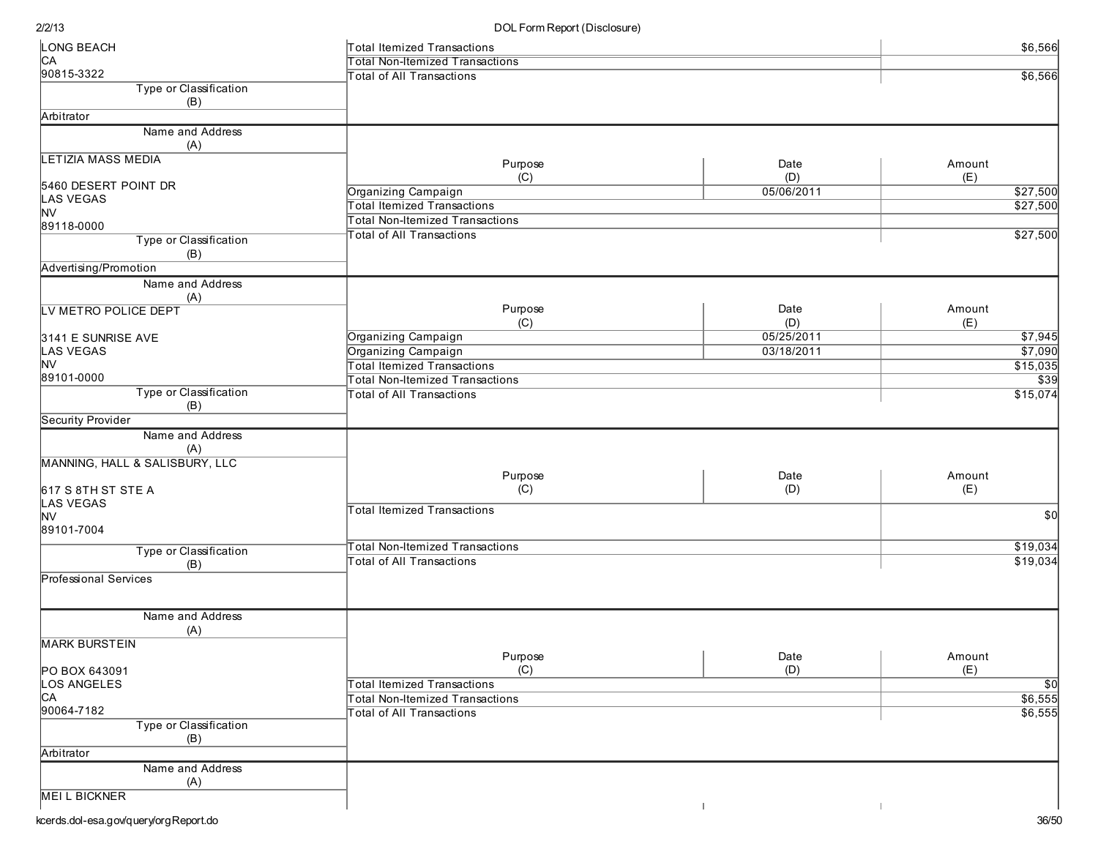| LONG BEACH                               | Total Itemized Transactions            |            | \$6,566         |
|------------------------------------------|----------------------------------------|------------|-----------------|
| CA                                       | <b>Total Non-Itemized Transactions</b> |            |                 |
| 90815-3322                               | <b>Total of All Transactions</b>       |            | \$6,566         |
| Type or Classification                   |                                        |            |                 |
| (B)                                      |                                        |            |                 |
| Arbitrator                               |                                        |            |                 |
| Name and Address                         |                                        |            |                 |
| (A)                                      |                                        |            |                 |
| <b>LETIZIA MASS MEDIA</b>                | Purpose                                | Date       | Amount          |
|                                          | (C)                                    | (D)        | (E)             |
| 5460 DESERT POINT DR<br><b>LAS VEGAS</b> | Organizing Campaign                    | 05/06/2011 | \$27,500        |
| <b>NV</b>                                | <b>Total Itemized Transactions</b>     |            | \$27,500        |
| 89118-0000                               | <b>Total Non-Itemized Transactions</b> |            |                 |
| Type or Classification                   | <b>Total of All Transactions</b>       |            | \$27,500        |
| (B)                                      |                                        |            |                 |
| Advertising/Promotion                    |                                        |            |                 |
| Name and Address                         |                                        |            |                 |
| (A)                                      |                                        |            |                 |
| LV METRO POLICE DEPT                     | Purpose                                | Date       | Amount          |
|                                          | (C)                                    | (D)        | (E)             |
| 3141 E SUNRISE AVE                       | Organizing Campaign                    | 05/25/2011 | $\sqrt{$7,945}$ |
| LAS VEGAS                                | Organizing Campaign                    | 03/18/2011 | \$7,090         |
| <b>NV</b>                                | <b>Total Itemized Transactions</b>     |            | \$15,035        |
| 89101-0000                               | <b>Total Non-Itemized Transactions</b> |            | \$39            |
| Type or Classification                   | Total of All Transactions              |            | \$15,074        |
| (B)                                      |                                        |            |                 |
| Security Provider                        |                                        |            |                 |
| Name and Address                         |                                        |            |                 |
| (A)                                      |                                        |            |                 |
| MANNING, HALL & SALISBURY, LLC           |                                        |            |                 |
|                                          | Purpose                                | Date       | Amount          |
| 617 S 8TH ST STE A                       | (C)                                    | (D)        | (E)             |
| <b>LAS VEGAS</b>                         | <b>Total Itemized Transactions</b>     |            |                 |
| <b>NV</b>                                |                                        |            | \$0             |
| 89101-7004                               |                                        |            |                 |
| Type or Classification                   | <b>Total Non-Itemized Transactions</b> |            | \$19,034        |
| (B)                                      | Total of All Transactions              |            | \$19,034        |
| Professional Services                    |                                        |            |                 |
|                                          |                                        |            |                 |
|                                          |                                        |            |                 |
| Name and Address                         |                                        |            |                 |
| (A)                                      |                                        |            |                 |
| <b>MARK BURSTEIN</b>                     |                                        |            |                 |
|                                          | Purpose                                | Date       | Amount          |
| PO BOX 643091                            | (C)                                    | (D)        | (E)             |
| LOS ANGELES                              | <b>Total Itemized Transactions</b>     |            | $\overline{50}$ |
| CA<br>90064-7182                         | <b>Total Non-Itemized Transactions</b> |            | \$6,555         |
|                                          | <b>Total of All Transactions</b>       |            | \$6,555         |
| Type or Classification                   |                                        |            |                 |
| (B)                                      |                                        |            |                 |
| Arbitrator                               |                                        |            |                 |
| Name and Address                         |                                        |            |                 |
| (A)                                      |                                        |            |                 |
| <b>MEILBICKNER</b>                       |                                        |            |                 |
|                                          |                                        |            |                 |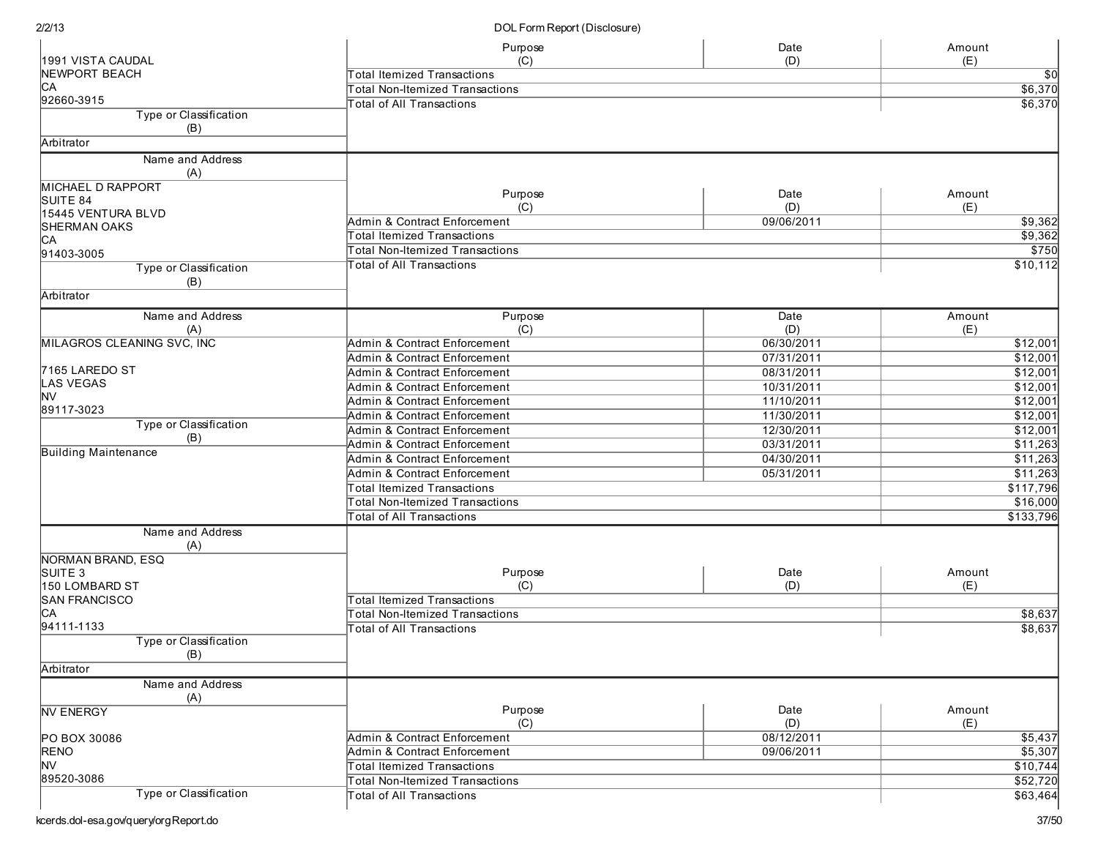|                                      | Purpose                                   | Date<br>(D) | Amount             |
|--------------------------------------|-------------------------------------------|-------------|--------------------|
| 1991 VISTA CAUDAL<br>NEWPORT BEACH   | (C)<br><b>Total Itemized Transactions</b> | (E)         |                    |
| CА                                   | Total Non-Itemized Transactions           |             | \$0<br>\$6,370     |
| 92660-3915                           |                                           |             |                    |
| Type or Classification               | Total of All Transactions                 |             | \$6,370            |
| (B)                                  |                                           |             |                    |
| Arbitrator                           |                                           |             |                    |
| Name and Address<br>(A)              |                                           |             |                    |
| <b>MICHAEL D RAPPORT</b>             |                                           |             |                    |
| SUITE 84                             | Purpose                                   | Date        | Amount             |
| 15445 VENTURA BLVD                   | (C)                                       | (D)         | (E)                |
| <b>SHERMAN OAKS</b>                  | Admin & Contract Enforcement              | 09/06/2011  | \$9,362            |
| CA                                   | Total Itemized Transactions               |             | \$9,362            |
| 91403-3005                           | <b>Total Non-Itemized Transactions</b>    |             | \$750              |
| Type or Classification               | <b>Total of All Transactions</b>          |             | \$10,112           |
| (B)                                  |                                           |             |                    |
| Arbitrator                           |                                           |             |                    |
| Name and Address                     | Purpose                                   | Date        | Amount             |
| (A)                                  | (C)                                       | (D)         | (E)                |
| MILAGROS CLEANING SVC, INC           | Admin & Contract Enforcement              | 06/30/2011  | \$12,001           |
|                                      | <b>Admin &amp; Contract Enforcement</b>   | 07/31/2011  | \$12,001           |
| 7165 LAREDO ST                       | Admin & Contract Enforcement              | 08/31/2011  | \$12,001           |
| LAS VEGAS                            | Admin & Contract Enforcement              | 10/31/2011  | \$12,001           |
| NV                                   | Admin & Contract Enforcement              | 11/10/2011  | \$12,001           |
| 89117-3023                           | Admin & Contract Enforcement              | 11/30/2011  | \$12,001           |
| Type or Classification               | Admin & Contract Enforcement              | 12/30/2011  | \$12,001           |
| (B)                                  | Admin & Contract Enforcement              | 03/31/2011  | \$11,263           |
| <b>Building Maintenance</b>          | <b>Admin &amp; Contract Enforcement</b>   | 04/30/2011  | \$11,263           |
|                                      | Admin & Contract Enforcement              | 05/31/2011  | \$11,263           |
|                                      | <b>Total Itemized Transactions</b>        |             | \$117,796          |
|                                      | Total Non-Itemized Transactions           |             | \$16,000           |
|                                      | <b>Total of All Transactions</b>          |             | \$133,796          |
| Name and Address                     |                                           |             |                    |
| (A)                                  |                                           |             |                    |
| NORMAN BRAND, ESQ                    |                                           |             |                    |
| SUITE <sub>3</sub><br>150 LOMBARD ST | Purpose<br>(C)                            | Date<br>(D) | Amount<br>(E)      |
| SAN FRANCISCO                        | <b>Total Itemized Transactions</b>        |             |                    |
| CА                                   | Total Non-Itemized Transactions           |             |                    |
| 94111-1133                           | <b>Total of All Transactions</b>          |             | \$8,637<br>\$8,637 |
| Type or Classification               |                                           |             |                    |
| (B)                                  |                                           |             |                    |
| Arbitrator                           |                                           |             |                    |
| Name and Address                     |                                           |             |                    |
| (A)                                  |                                           |             |                    |
| <b>NV ENERGY</b>                     | Purpose                                   | Date        | Amount             |
|                                      | (C)                                       | (D)         | (E)                |
| PO BOX 30086                         | Admin & Contract Enforcement              | 08/12/2011  | \$5,437            |
| <b>RENO</b>                          | <b>Admin &amp; Contract Enforcement</b>   | 09/06/2011  | \$5,307            |
| M∨                                   | <b>Total Itemized Transactions</b>        |             | \$10,744           |
| 89520-3086                           | <b>Total Non-Itemized Transactions</b>    |             | \$52,720           |
| Type or Classification               | Total of All Transactions                 |             | \$63,464           |
|                                      |                                           |             |                    |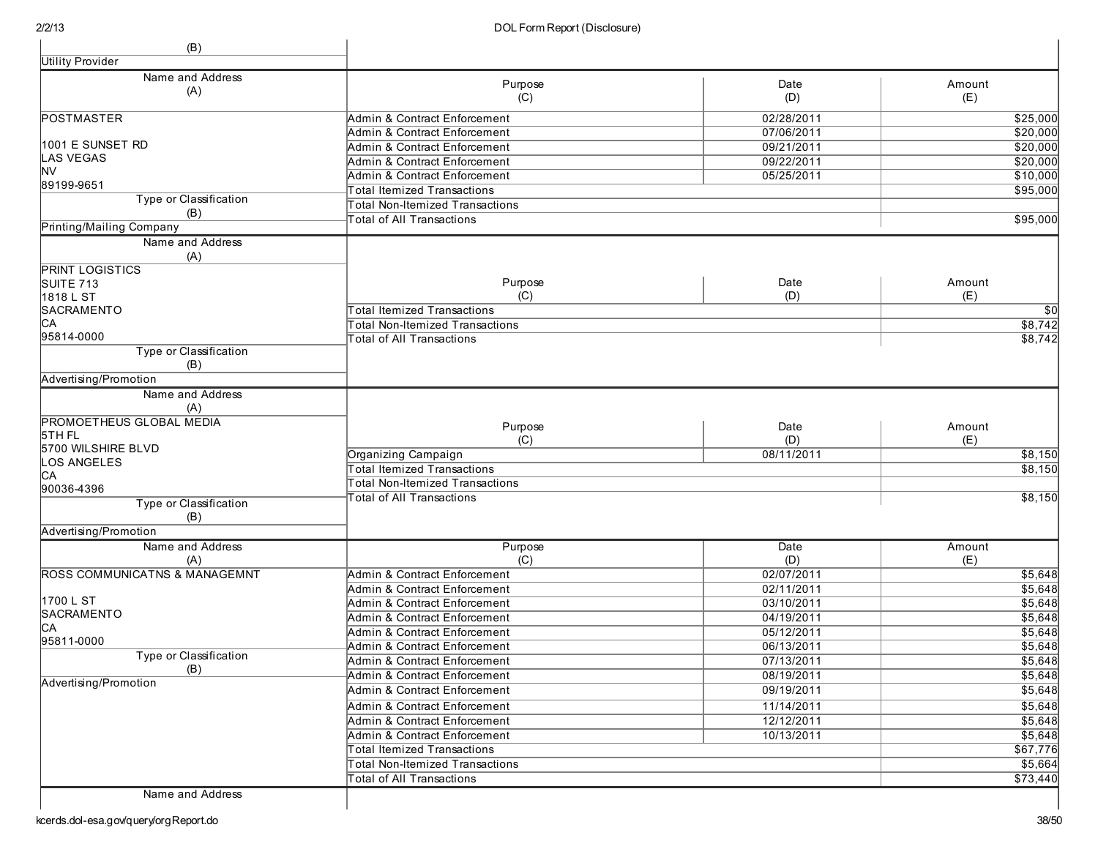| (B)                                      |                                                              |                          |                      |
|------------------------------------------|--------------------------------------------------------------|--------------------------|----------------------|
| <b>Utility Provider</b>                  |                                                              |                          |                      |
| Name and Address                         | Purpose                                                      | Date                     | Amount               |
| (A)                                      | (C)                                                          | (D)                      | (E)                  |
|                                          |                                                              |                          |                      |
| <b>POSTMASTER</b>                        | Admin & Contract Enforcement<br>Admin & Contract Enforcement | 02/28/2011               | \$25,000             |
| 1001 E SUNSET RD                         |                                                              | 07/06/2011               | \$20,000             |
| <b>LAS VEGAS</b>                         | Admin & Contract Enforcement                                 | 09/21/2011               | \$20,000             |
| <b>NV</b>                                | Admin & Contract Enforcement<br>Admin & Contract Enforcement | 09/22/2011<br>05/25/2011 | \$20,000<br>\$10,000 |
| 89199-9651                               | <b>Total Itemized Transactions</b>                           |                          | \$95,000             |
| Type or Classification                   | <b>Total Non-Itemized Transactions</b>                       |                          |                      |
| (B)                                      | <b>Total of All Transactions</b>                             |                          | \$95,000             |
| Printing/Mailing Company                 |                                                              |                          |                      |
| Name and Address                         |                                                              |                          |                      |
| (A)                                      |                                                              |                          |                      |
| <b>PRINT LOGISTICS</b>                   |                                                              |                          |                      |
| SUITE 713                                | Purpose                                                      | Date                     | Amount               |
| 1818 L ST                                | (C)                                                          | (D)                      | (E)                  |
| SACRAMENTO                               | <b>Total Itemized Transactions</b>                           |                          | $\overline{30}$      |
| CA<br>95814-0000                         | <b>Total Non-Itemized Transactions</b>                       |                          | \$8,742              |
| Type or Classification                   | Total of All Transactions                                    |                          | \$8,742              |
| (B)                                      |                                                              |                          |                      |
| Advertising/Promotion                    |                                                              |                          |                      |
| Name and Address                         |                                                              |                          |                      |
| (A)                                      |                                                              |                          |                      |
| <b>PROMOETHEUS GLOBAL MEDIA</b>          |                                                              |                          |                      |
| 5TH FL                                   | Purpose                                                      | Date                     | Amount               |
| 5700 WILSHIRE BLVD                       | (C)                                                          | (D)<br>08/11/2011        | (E)                  |
| <b>OS ANGELES</b>                        | Organizing Campaign<br><b>Total Itemized Transactions</b>    |                          | \$8,150<br>\$8,150   |
| CA                                       | Total Non-Itemized Transactions                              |                          |                      |
| 90036-4396                               | <b>Total of All Transactions</b>                             |                          | \$8,150              |
| Type or Classification                   |                                                              |                          |                      |
| (B)                                      |                                                              |                          |                      |
| Advertising/Promotion                    |                                                              |                          |                      |
| Name and Address                         | Purpose                                                      | Date                     | Amount               |
| (A)                                      | (C)                                                          | (D)                      | (E)                  |
| <b>ROSS COMMUNICATNS &amp; MANAGEMNT</b> | Admin & Contract Enforcement                                 | 02/07/2011               | \$5,648              |
| 1700 L ST                                | Admin & Contract Enforcement                                 | 02/11/2011               | \$5,648              |
| SACRAMENTO                               | Admin & Contract Enforcement                                 | 03/10/2011               | \$5,648              |
| <b>CA</b>                                | Admin & Contract Enforcement                                 | 04/19/2011               | \$5,648              |
| 95811-0000                               | Admin & Contract Enforcement                                 | 05/12/2011               | \$5,648              |
| Type or Classification                   | Admin & Contract Enforcement                                 | 06/13/2011               | \$5,648              |
| (B)                                      | Admin & Contract Enforcement                                 | 07/13/2011               | \$5,648              |
| Advertising/Promotion                    | Admin & Contract Enforcement                                 | 08/19/2011               | \$5,648              |
|                                          | Admin & Contract Enforcement                                 | 09/19/2011               | \$5,648              |
|                                          | Admin & Contract Enforcement                                 | 11/14/2011               | \$5,648              |
|                                          | Admin & Contract Enforcement                                 | 12/12/2011               | \$5,648              |
|                                          | Admin & Contract Enforcement                                 | 10/13/2011               | \$5,648              |
|                                          | Total Itemized Transactions                                  |                          | \$67,776             |
|                                          | <b>Total Non-Itemized Transactions</b>                       |                          | \$5,664              |
|                                          | Total of All Transactions                                    |                          | \$73,440             |

Name and Address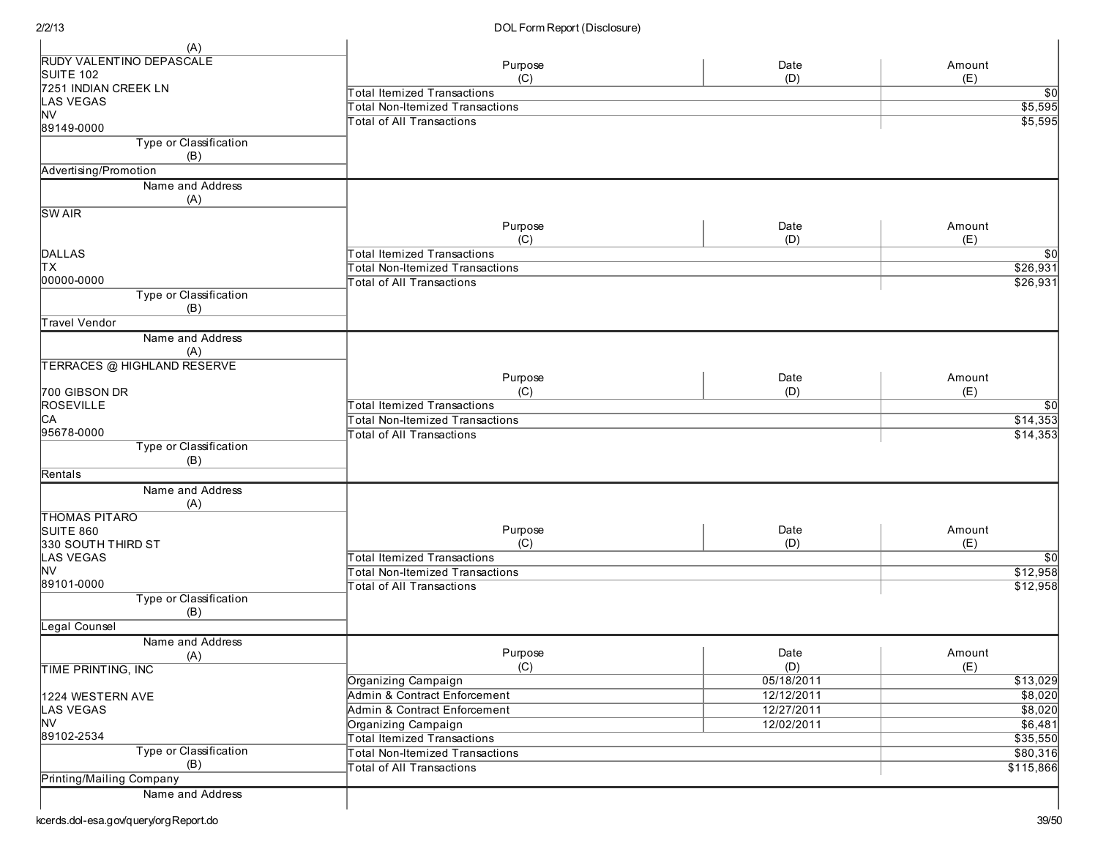| (A)                                |                                        |             |                 |
|------------------------------------|----------------------------------------|-------------|-----------------|
| RUDY VALENTINO DEPASCALE           |                                        |             | Amount          |
| SUITE 102                          | Purpose<br>(C)                         | Date<br>(D) | (E)             |
| 7251 INDIAN CREEK LN               | <b>Total Itemized Transactions</b>     |             | $\overline{30}$ |
| <b>LAS VEGAS</b>                   |                                        |             |                 |
| <b>NV</b>                          | <b>Total Non-Itemized Transactions</b> |             | \$5,595         |
| 89149-0000                         | <b>Total of All Transactions</b>       |             | \$5,595         |
| Type or Classification<br>(B)      |                                        |             |                 |
| Advertising/Promotion              |                                        |             |                 |
| Name and Address                   |                                        |             |                 |
| (A)                                |                                        |             |                 |
| <b>SWAIR</b>                       |                                        |             |                 |
|                                    | Purpose                                | Date        | Amount          |
|                                    | (C)                                    | (D)         | (E)             |
| DALLAS                             | <b>Total Itemized Transactions</b>     |             | \$0             |
| lтx                                | <b>Total Non-Itemized Transactions</b> |             | \$26,931        |
| 00000-0000                         | <b>Total of All Transactions</b>       |             | \$26,931        |
| Type or Classification             |                                        |             |                 |
| (B)                                |                                        |             |                 |
| Travel Vendor                      |                                        |             |                 |
| Name and Address                   |                                        |             |                 |
| (A)                                |                                        |             |                 |
| <b>TERRACES @ HIGHLAND RESERVE</b> |                                        |             |                 |
|                                    | Purpose                                | Date        | Amount          |
| 700 GIBSON DR                      | (C)                                    | (D)         | (E)             |
| <b>ROSEVILLE</b>                   | <b>Total Itemized Transactions</b>     |             | $\overline{30}$ |
| CA                                 | <b>Total Non-Itemized Transactions</b> |             | \$14,353        |
| 95678-0000                         | <b>Total of All Transactions</b>       |             | \$14,353        |
| Type or Classification             |                                        |             |                 |
| (B)                                |                                        |             |                 |
| Rentals                            |                                        |             |                 |
| Name and Address                   |                                        |             |                 |
| (A)                                |                                        |             |                 |
| <b>THOMAS PITARO</b>               |                                        |             |                 |
| SUITE 860                          | Purpose                                | Date        | Amount          |
| 330 SOUTH THIRD ST                 | (C)                                    | (D)         | (E)             |
| <b>LAS VEGAS</b>                   | <b>Total Itemized Transactions</b>     |             | \$0             |
| <b>NV</b>                          | <b>Total Non-Itemized Transactions</b> |             | \$12,958        |
| 89101-0000                         | <b>Total of All Transactions</b>       |             | \$12,958        |
| Type or Classification             |                                        |             |                 |
| (B)                                |                                        |             |                 |
| Legal Counsel                      |                                        |             |                 |
| Name and Address                   |                                        |             |                 |
| (A)                                | Purpose                                | Date        | Amount          |
| <b>TIME PRINTING, INC</b>          | (C)                                    | (D)         | (E)             |
|                                    | Organizing Campaign                    | 05/18/2011  | \$13,029        |
| 1224 WESTERN AVE                   | Admin & Contract Enforcement           | 12/12/2011  | \$8,020         |
| LAS VEGAS                          | Admin & Contract Enforcement           | 12/27/2011  | \$8,020         |
| <b>NV</b>                          | Organizing Campaign                    | 12/02/2011  | \$6,481         |
| 89102-2534                         | <b>Total Itemized Transactions</b>     |             | \$35,550        |
| Type or Classification             | <b>Total Non-Itemized Transactions</b> |             | \$80,316        |
| (B)                                | <b>Total of All Transactions</b>       |             | \$115,866       |
| Printing/Mailing Company           |                                        |             |                 |
| Name and Address                   |                                        |             |                 |
|                                    |                                        |             |                 |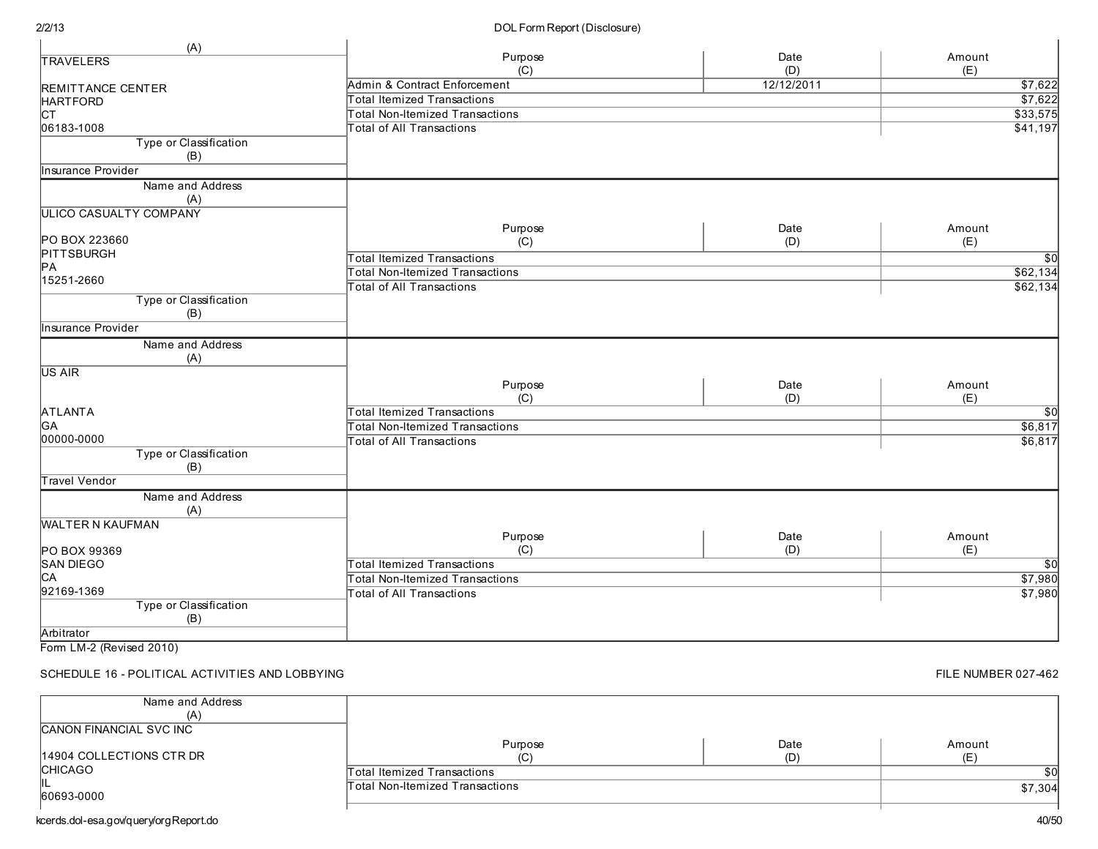#### DOL Form Report (Disclosure)

| (A)                           |                                        |            |                 |
|-------------------------------|----------------------------------------|------------|-----------------|
| <b>TRAVELERS</b>              | Purpose                                | Date       | Amount          |
|                               | (C)                                    | (D)        | (E)             |
| REMITTANCE CENTER             | Admin & Contract Enforcement           | 12/12/2011 | \$7,622         |
| <b>HARTFORD</b>               | <b>Total Itemized Transactions</b>     |            | \$7,622         |
| lст                           | <b>Total Non-Itemized Transactions</b> |            | \$33,575        |
| 06183-1008                    | <b>Total of All Transactions</b>       |            | \$41,197        |
| Type or Classification        |                                        |            |                 |
| (B)                           |                                        |            |                 |
| Insurance Provider            |                                        |            |                 |
| Name and Address              |                                        |            |                 |
| (A)                           |                                        |            |                 |
| <b>ULICO CASUALTY COMPANY</b> |                                        |            |                 |
|                               | Purpose                                | Date       | Amount          |
| PO BOX 223660                 | (C)                                    | (D)        | (E)             |
| <b>PITTSBURGH</b>             | <b>Total Itemized Transactions</b>     |            | $\overline{50}$ |
| PA                            |                                        |            |                 |
| 15251-2660                    | <b>Total Non-Itemized Transactions</b> |            | \$62,134        |
|                               | <b>Total of All Transactions</b>       |            | \$62,134        |
| Type or Classification        |                                        |            |                 |
| (B)                           |                                        |            |                 |
| Insurance Provider            |                                        |            |                 |
| Name and Address              |                                        |            |                 |
| (A)                           |                                        |            |                 |
| US AIR                        |                                        |            |                 |
|                               | Purpose                                | Date       | Amount          |
|                               | (C)                                    | (D)        | (E)             |
| <b>ATLANTA</b>                | <b>Total Itemized Transactions</b>     |            | $\overline{50}$ |
| GA                            | <b>Total Non-Itemized Transactions</b> |            | \$6,817         |
| 00000-0000                    | <b>Total of All Transactions</b>       |            | \$6,817         |
| Type or Classification        |                                        |            |                 |
| (B)                           |                                        |            |                 |
| <b>Travel Vendor</b>          |                                        |            |                 |
| Name and Address              |                                        |            |                 |
| (A)                           |                                        |            |                 |
| <b>WALTER N KAUFMAN</b>       |                                        |            |                 |
|                               | Purpose                                | Date       | Amount          |
| PO BOX 99369                  | (C)                                    | (D)        | (E)             |
| SAN DIEGO                     | <b>Total Itemized Transactions</b>     |            | $\overline{50}$ |
| CA                            | <b>Total Non-Itemized Transactions</b> |            | \$7,980         |
| 92169-1369                    | <b>Total of All Transactions</b>       |            | \$7,980         |
| Type or Classification        |                                        |            |                 |
| (B)                           |                                        |            |                 |
| Arbitrator                    |                                        |            |                 |
|                               |                                        |            |                 |

Form LM-2 (Revised 2010)

SCHEDULE 16 - POLITICAL ACTIVITIES AND LOBBYING

#### Name and Address ( A ) CANON FINANCIAL SVC INC 14904 COLLECTIONS CTR DR **CHICAGO** IL<br>60693-0000 Purpose  $(C)$ Date ( D ) Amount  $(E)$ Total Itemized Transactions Total Non-Itemized Transactions

kcerds.dol-esa.gov/query/orgReport.do

\$ 7,3 0 4

\$ 0

FILE NUMBER 027-462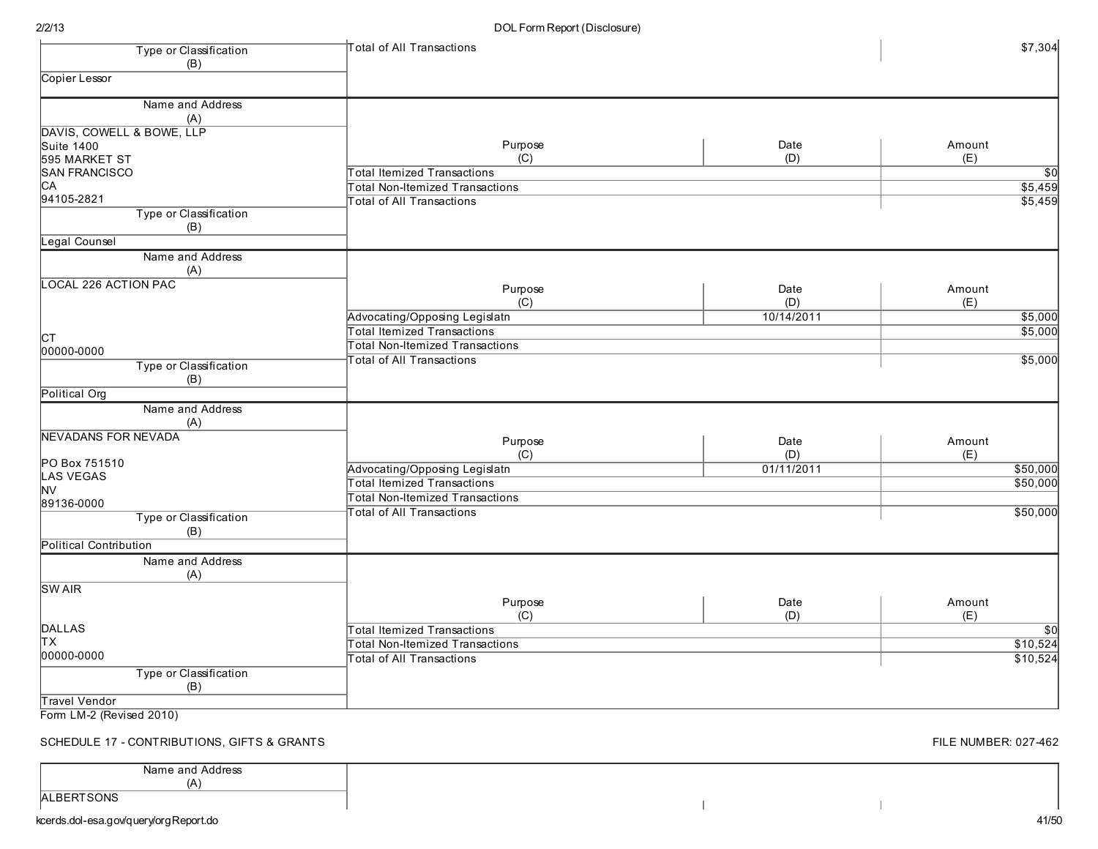| Type or Classification                         | <b>Total of All Transactions</b>       |            | \$7,304         |
|------------------------------------------------|----------------------------------------|------------|-----------------|
| (B)                                            |                                        |            |                 |
| Copier Lessor                                  |                                        |            |                 |
| Name and Address                               |                                        |            |                 |
| (A)                                            |                                        |            |                 |
| DAVIS, COWELL & BOWE, LLP<br><b>Suite 1400</b> | Purpose                                | Date       | Amount          |
| 595 MARKET ST                                  | (C)                                    | (D)        | (E)             |
| <b>SAN FRANCISCO</b>                           | <b>Total Itemized Transactions</b>     |            | $\overline{50}$ |
| CA                                             | Total Non-Itemized Transactions        |            | \$5,459         |
| 94105-2821                                     | <b>Total of All Transactions</b>       |            | \$5,459         |
| Type or Classification                         |                                        |            |                 |
| (B)                                            |                                        |            |                 |
| Legal Counsel                                  |                                        |            |                 |
| Name and Address                               |                                        |            |                 |
| (A)                                            |                                        |            |                 |
| <b>LOCAL 226 ACTION PAC</b>                    | Purpose                                | Date       | Amount          |
|                                                | (C)                                    | (D)        | (E)             |
|                                                | Advocating/Opposing Legislatn          | 10/14/2011 | \$5,000         |
|                                                | <b>Total Itemized Transactions</b>     |            | \$5,000         |
| Iст                                            | <b>Total Non-Itemized Transactions</b> |            |                 |
| 00000-0000                                     | otal of All Transactions               |            | \$5,000         |
| Type or Classification                         |                                        |            |                 |
| (B)                                            |                                        |            |                 |
| Political Org                                  |                                        |            |                 |
| Name and Address                               |                                        |            |                 |
| (A)                                            |                                        |            |                 |
| NEVADANS FOR NEVADA                            | Purpose                                | Date       | Amount          |
|                                                | (C)                                    | (D)        | (E)             |
| PO Box 751510                                  | Advocating/Opposing Legislatn          | 01/11/2011 | \$50,000        |
| LAS VEGAS<br><b>NV</b>                         | <b>Total Itemized Transactions</b>     |            | \$50,000        |
| 89136-0000                                     | <b>Total Non-Itemized Transactions</b> |            |                 |
| Type or Classification                         | <b>Total of All Transactions</b>       |            | \$50,000        |
| (B)                                            |                                        |            |                 |
| <b>Political Contribution</b>                  |                                        |            |                 |
| Name and Address                               |                                        |            |                 |
| (A)                                            |                                        |            |                 |
| <b>SWAIR</b>                                   |                                        |            |                 |
|                                                | Purpose                                | Date       | Amount          |
|                                                | (C)                                    | (D)        | (E)             |
| <b>DALLAS</b>                                  | <b>Total Itemized Transactions</b>     |            | $\overline{50}$ |
| lтx                                            | <b>Total Non-Itemized Transactions</b> |            | \$10,524        |
| 00000-0000                                     |                                        |            | \$10,524        |
|                                                | Total of All Transactions              |            |                 |
| Type or Classification                         |                                        |            |                 |
| (B)<br>Travel Vendor                           |                                        |            |                 |
| Form LM-2 (Revised 2010)                       |                                        |            |                 |
|                                                |                                        |            |                 |

FILE NUMBER: 027-462

41/50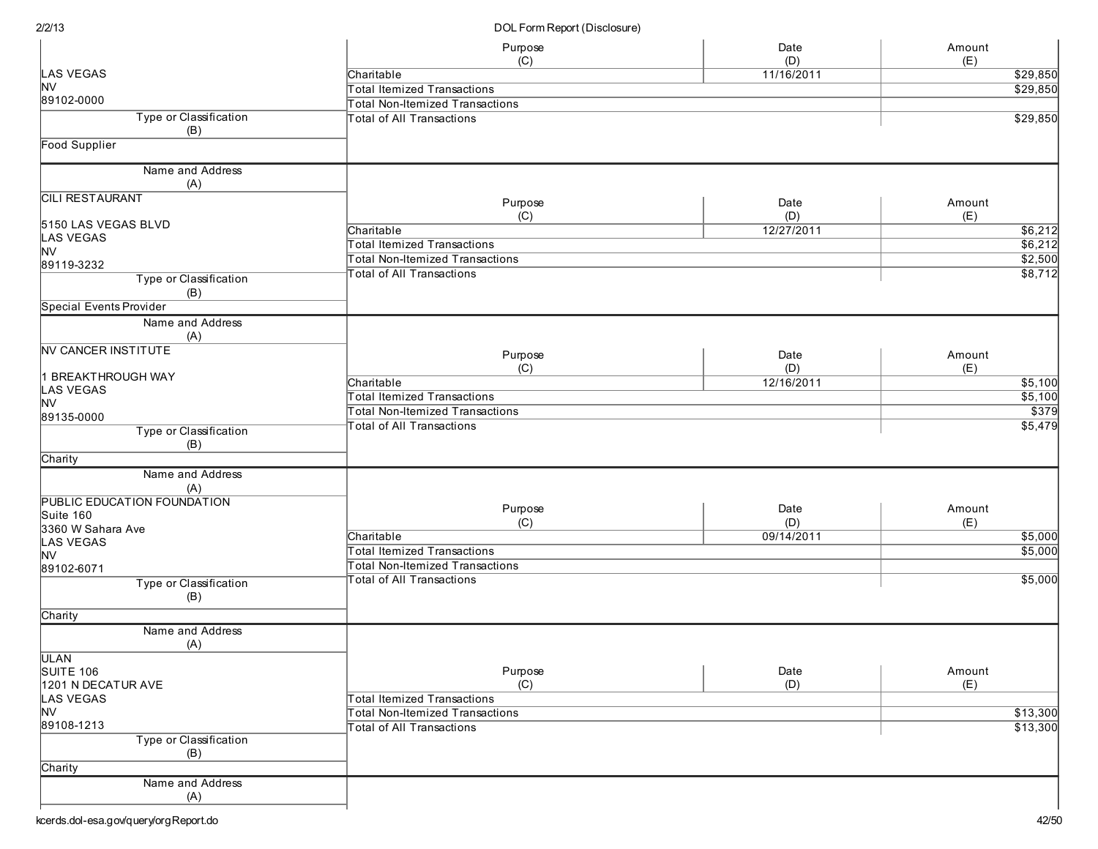|                                         | Purpose                                | Date       | Amount   |
|-----------------------------------------|----------------------------------------|------------|----------|
| LAS VEGAS                               | (C)<br>Charitable                      | (D)        | (E)      |
| <b>NV</b>                               |                                        | 11/16/2011 | \$29,850 |
| 89102-0000                              | <b>Total Itemized Transactions</b>     |            | \$29,850 |
|                                         | <b>Total Non-Itemized Transactions</b> |            |          |
| Type or Classification                  | <b>Total of All Transactions</b>       |            | 329,850  |
| (B)                                     |                                        |            |          |
| Food Supplier                           |                                        |            |          |
| Name and Address<br>(A)                 |                                        |            |          |
| <b>CILI RESTAURANT</b>                  |                                        |            |          |
|                                         | Purpose                                | Date       | Amount   |
|                                         | (C)                                    | (D)        | (E)      |
| 5150 LAS VEGAS BLVD<br><b>LAS VEGAS</b> | Charitable                             | 12/27/2011 | \$6,212  |
| <b>NV</b>                               | <b>Total Itemized Transactions</b>     |            | \$6,212  |
| 89119-3232                              | <b>Total Non-Itemized Transactions</b> |            | \$2,500  |
|                                         | <b>Total of All Transactions</b>       |            | \$8,712  |
| Type or Classification<br>(B)           |                                        |            |          |
| Special Events Provider                 |                                        |            |          |
| Name and Address<br>(A)                 |                                        |            |          |
| <b>NV CANCER INSTITUTE</b>              | Purpose                                | Date       | Amount   |
|                                         | (C)                                    | (D)        | (E)      |
| <b>BREAKTHROUGH WAY</b>                 | Charitable                             | 12/16/2011 | 5,100    |
| LAS VEGAS                               | <b>Total Itemized Transactions</b>     |            | \$5,100  |
| <b>NV</b>                               | <b>Total Non-Itemized Transactions</b> |            | \$379    |
| 89135-0000                              | Total of All Transactions              |            | \$5,479  |
| <b>Type or Classification</b>           |                                        |            |          |
| (B)                                     |                                        |            |          |
| Charity                                 |                                        |            |          |
| Name and Address<br>(A)                 |                                        |            |          |
| PUBLIC EDUCATION FOUNDATION             |                                        |            |          |
| Suite 160                               | Purpose                                | Date       | Amount   |
| 3360 W Sahara Ave                       | (C)                                    | (D)        | (E)      |
| <b>LAS VEGAS</b>                        | Charitable                             | 09/14/2011 | \$5,000  |
| <b>NV</b>                               | <b>Total Itemized Transactions</b>     |            | \$5,000  |
| 89102-6071                              | <b>Total Non-Itemized Transactions</b> |            |          |
| Type or Classification                  | <b>Total of All Transactions</b>       |            | \$5,000  |
| (B)                                     |                                        |            |          |
| Charity                                 |                                        |            |          |
| Name and Address<br>(A)                 |                                        |            |          |
| <b>ULAN</b>                             |                                        |            |          |
| SUITE 106                               | Purpose                                | Date       | Amount   |
| 1201 N DECATUR AVE                      | (C)                                    | (D)        | (E)      |
| LAS VEGAS                               | <b>Total Itemized Transactions</b>     |            |          |
| <b>NV</b>                               | <b>Total Non-Itemized Transactions</b> |            | \$13,300 |
| 89108-1213                              | <b>Total of All Transactions</b>       |            | \$13,300 |
| Type or Classification                  |                                        |            |          |
| (B)                                     |                                        |            |          |
| Charity                                 |                                        |            |          |
| Name and Address                        |                                        |            |          |
|                                         |                                        |            |          |
| (A)                                     |                                        |            |          |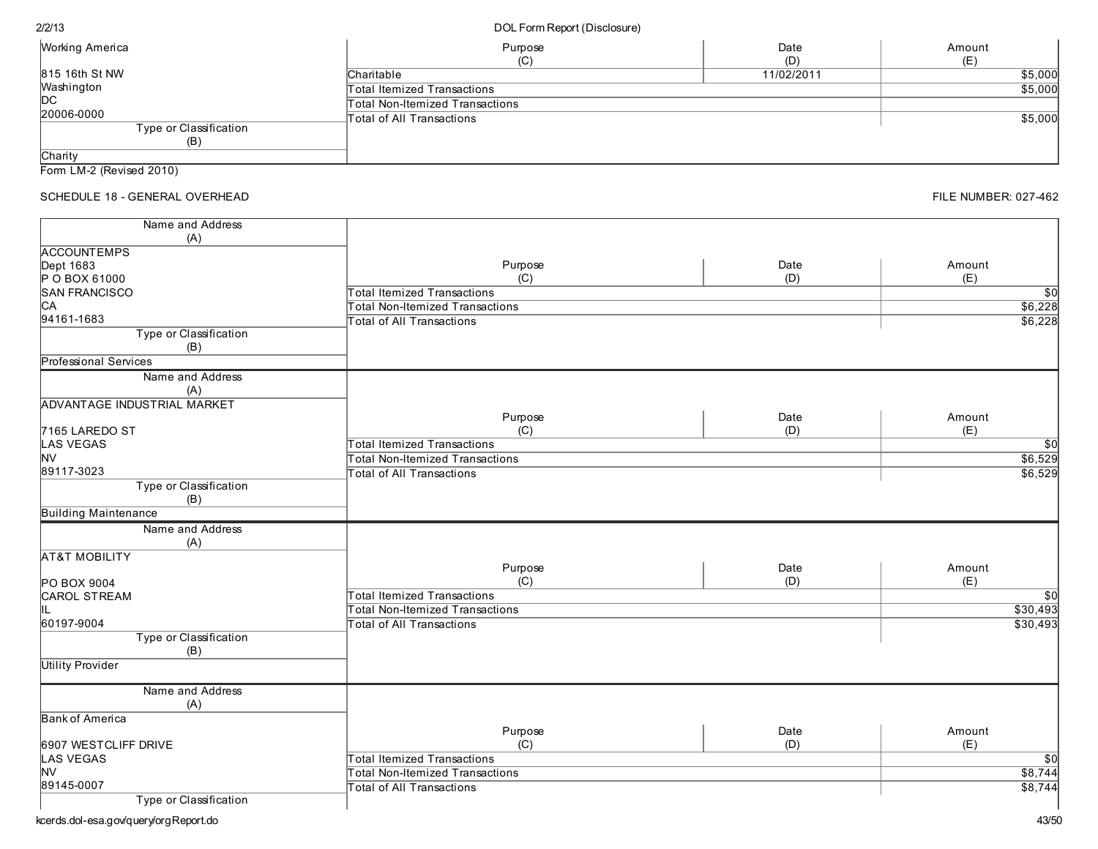| <i>N</i> orking America | Purpose                         | Date<br>(D) | Amount<br>(E) |
|-------------------------|---------------------------------|-------------|---------------|
| 315 16th St NW          | Charitable                      | 11/02/2011  | \$5,000       |
| Nashington              | Total Itemized Transactions     |             | \$5,000       |
| DС                      | Total Non-Itemized Transactions |             |               |
| 20006-0000              | Total of All Transactions       |             | \$5,000       |
| Type or Classification  |                                 |             |               |
| (B)                     |                                 |             |               |
| Charity                 |                                 |             |               |

Form LM-2 (Revised 2010)

# SCHEDULE 18 - GENERAL OVERHEAD

| Name and Address                   |                                        |      |                 |
|------------------------------------|----------------------------------------|------|-----------------|
| (A)                                |                                        |      |                 |
| <b>ACCOUNTEMPS</b>                 |                                        |      |                 |
| Dept 1683                          | Purpose                                | Date | Amount          |
| P O BOX 61000                      | (C)                                    | (D)  | (E)             |
| <b>SAN FRANCISCO</b>               | <b>Total Itemized Transactions</b>     |      | $\overline{50}$ |
| C <sub>A</sub>                     | <b>Total Non-Itemized Transactions</b> |      | \$6,228         |
| 94161-1683                         | <b>Total of All Transactions</b>       |      | \$6,228         |
| Type or Classification             |                                        |      |                 |
| (B)                                |                                        |      |                 |
| Professional Services              |                                        |      |                 |
| Name and Address                   |                                        |      |                 |
| (A)                                |                                        |      |                 |
| <b>ADVANTAGE INDUSTRIAL MARKET</b> |                                        |      |                 |
|                                    | Purpose                                | Date | Amount          |
| 7165 LAREDO ST                     | (C)                                    | (D)  | (E)             |
| <b>LAS VEGAS</b>                   | <b>Total Itemized Transactions</b>     |      | $\overline{50}$ |
| <b>NV</b>                          | <b>Total Non-Itemized Transactions</b> |      | \$6,529         |
| 89117-3023                         | <b>Total of All Transactions</b>       |      | \$6,529         |
| Type or Classification             |                                        |      |                 |
| (B)                                |                                        |      |                 |
| <b>Building Maintenance</b>        |                                        |      |                 |
| Name and Address                   |                                        |      |                 |
| (A)                                |                                        |      |                 |
| <b>AT&amp;T MOBILITY</b>           |                                        |      |                 |
|                                    | Purpose                                | Date | Amount          |
| PO BOX 9004                        | (C)                                    | (D)  | (E)             |
| <b>CAROL STREAM</b>                | <b>Total Itemized Transactions</b>     |      | $\overline{30}$ |
|                                    | <b>Total Non-Itemized Transactions</b> |      | \$30,493        |
| 60197-9004                         | <b>Total of All Transactions</b>       |      | \$30,493        |
| Type or Classification             |                                        |      |                 |
| (B)                                |                                        |      |                 |
| <b>Utility Provider</b>            |                                        |      |                 |
|                                    |                                        |      |                 |
| Name and Address                   |                                        |      |                 |
| (A)                                |                                        |      |                 |
| <b>Bank of America</b>             |                                        |      |                 |
|                                    | Purpose                                | Date | Amount          |
| 6907 WESTCLIFF DRIVE               | (C)                                    | (D)  | (E)             |
| <b>LAS VEGAS</b>                   | <b>Total Itemized Transactions</b>     |      | $\overline{50}$ |
| <b>NV</b>                          | <b>Total Non-Itemized Transactions</b> |      | \$8,744         |
| 89145-0007                         | <b>Total of All Transactions</b>       |      | \$8,744         |
| Type or Classification             |                                        |      |                 |

**FILE NUMBER: 027-462**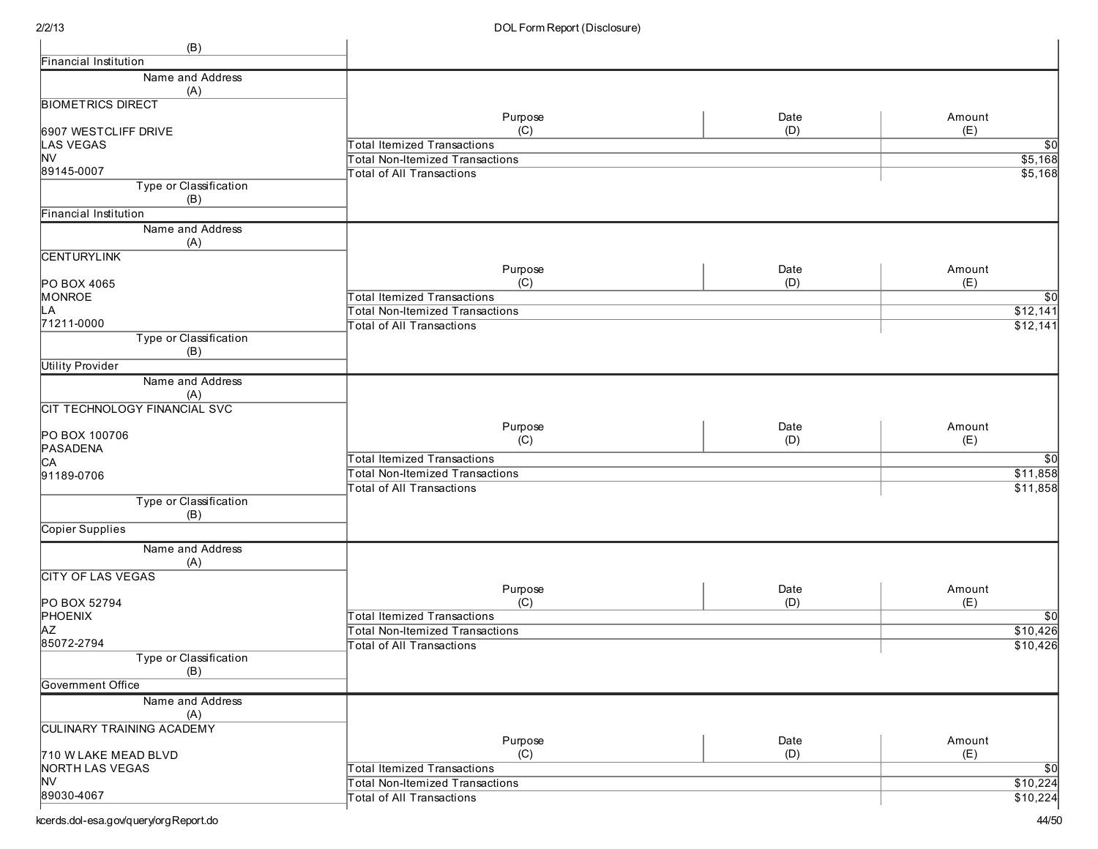| (B)                                  |                                        |      |                 |
|--------------------------------------|----------------------------------------|------|-----------------|
| <b>Financial Institution</b>         |                                        |      |                 |
| Name and Address                     |                                        |      |                 |
| (A)                                  |                                        |      |                 |
| <b>BIOMETRICS DIRECT</b>             |                                        |      |                 |
|                                      | Purpose                                | Date | Amount          |
| 6907 WESTCLIFF DRIVE                 | (C)                                    | (D)  | (E)             |
| LAS VEGAS                            | <b>Total Itemized Transactions</b>     |      | $\overline{50}$ |
| NV                                   | <b>Total Non-Itemized Transactions</b> |      | \$5,168         |
| 89145-0007<br>Type or Classification | <b>Total of All Transactions</b>       |      | \$5,168         |
| (B)                                  |                                        |      |                 |
| Financial Institution                |                                        |      |                 |
| Name and Address                     |                                        |      |                 |
| (A)                                  |                                        |      |                 |
| <b>CENTURYLINK</b>                   |                                        |      |                 |
|                                      | Purpose                                | Date | Amount          |
| PO BOX 4065                          | (C)                                    | (D)  | (E)             |
| MONROE                               | <b>Total Itemized Transactions</b>     |      | \$0             |
| -A                                   | Total Non-Itemized Transactions        |      | \$12,141        |
| 71211-0000                           | <b>Total of All Transactions</b>       |      | \$12,141        |
| Type or Classification               |                                        |      |                 |
| (B)                                  |                                        |      |                 |
| <b>Utility Provider</b>              |                                        |      |                 |
| Name and Address                     |                                        |      |                 |
| (A)                                  |                                        |      |                 |
| CIT TECHNOLOGY FINANCIAL SVC         |                                        |      |                 |
|                                      | Purpose                                | Date | Amount          |
| PO BOX 100706                        | (C)                                    | (D)  | (E)             |
| PASADENA                             |                                        |      |                 |
| СA                                   | <b>Total Itemized Transactions</b>     |      | $\overline{30}$ |
| 91189-0706                           | <b>Total Non-Itemized Transactions</b> |      | \$11,858        |
|                                      | Total of All Transactions              |      | \$11,858        |
| Type or Classification<br>(B)        |                                        |      |                 |
| <b>Copier Supplies</b>               |                                        |      |                 |
|                                      |                                        |      |                 |
| Name and Address                     |                                        |      |                 |
| (A)                                  |                                        |      |                 |
| <b>CITY OF LAS VEGAS</b>             |                                        |      |                 |
|                                      | Purpose                                | Date | Amount          |
| PO BOX 52794                         | (C)                                    | (D)  | (E)             |
| PHOENIX                              | <b>Total Itemized Transactions</b>     |      | \$0             |
| JΑZ<br>85072-2794                    | <b>Total Non-Itemized Transactions</b> |      | \$10,426        |
| Type or Classification               | <b>Total of All Transactions</b>       |      | \$10,426        |
| (B)                                  |                                        |      |                 |
| Government Office                    |                                        |      |                 |
| Name and Address                     |                                        |      |                 |
|                                      |                                        |      |                 |
| (A)<br>CULINARY TRAINING ACADEMY     |                                        |      |                 |
|                                      | Purpose                                | Date | Amount          |
| 710 W LAKE MEAD BLVD                 | (C)                                    | (D)  | (E)             |
| NORTH LAS VEGAS                      | <b>Total Itemized Transactions</b>     |      | \$0             |
| NV                                   | Total Non-Itemized Transactions        |      | \$10,224        |
| 89030-4067                           | Total of All Transactions              |      | \$10,224        |
|                                      |                                        |      |                 |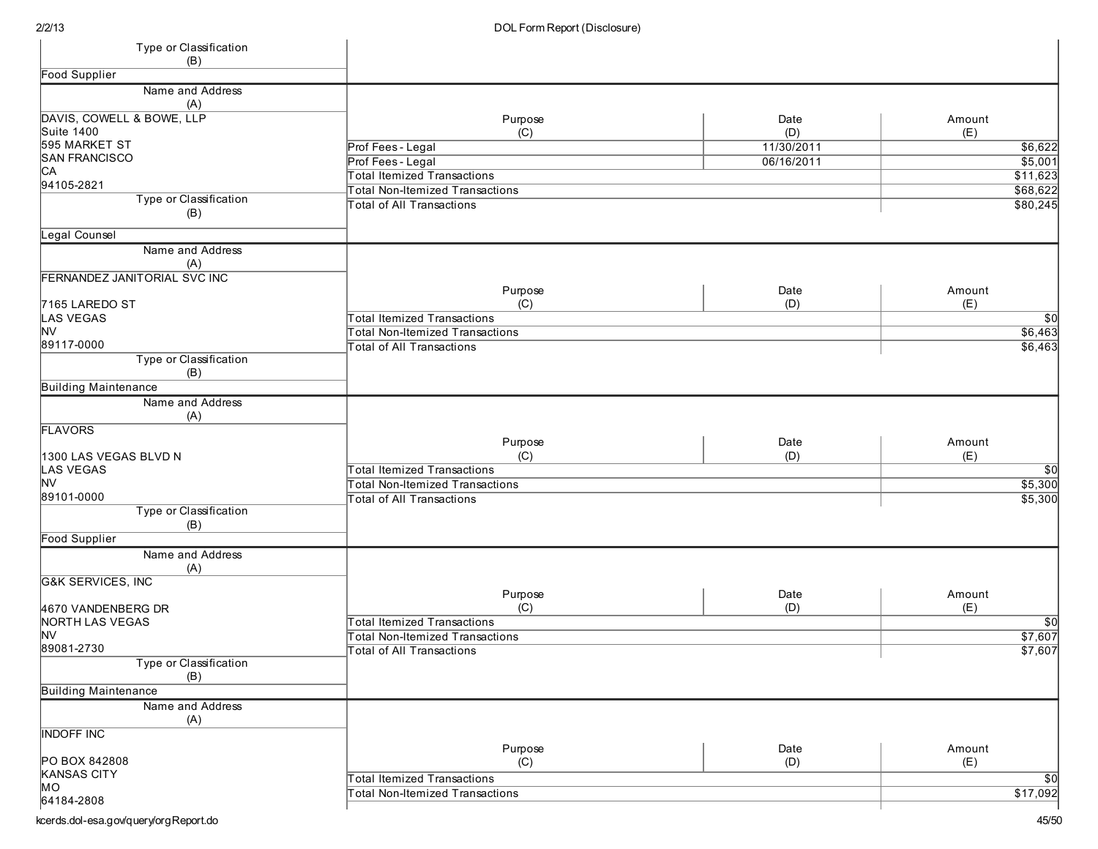| Type or Classification<br>(B) |                                           |            |          |
|-------------------------------|-------------------------------------------|------------|----------|
| <b>Food Supplier</b>          |                                           |            |          |
| Name and Address              |                                           |            |          |
| (A)                           |                                           |            |          |
| DAVIS, COWELL & BOWE, LLP     | Purpose                                   | Date       | Amount   |
| <b>Suite 1400</b>             | (C)                                       | (D)        | (E)      |
| 595 MARKET ST                 | Prof Fees - Legal                         | 11/30/2011 | \$6,622  |
| <b>SAN FRANCISCO</b>          | Prof Fees - Legal                         | 06/16/2011 | \$5,001  |
| CA                            | <b>Total Itemized Transactions</b>        |            | \$11,623 |
| 94105-2821                    | <b>Total Non-Itemized Transactions</b>    |            | \$68,622 |
| Type or Classification<br>(B) | <b>Total of All Transactions</b>          |            | \$80,245 |
| Legal Counsel                 |                                           |            |          |
| Name and Address              |                                           |            |          |
| (A)                           |                                           |            |          |
| FERNANDEZ JANITORIAL SVC INC  |                                           |            |          |
|                               | Purpose                                   | Date       | Amount   |
| 7165 LAREDO ST                | (C)                                       | (D)        | (E)      |
| <b>LAS VEGAS</b>              | <b>Total Itemized Transactions</b>        |            | \$0      |
| <b>NV</b>                     | <b>Total Non-Itemized Transactions</b>    |            | \$6,463  |
| 89117-0000                    | <b>Total of All Transactions</b>          |            | \$6,463  |
| Type or Classification        |                                           |            |          |
| (B)                           |                                           |            |          |
| <b>Building Maintenance</b>   |                                           |            |          |
| Name and Address<br>(A)       |                                           |            |          |
| <b>FLAVORS</b>                |                                           |            |          |
|                               | Purpose                                   | Date       | Amount   |
| 1300 LAS VEGAS BLVD N         | (C)<br><b>Total Itemized Transactions</b> | (D)        | (E)      |
| <b>LAS VEGAS</b><br><b>NV</b> | <b>Total Non-Itemized Transactions</b>    |            | \$0      |
| 89101-0000                    |                                           |            | \$5,300  |
| Type or Classification        | <b>Total of All Transactions</b>          |            | \$5,300  |
| (B)                           |                                           |            |          |
| <b>Food Supplier</b>          |                                           |            |          |
| Name and Address              |                                           |            |          |
| (A)                           |                                           |            |          |
| <b>G&amp;K SERVICES, INC</b>  |                                           |            |          |
|                               | Purpose                                   | Date       | Amount   |
| 4670 VANDENBERG DR            | (C)                                       | (D)        | (E)      |
| <b>NORTH LAS VEGAS</b>        | <b>Total Itemized Transactions</b>        |            | \$0      |
| <b>NV</b>                     | <b>Total Non-Itemized Transactions</b>    |            | \$7,607  |
| 89081-2730                    | Total of All Transactions                 |            | \$7,607  |
| Type or Classification<br>(B) |                                           |            |          |
| <b>Building Maintenance</b>   |                                           |            |          |
| Name and Address              |                                           |            |          |
| (A)                           |                                           |            |          |
| <b>INDOFF INC</b>             |                                           |            |          |
|                               | Purpose                                   | Date       | Amount   |
| PO BOX 842808                 | (C)                                       | (D)        | (E)      |
| <b>KANSAS CITY</b>            | <b>Total Itemized Transactions</b>        |            | \$0      |
| MO                            | <b>Total Non-Itemized Transactions</b>    |            | \$17,092 |
| 64184-2808                    |                                           |            |          |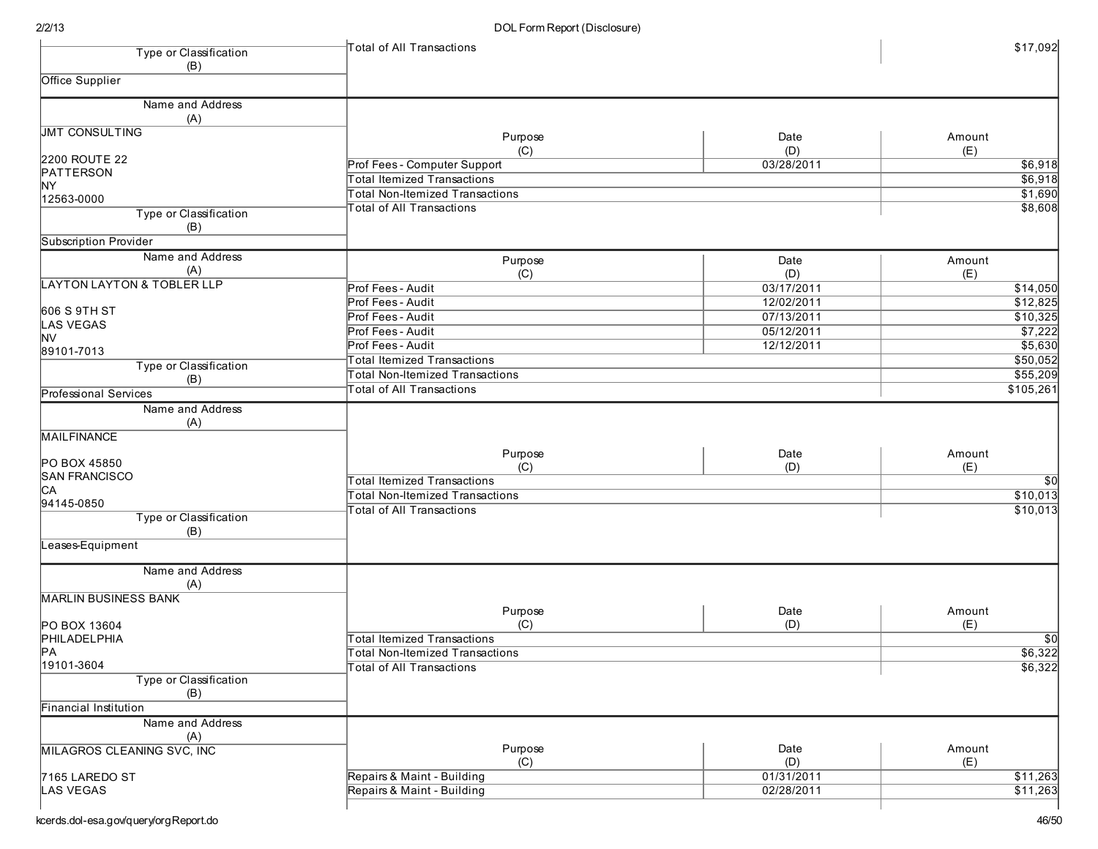| Type or Classification                | Total of All Transactions              |            | \$17,092         |
|---------------------------------------|----------------------------------------|------------|------------------|
| (B)                                   |                                        |            |                  |
| Office Supplier                       |                                        |            |                  |
|                                       |                                        |            |                  |
| Name and Address                      |                                        |            |                  |
| (A)                                   |                                        |            |                  |
| <b>JMT CONSULTING</b>                 | Purpose                                | Date       | Amount           |
| 2200 ROUTE 22                         | (C)                                    | (D)        | (E)              |
| PATTERSON                             | Prof Fees - Computer Support           | 03/28/2011 | \$6,918          |
| <b>NY</b>                             | <b>Total Itemized Transactions</b>     |            | \$6,918          |
| 12563-0000                            | <b>Total Non-Itemized Transactions</b> |            | \$1,690          |
| Type or Classification                | <b>Total of All Transactions</b>       |            | \$8,608          |
| (B)                                   |                                        |            |                  |
| <b>Subscription Provider</b>          |                                        |            |                  |
| Name and Address                      |                                        |            |                  |
| (A)                                   | Purpose                                | Date       | Amount           |
| <b>LAYTON LAYTON &amp; TOBLER LLP</b> | (C)                                    | (D)        | (E)              |
|                                       | Prof Fees - Audit                      | 03/17/2011 | $\sqrt{$14,050}$ |
| 606 S 9TH ST                          | Prof Fees - Audit                      | 12/02/2011 | \$12,825         |
| LAS VEGAS                             | Prof Fees - Audit                      | 07/13/2011 | \$10,325         |
| <b>NV</b>                             | Prof Fees - Audit                      | 05/12/2011 | \$7,222          |
| 89101-7013                            | Prof Fees - Audit                      | 12/12/2011 | \$5,630          |
| Type or Classification                | <b>Total Itemized Transactions</b>     |            | \$50,052         |
| (B)                                   | <b>Total Non-Itemized Transactions</b> |            | \$55,209         |
| <b>Professional Services</b>          | <b>Total of All Transactions</b>       |            | \$105,261        |
| Name and Address                      |                                        |            |                  |
| (A)                                   |                                        |            |                  |
| <b>MAILFINANCE</b>                    |                                        |            |                  |
|                                       |                                        |            |                  |
| PO BOX 45850                          | Purpose                                | Date       | Amount           |
| <b>SAN FRANCISCO</b>                  | (C)                                    | (D)        | (E)              |
| <b>CA</b>                             | <b>Total Itemized Transactions</b>     |            | $\overline{50}$  |
| 94145-0850                            | <b>Total Non-Itemized Transactions</b> |            | \$10,013         |
| Type or Classification                | <b>Total of All Transactions</b>       |            | \$10,013         |
| (B)                                   |                                        |            |                  |
| eases-Equipment                       |                                        |            |                  |
|                                       |                                        |            |                  |
| Name and Address                      |                                        |            |                  |
| (A)                                   |                                        |            |                  |
| <b>MARLIN BUSINESS BANK</b>           |                                        |            |                  |
|                                       | Purpose                                | Date       | Amount           |
| PO BOX 13604                          | (C)                                    | (D)        | (E)              |
| PHILADELPHIA                          | <b>Total Itemized Transactions</b>     |            | \$0              |
| PA                                    | Total Non-Itemized Transactions        |            | \$6,322          |
| 19101-3604                            | <b>Total of All Transactions</b>       |            | \$6,322          |
| Type or Classification                |                                        |            |                  |
| (B)                                   |                                        |            |                  |
| <b>Financial Institution</b>          |                                        |            |                  |
| Name and Address                      |                                        |            |                  |
| (A)                                   |                                        |            |                  |
| <b>MILAGROS CLEANING SVC, INC</b>     | Purpose                                | Date       | Amount           |
|                                       | (C)                                    | (D)        | (E)              |
| 7165 LAREDO ST                        | Repairs & Maint - Building             | 01/31/2011 | \$11,263         |
| LAS VEGAS                             | Repairs & Maint - Building             | 02/28/2011 | \$11,263         |
|                                       |                                        |            |                  |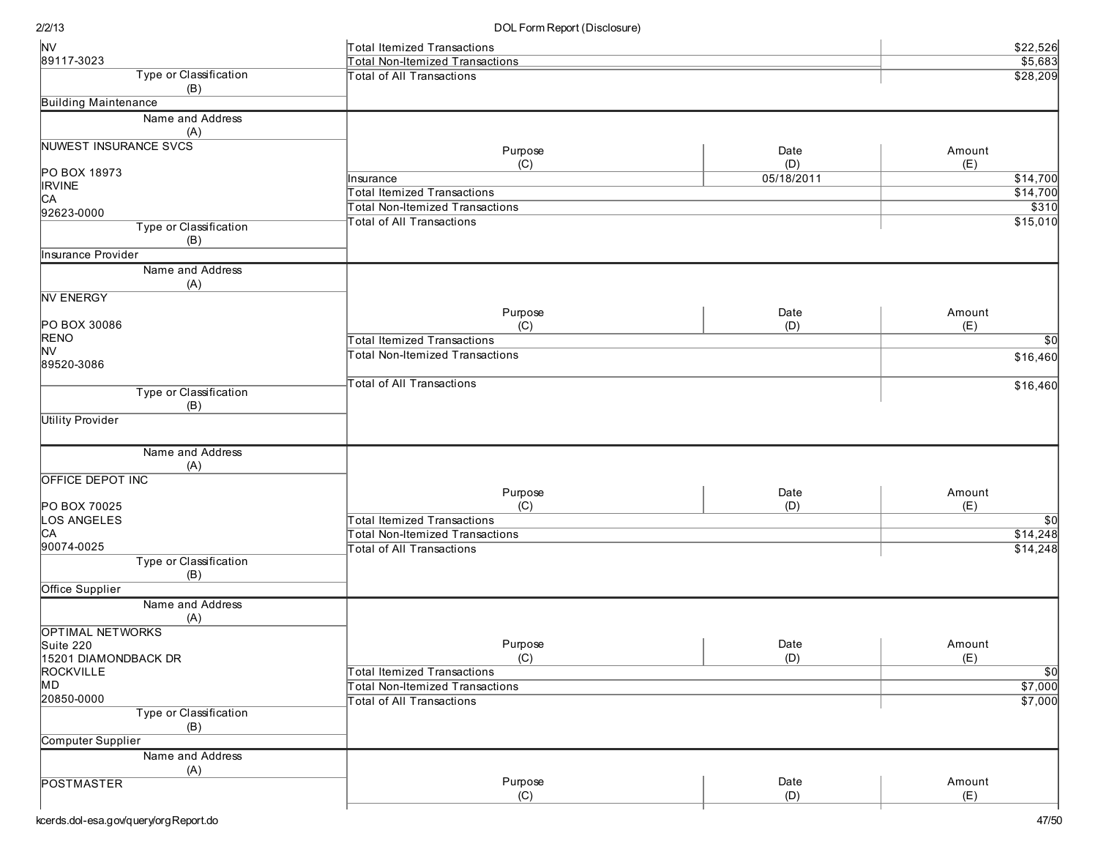| <b>NV</b>                    | Total Itemized Transactions            |            | \$22,526        |  |
|------------------------------|----------------------------------------|------------|-----------------|--|
| 89117-3023                   | <b>Total Non-Itemized Transactions</b> |            | \$5,683         |  |
| Type or Classification       | <b>Total of All Transactions</b>       |            | \$28,209        |  |
| (B)                          |                                        |            |                 |  |
| <b>Building Maintenance</b>  |                                        |            |                 |  |
| Name and Address             |                                        |            |                 |  |
| (A)                          |                                        |            |                 |  |
| <b>NUWEST INSURANCE SVCS</b> | Purpose                                | Date       | Amount          |  |
|                              | (C)                                    | (D)        | (E)             |  |
| PO BOX 18973                 | Insurance                              | 05/18/2011 | \$14,700        |  |
| <b>IRVINE</b>                | <b>Total Itemized Transactions</b>     |            | \$14,700        |  |
| CА                           | <b>Total Non-Itemized Transactions</b> |            | \$310           |  |
| 92623-0000                   | <b>Total of All Transactions</b>       |            | \$15,010        |  |
| Type or Classification       |                                        |            |                 |  |
| (B)                          |                                        |            |                 |  |
| Insurance Provider           |                                        |            |                 |  |
| Name and Address             |                                        |            |                 |  |
| (A)                          |                                        |            |                 |  |
| <b>NV ENERGY</b>             |                                        |            |                 |  |
| PO BOX 30086                 | Purpose                                | Date       | Amount          |  |
| <b>RENO</b>                  | (C)                                    | (D)        | (E)             |  |
| NV                           | <b>Total Itemized Transactions</b>     |            | $\overline{50}$ |  |
| 89520-3086                   | <b>Total Non-Itemized Transactions</b> |            | \$16,460        |  |
|                              |                                        |            |                 |  |
| Type or Classification       | <b>Total of All Transactions</b>       |            | \$16,460        |  |
| (B)                          |                                        |            |                 |  |
| <b>Utility Provider</b>      |                                        |            |                 |  |
|                              |                                        |            |                 |  |
| Name and Address             |                                        |            |                 |  |
| (A)                          |                                        |            |                 |  |
| OFFICE DEPOT INC             |                                        |            |                 |  |
|                              | Purpose                                | Date       | Amount          |  |
| PO BOX 70025                 | (C)                                    | (D)        | (E)             |  |
| LOS ANGELES                  | <b>Total Itemized Transactions</b>     |            | $\overline{50}$ |  |
| CА                           | <b>Total Non-Itemized Transactions</b> |            | \$14,248        |  |
| 90074-0025                   | <b>Total of All Transactions</b>       |            | \$14,248        |  |
| Type or Classification       |                                        |            |                 |  |
| (B)                          |                                        |            |                 |  |
| Office Supplier              |                                        |            |                 |  |
| Name and Address             |                                        |            |                 |  |
| (A)                          |                                        |            |                 |  |
| <b>OPTIMAL NETWORKS</b>      |                                        |            |                 |  |
| Suite 220                    | Purpose                                | Date       | Amount          |  |
| 15201 DIAMONDBACK DR         | (C)                                    | (D)        | (E)             |  |
| <b>ROCKVILLE</b>             | <b>Total Itemized Transactions</b>     |            | $\overline{50}$ |  |
| MD                           | <b>Total Non-Itemized Transactions</b> |            | \$7,000         |  |
| 20850-0000                   | <b>Total of All Transactions</b>       |            | \$7,000         |  |
| Type or Classification       |                                        |            |                 |  |
| (B)                          |                                        |            |                 |  |
| Computer Supplier            |                                        |            |                 |  |
| Name and Address             |                                        |            |                 |  |
| (A)                          | Purpose                                | Date       | Amount          |  |
| <b>POSTMASTER</b>            | (C)                                    | (D)        | (E)             |  |
|                              |                                        |            |                 |  |

2/ 2/ 1 3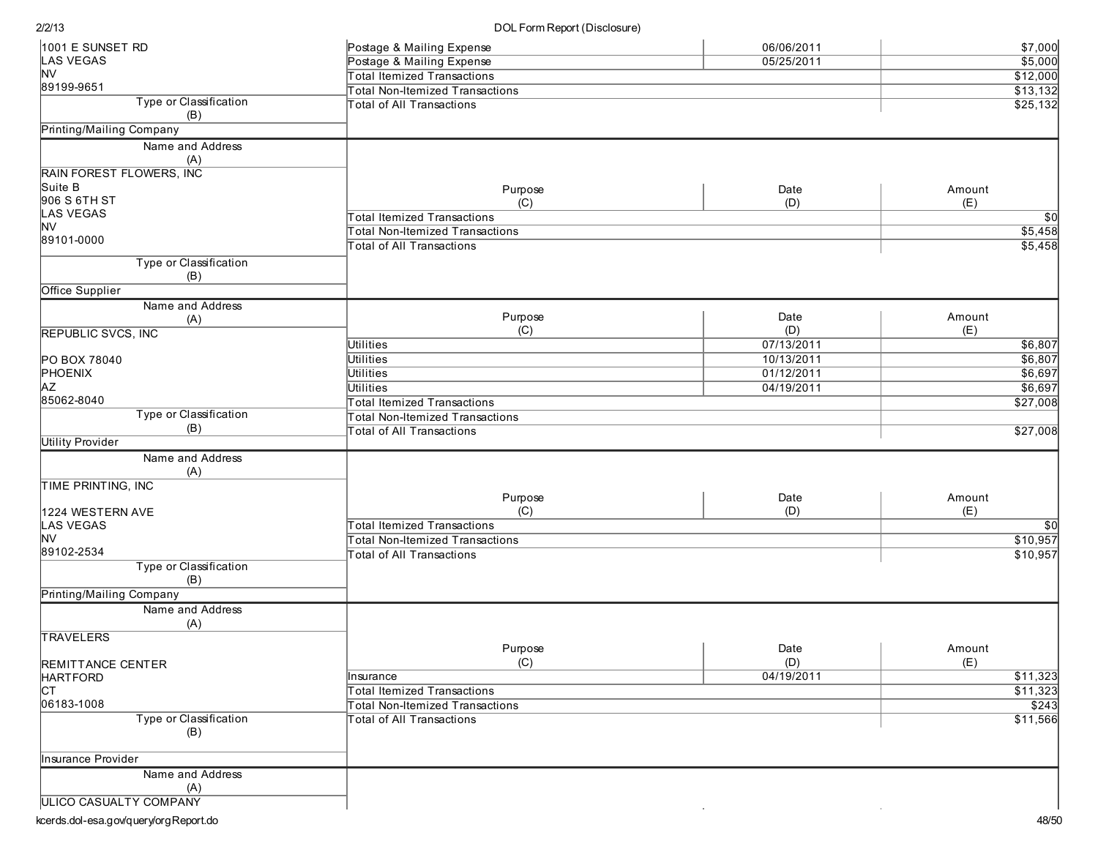DOL Form Report (Disclosure)

| 1001 E SUNSET RD                     | Postage & Mailing Expense              | 06/06/2011 | \$7,000     |
|--------------------------------------|----------------------------------------|------------|-------------|
| <b>LAS VEGAS</b>                     | Postage & Mailing Expense              | 05/25/2011 | \$5,000     |
| <b>NV</b>                            | <b>Total Itemized Transactions</b>     |            | \$12,000    |
| 89199-9651                           | <b>Total Non-Itemized Transactions</b> |            | \$13,132    |
| Type or Classification               | <b>Total of All Transactions</b>       |            | \$25,132    |
| (B)                                  |                                        |            |             |
| <b>Printing/Mailing Company</b>      |                                        |            |             |
| Name and Address                     |                                        |            |             |
| (A)                                  |                                        |            |             |
| RAIN FOREST FLOWERS, INC             |                                        |            |             |
| Suite B                              | Purpose                                | Date       | Amount      |
| 906 S 6TH ST                         | (C)                                    | (D)        | (E)         |
| <b>LAS VEGAS</b>                     | <b>Total Itemized Transactions</b>     |            | $\sqrt{50}$ |
| <b>NV</b>                            | <b>Total Non-Itemized Transactions</b> |            | \$5,458     |
| 89101-0000                           |                                        |            |             |
|                                      | <b>Total of All Transactions</b>       |            | \$5,458     |
| Type or Classification<br>(B)        |                                        |            |             |
| Office Supplier                      |                                        |            |             |
|                                      |                                        |            |             |
| Name and Address                     | Purpose                                | Date       | Amount      |
| (A)                                  |                                        |            |             |
| <b>REPUBLIC SVCS, INC</b>            | (C)                                    | (D)        | (E)         |
|                                      | Utilities                              | 07/13/2011 | \$6,807     |
| PO BOX 78040                         | <b>Utilities</b>                       | 10/13/2011 | \$6,807     |
| PHOENIX                              | <b>Utilities</b>                       | 01/12/2011 | \$6,697     |
| <b>AZ</b>                            | Utilities                              | 04/19/2011 | \$6,697     |
| 85062-8040                           | <b>Total Itemized Transactions</b>     |            | \$27,008    |
| Type or Classification               | <b>Total Non-Itemized Transactions</b> |            |             |
| (B)                                  | <b>Total of All Transactions</b>       |            | \$27,008    |
| <b>Utility Provider</b>              |                                        |            |             |
| Name and Address                     |                                        |            |             |
| (A)                                  |                                        |            |             |
| TIME PRINTING, INC                   |                                        |            |             |
|                                      | Purpose                                | Date       | Amount      |
| 1224 WESTERN AVE                     | (C)                                    | (D)        | (E)         |
| <b>LAS VEGAS</b>                     | <b>Total Itemized Transactions</b>     |            | \$0         |
| <b>NV</b>                            | <b>Total Non-Itemized Transactions</b> |            | \$10,957    |
| 89102-2534                           | <b>Total of All Transactions</b>       |            | \$10,957    |
| Type or Classification               |                                        |            |             |
| (B)                                  |                                        |            |             |
| Printing/Mailing Company             |                                        |            |             |
| Name and Address<br>(A)              |                                        |            |             |
| <b>TRAVELERS</b>                     |                                        |            |             |
|                                      | Purpose                                | Date       | Amount      |
|                                      | (C)                                    | (D)        | (E)         |
| REMITTANCE CENTER<br><b>HARTFORD</b> | Insurance                              | 04/19/2011 | \$11,323    |
| Iст                                  |                                        |            | \$11,323    |
|                                      | <b>Total Itemized Transactions</b>     |            |             |
| 06183-1008                           | Total Non-Itemized Transactions        |            | \$243       |
| Type or Classification               | <b>Total of All Transactions</b>       |            | \$11,566    |
| (B)                                  |                                        |            |             |
|                                      |                                        |            |             |
| Insurance Provider                   |                                        |            |             |
| Name and Address                     |                                        |            |             |
| (A)                                  |                                        |            |             |
| <b>ULICO CASUALTY COMPANY</b>        |                                        |            |             |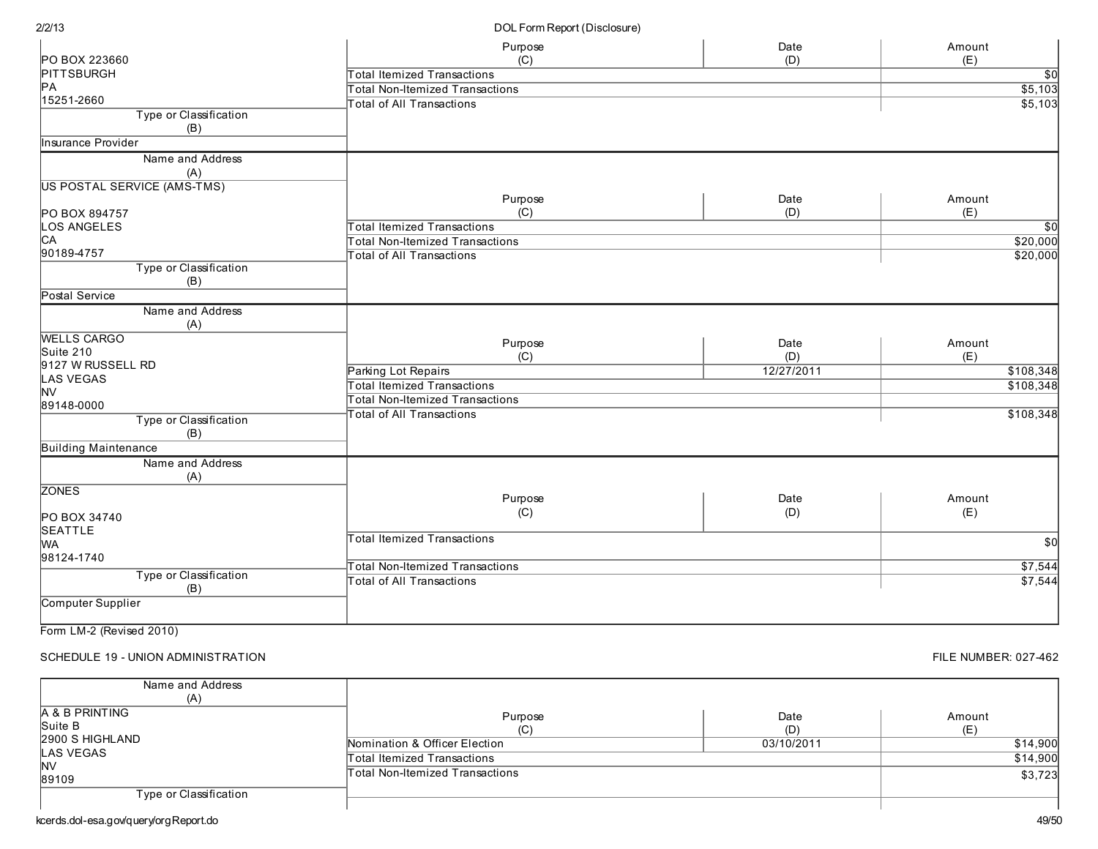|                               | Purpose                                | Date       | Amount          |
|-------------------------------|----------------------------------------|------------|-----------------|
| PO BOX 223660                 | (C)                                    | (D)        | (E)             |
| <b>PITTSBURGH</b>             | <b>Total Itemized Transactions</b>     |            | \$0∣            |
| PА                            | <b>Total Non-Itemized Transactions</b> |            | \$5,103         |
| 15251-2660                    | <b>Total of All Transactions</b>       |            | \$5,103         |
| Type or Classification<br>(B) |                                        |            |                 |
| Insurance Provider            |                                        |            |                 |
| Name and Address              |                                        |            |                 |
| (A)                           |                                        |            |                 |
| US POSTAL SERVICE (AMS-TMS)   |                                        |            |                 |
|                               | Purpose                                | Date       | Amount          |
| PO BOX 894757                 | (C)                                    | (D)        | (E)             |
| <b>LOS ANGELES</b>            | <b>Total Itemized Transactions</b>     |            | $\overline{50}$ |
| CА                            | <b>Total Non-Itemized Transactions</b> |            | \$20,000        |
| 90189-4757                    | <b>Total of All Transactions</b>       |            | \$20,000        |
| Type or Classification        |                                        |            |                 |
| (B)                           |                                        |            |                 |
| Postal Service                |                                        |            |                 |
| Name and Address              |                                        |            |                 |
| (A)                           |                                        |            |                 |
| <b>WELLS CARGO</b>            | Purpose                                | Date       | Amount          |
| Suite 210                     | (C)                                    | (D)        | (E)             |
| 9127 W RUSSELL RD             | Parking Lot Repairs                    | 12/27/2011 | \$108,348       |
| <b>LAS VEGAS</b>              | <b>Total Itemized Transactions</b>     |            | \$108,348       |
| <b>NV</b>                     | <b>Total Non-Itemized Transactions</b> |            |                 |
| 89148-0000                    | <b>Total of All Transactions</b>       |            | \$108,348       |
| Type or Classification        |                                        |            |                 |
| (B)                           |                                        |            |                 |
| <b>Building Maintenance</b>   |                                        |            |                 |
| Name and Address              |                                        |            |                 |
| (A)                           |                                        |            |                 |
| <b>ZONES</b>                  | Purpose                                | Date       | Amount          |
|                               |                                        | (D)        | (E)             |
| PO BOX 34740                  | (C)                                    |            |                 |
| <b>SEATTLE</b>                | <b>Total Itemized Transactions</b>     |            |                 |
| MА                            |                                        |            | \$0             |
| 98124-1740                    | <b>Total Non-Itemized Transactions</b> |            | \$7,544         |
| Type or Classification        | <b>Total of All Transactions</b>       |            | \$7,544         |
| (B)                           |                                        |            |                 |
| Computer Supplier             |                                        |            |                 |
|                               |                                        |            |                 |

Form LM-2 (Revised 2010)

SCHEDULE 19 - UNION ADMINISTRATION

FILE NUMBER: 027-462

| Name and Address<br>(A)       |                                 |             |               |
|-------------------------------|---------------------------------|-------------|---------------|
| A & B PRINTING<br>Suite B     | Purpose<br>ابا                  | Date<br>(D) | Amount<br>(E) |
| 2900 S HIGHLAND               | Nomination & Officer Election   | 03/10/2011  | \$14,900      |
| <b>LAS VEGAS</b><br><b>NV</b> | Total Itemized Transactions     |             | \$14,900      |
| 89109                         | Total Non-Itemized Transactions |             | \$3,723       |
| Type or Classification        |                                 |             |               |